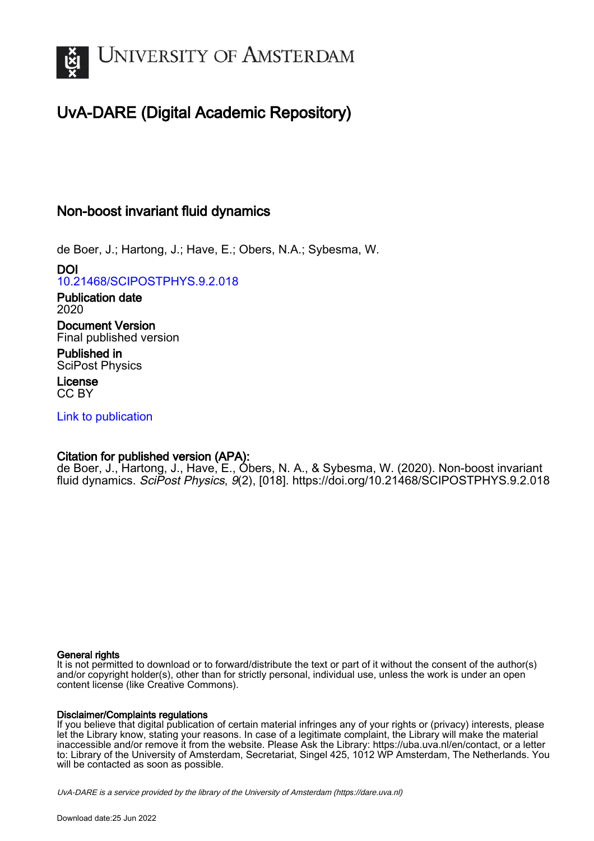

# UvA-DARE (Digital Academic Repository)

## Non-boost invariant fluid dynamics

de Boer, J.; Hartong, J.; Have, E.; Obers, N.A.; Sybesma, W.

DOI [10.21468/SCIPOSTPHYS.9.2.018](https://doi.org/10.21468/SCIPOSTPHYS.9.2.018)

Publication date 2020

Document Version Final published version

Published in SciPost Physics

License CC BY

[Link to publication](https://dare.uva.nl/personal/pure/en/publications/nonboost-invariant-fluid-dynamics(ff5a63dc-72e7-430f-b63a-c555a41c7ea5).html)

## Citation for published version (APA):

de Boer, J., Hartong, J., Have, E., Obers, N. A., & Sybesma, W. (2020). Non-boost invariant fluid dynamics. SciPost Physics, 9(2), [018]. <https://doi.org/10.21468/SCIPOSTPHYS.9.2.018>

#### General rights

It is not permitted to download or to forward/distribute the text or part of it without the consent of the author(s) and/or copyright holder(s), other than for strictly personal, individual use, unless the work is under an open content license (like Creative Commons).

#### Disclaimer/Complaints regulations

If you believe that digital publication of certain material infringes any of your rights or (privacy) interests, please let the Library know, stating your reasons. In case of a legitimate complaint, the Library will make the material inaccessible and/or remove it from the website. Please Ask the Library: https://uba.uva.nl/en/contact, or a letter to: Library of the University of Amsterdam, Secretariat, Singel 425, 1012 WP Amsterdam, The Netherlands. You will be contacted as soon as possible.

UvA-DARE is a service provided by the library of the University of Amsterdam (http*s*://dare.uva.nl)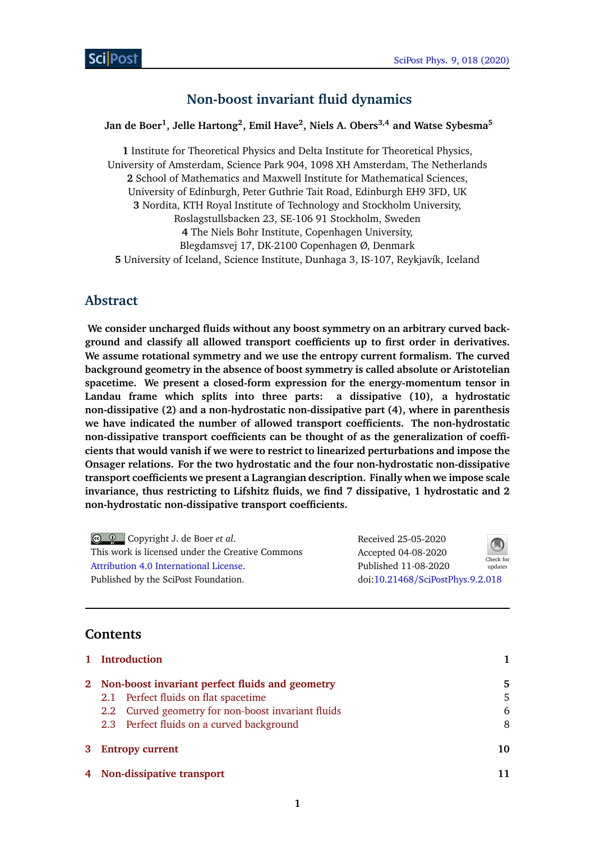## **Non-boost invariant fluid dynamics**

## **Jan de Boer<sup>1</sup> , Jelle Hartong<sup>2</sup> , Emil Have<sup>2</sup> , Niels A. Obers3,4 and Watse Sybesma<sup>5</sup>**

**1** Institute for Theoretical Physics and Delta Institute for Theoretical Physics, University of Amsterdam, Science Park 904, 1098 XH Amsterdam, The Netherlands **2** School of Mathematics and Maxwell Institute for Mathematical Sciences, University of Edinburgh, Peter Guthrie Tait Road, Edinburgh EH9 3FD, UK **3** Nordita, KTH Royal Institute of Technology and Stockholm University, Roslagstullsbacken 23, SE-106 91 Stockholm, Sweden **4** The Niels Bohr Institute, Copenhagen University, Blegdamsvej 17, DK-2100 Copenhagen Ø, Denmark **5** University of Iceland, Science Institute, Dunhaga 3, IS-107, Reykjavík, Iceland

## **Abstract**

**We consider uncharged fluids without any boost symmetry on an arbitrary curved background and classify all allowed transport coefficients up to first order in derivatives. We assume rotational symmetry and we use the entropy current formalism. The curved background geometry in the absence of boost symmetry is called absolute or Aristotelian spacetime. We present a closed-form expression for the energy-momentum tensor in Landau frame which splits into three parts: a dissipative (10), a hydrostatic non-dissipative (2) and a non-hydrostatic non-dissipative part (4), where in parenthesis we have indicated the number of allowed transport coefficients. The non-hydrostatic non-dissipative transport coefficients can be thought of as the generalization of coefficients that would vanish if we were to restrict to linearized perturbations and impose the Onsager relations. For the two hydrostatic and the four non-hydrostatic non-dissipative transport coefficients we present a Lagrangian description. Finally when we impose scale invariance, thus restricting to Lifshitz fluids, we find 7 dissipative, 1 hydrostatic and 2 non-hydrostatic non-dissipative transport coefficients.**

| $\circledcirc$ $\circledcirc$ Copyright J. de Boer <i>et al.</i> | Received 25-05-2020              | $\bigcirc$           |
|------------------------------------------------------------------|----------------------------------|----------------------|
| This work is licensed under the Creative Commons                 | Accepted 04-08-2020              |                      |
| Attribution 4.0 International License.                           | Published 11-08-2020             | Check for<br>updates |
| Published by the SciPost Foundation.                             | doi:10.21468/SciPostPhys.9.2.018 |                      |

## **Contents**

| 1 Introduction                                     |    |
|----------------------------------------------------|----|
| 2 Non-boost invariant perfect fluids and geometry  | 5  |
| 2.1 Perfect fluids on flat spacetime               | 5  |
| 2.2 Curved geometry for non-boost invariant fluids | 6  |
| 2.3 Perfect fluids on a curved background          | 8  |
| 3 Entropy current                                  | 10 |
| 4 Non-dissipative transport                        |    |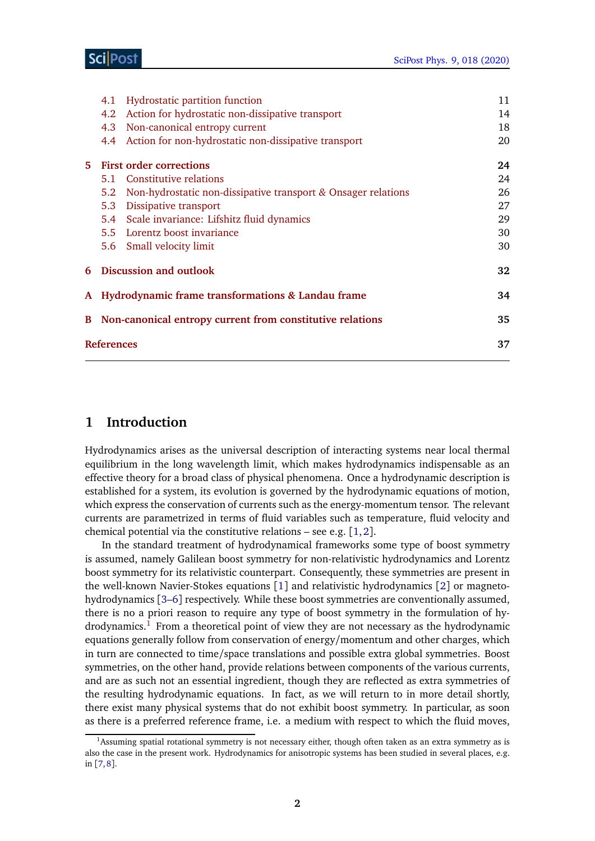|    | 4.1                                                       | <b>Hydrostatic partition function</b>                           | 11 |  |
|----|-----------------------------------------------------------|-----------------------------------------------------------------|----|--|
|    | 4.2                                                       | Action for hydrostatic non-dissipative transport                | 14 |  |
|    | 4.3                                                       | Non-canonical entropy current                                   | 18 |  |
|    | 4.4                                                       | Action for non-hydrostatic non-dissipative transport            | 20 |  |
| 5. |                                                           | <b>First order corrections</b>                                  | 24 |  |
|    |                                                           | 5.1 Constitutive relations                                      | 24 |  |
|    | 5.2                                                       | Non-hydrostatic non-dissipative transport $&$ Onsager relations | 26 |  |
|    | 5.3                                                       | Dissipative transport                                           | 27 |  |
|    |                                                           | 5.4 Scale invariance: Lifshitz fluid dynamics                   | 29 |  |
|    |                                                           | 5.5 Lorentz boost invariance                                    | 30 |  |
|    |                                                           | 5.6 Small velocity limit                                        | 30 |  |
|    | <b>6</b> Discussion and outlook                           |                                                                 | 32 |  |
|    |                                                           | A Hydrodynamic frame transformations & Landau frame             | 34 |  |
| B  | Non-canonical entropy current from constitutive relations |                                                                 | 35 |  |
|    | <b>References</b>                                         |                                                                 |    |  |
|    |                                                           |                                                                 |    |  |

## <span id="page-2-0"></span>**1 Introduction**

Hydrodynamics arises as the universal description of interacting systems near local thermal equilibrium in the long wavelength limit, which makes hydrodynamics indispensable as an effective theory for a broad class of physical phenomena. Once a hydrodynamic description is established for a system, its evolution is governed by the hydrodynamic equations of motion, which express the conservation of currents such as the energy-momentum tensor. The relevant currents are parametrized in terms of fluid variables such as temperature, fluid velocity and chemical potential via the constitutive relations – see e.g. [[1,](#page-38-1)[2](#page-38-2)].

In the standard treatment of hydrodynamical frameworks some type of boost symmetry is assumed, namely Galilean boost symmetry for non-relativistic hydrodynamics and Lorentz boost symmetry for its relativistic counterpart. Consequently, these symmetries are present in the well-known Navier-Stokes equations [[1](#page-38-1)] and relativistic hydrodynamics [[2](#page-38-2)] or magnetohydrodynamics [[3–](#page-38-3)[6](#page-39-0)] respectively. While these boost symmetries are conventionally assumed, there is no a priori reason to require any type of boost symmetry in the formulation of hy $d$ rodynamics.<sup>[1](#page-2-1)</sup> From a theoretical point of view they are not necessary as the hydrodynamic equations generally follow from conservation of energy/momentum and other charges, which in turn are connected to time/space translations and possible extra global symmetries. Boost symmetries, on the other hand, provide relations between components of the various currents, and are as such not an essential ingredient, though they are reflected as extra symmetries of the resulting hydrodynamic equations. In fact, as we will return to in more detail shortly, there exist many physical systems that do not exhibit boost symmetry. In particular, as soon as there is a preferred reference frame, i.e. a medium with respect to which the fluid moves,

<span id="page-2-1"></span><sup>&</sup>lt;sup>1</sup>Assuming spatial rotational symmetry is not necessary either, though often taken as an extra symmetry as is also the case in the present work. Hydrodynamics for anisotropic systems has been studied in several places, e.g. in [[7,](#page-39-1)[8](#page-39-2)].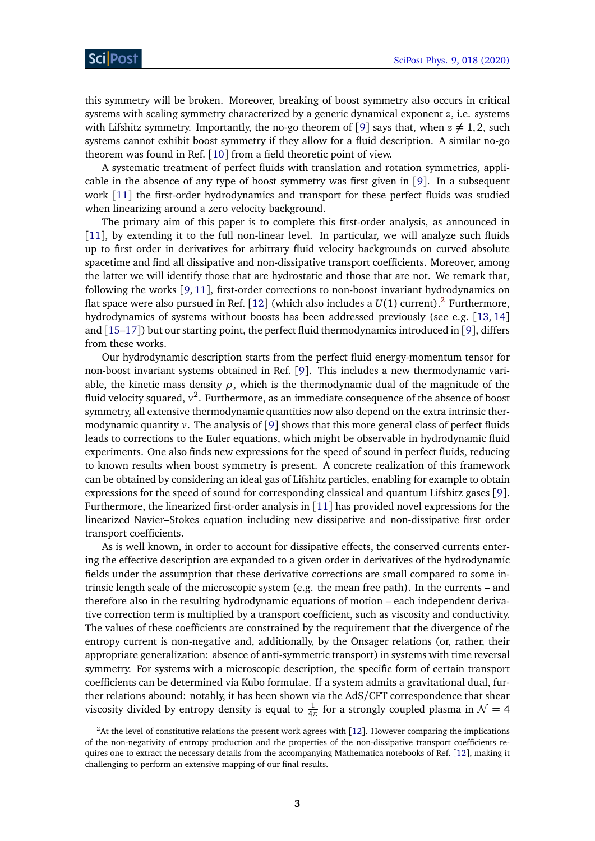this symmetry will be broken. Moreover, breaking of boost symmetry also occurs in critical systems with scaling symmetry characterized by a generic dynamical exponent *z*, i.e. systems with Lifshitz symmetry. Importantly, the no-go theorem of [[9](#page-39-3)] says that, when  $z \neq 1, 2$ , such systems cannot exhibit boost symmetry if they allow for a fluid description. A similar no-go theorem was found in Ref. [[10](#page-39-4)] from a field theoretic point of view.

A systematic treatment of perfect fluids with translation and rotation symmetries, applicable in the absence of any type of boost symmetry was first given in [[9](#page-39-3)]. In a subsequent work [[11](#page-39-5)] the first-order hydrodynamics and transport for these perfect fluids was studied when linearizing around a zero velocity background.

The primary aim of this paper is to complete this first-order analysis, as announced in [[11](#page-39-5)], by extending it to the full non-linear level. In particular, we will analyze such fluids up to first order in derivatives for arbitrary fluid velocity backgrounds on curved absolute spacetime and find all dissipative and non-dissipative transport coefficients. Moreover, among the latter we will identify those that are hydrostatic and those that are not. We remark that, following the works [[9,](#page-39-3) [11](#page-39-5)], first-order corrections to non-boost invariant hydrodynamics on flat space were also pursued in Ref. [[12](#page-39-6)] (which also includes a  $U(1)$  current).<sup>[2](#page-3-0)</sup> Furthermore, hydrodynamics of systems without boosts has been addressed previously (see e.g. [[13,](#page-39-7) [14](#page-39-8)] and  $[15-17]$  $[15-17]$  $[15-17]$  but our starting point, the perfect fluid thermodynamics introduced in [[9](#page-39-3)], differs from these works.

Our hydrodynamic description starts from the perfect fluid energy-momentum tensor for non-boost invariant systems obtained in Ref. [[9](#page-39-3)]. This includes a new thermodynamic variable, the kinetic mass density  $\rho$ , which is the thermodynamic dual of the magnitude of the fluid velocity squared,  $v^2$ . Furthermore, as an immediate consequence of the absence of boost symmetry, all extensive thermodynamic quantities now also depend on the extra intrinsic thermodynamic quantity *v*. The analysis of [[9](#page-39-3)] shows that this more general class of perfect fluids leads to corrections to the Euler equations, which might be observable in hydrodynamic fluid experiments. One also finds new expressions for the speed of sound in perfect fluids, reducing to known results when boost symmetry is present. A concrete realization of this framework can be obtained by considering an ideal gas of Lifshitz particles, enabling for example to obtain expressions for the speed of sound for corresponding classical and quantum Lifshitz gases [[9](#page-39-3)]. Furthermore, the linearized first-order analysis in [[11](#page-39-5)] has provided novel expressions for the linearized Navier–Stokes equation including new dissipative and non-dissipative first order transport coefficients.

As is well known, in order to account for dissipative effects, the conserved currents entering the effective description are expanded to a given order in derivatives of the hydrodynamic fields under the assumption that these derivative corrections are small compared to some intrinsic length scale of the microscopic system (e.g. the mean free path). In the currents – and therefore also in the resulting hydrodynamic equations of motion – each independent derivative correction term is multiplied by a transport coefficient, such as viscosity and conductivity. The values of these coefficients are constrained by the requirement that the divergence of the entropy current is non-negative and, additionally, by the Onsager relations (or, rather, their appropriate generalization: absence of anti-symmetric transport) in systems with time reversal symmetry. For systems with a microscopic description, the specific form of certain transport coefficients can be determined via Kubo formulae. If a system admits a gravitational dual, further relations abound: notably, it has been shown via the AdS/CFT correspondence that shear viscosity divided by entropy density is equal to  $\frac{1}{4\pi}$  for a strongly coupled plasma in  $\mathcal{N}=4$ 

<span id="page-3-0"></span><sup>&</sup>lt;sup>2</sup>At the level of constitutive relations the present work agrees with [[12](#page-39-6)]. However comparing the implications of the non-negativity of entropy production and the properties of the non-dissipative transport coefficients requires one to extract the necessary details from the accompanying Mathematica notebooks of Ref. [[12](#page-39-6)], making it challenging to perform an extensive mapping of our final results.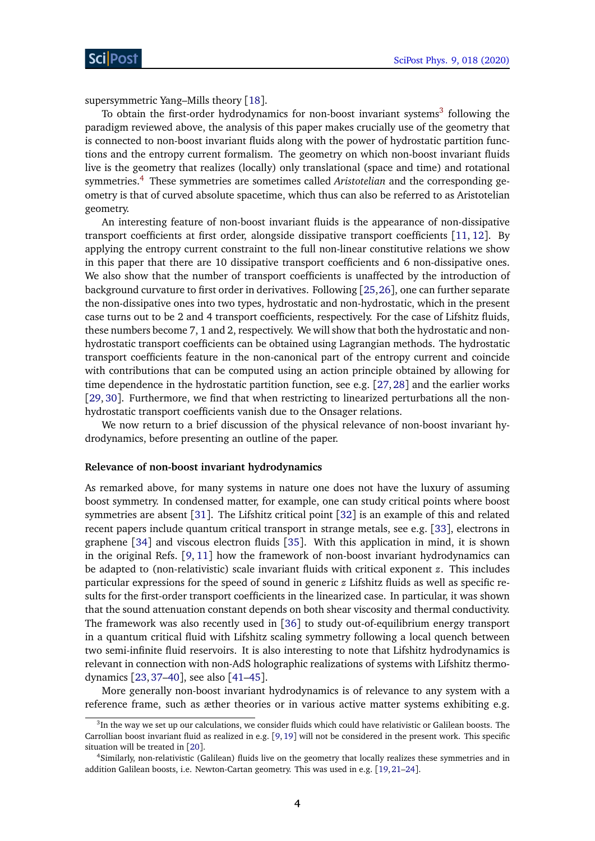supersymmetric Yang–Mills theory [[18](#page-39-11)].

To obtain the first-order hydrodynamics for non-boost invariant systems $3$  following the paradigm reviewed above, the analysis of this paper makes crucially use of the geometry that is connected to non-boost invariant fluids along with the power of hydrostatic partition functions and the entropy current formalism. The geometry on which non-boost invariant fluids live is the geometry that realizes (locally) only translational (space and time) and rotational symmetries.[4](#page-4-1) These symmetries are sometimes called *Aristotelian* and the corresponding geometry is that of curved absolute spacetime, which thus can also be referred to as Aristotelian geometry.

An interesting feature of non-boost invariant fluids is the appearance of non-dissipative transport coefficients at first order, alongside dissipative transport coefficients [[11,](#page-39-5) [12](#page-39-6)]. By applying the entropy current constraint to the full non-linear constitutive relations we show in this paper that there are 10 dissipative transport coefficients and 6 non-dissipative ones. We also show that the number of transport coefficients is unaffected by the introduction of background curvature to first order in derivatives. Following [[25,](#page-40-0)[26](#page-40-1)], one can further separate the non-dissipative ones into two types, hydrostatic and non-hydrostatic, which in the present case turns out to be 2 and 4 transport coefficients, respectively. For the case of Lifshitz fluids, these numbers become 7, 1 and 2, respectively. We will show that both the hydrostatic and nonhydrostatic transport coefficients can be obtained using Lagrangian methods. The hydrostatic transport coefficients feature in the non-canonical part of the entropy current and coincide with contributions that can be computed using an action principle obtained by allowing for time dependence in the hydrostatic partition function, see e.g. [[27,](#page-40-2) [28](#page-40-3)] and the earlier works [[29,](#page-40-4) [30](#page-40-5)]. Furthermore, we find that when restricting to linearized perturbations all the nonhydrostatic transport coefficients vanish due to the Onsager relations.

We now return to a brief discussion of the physical relevance of non-boost invariant hydrodynamics, before presenting an outline of the paper.

#### **Relevance of non-boost invariant hydrodynamics**

As remarked above, for many systems in nature one does not have the luxury of assuming boost symmetry. In condensed matter, for example, one can study critical points where boost symmetries are absent [[31](#page-40-6)]. The Lifshitz critical point [[32](#page-40-7)] is an example of this and related recent papers include quantum critical transport in strange metals, see e.g. [[33](#page-40-8)], electrons in graphene [[34](#page-40-9)] and viscous electron fluids [[35](#page-40-10)]. With this application in mind, it is shown in the original Refs. [[9,](#page-39-3) [11](#page-39-5)] how the framework of non-boost invariant hydrodynamics can be adapted to (non-relativistic) scale invariant fluids with critical exponent *z*. This includes particular expressions for the speed of sound in generic *z* Lifshitz fluids as well as specific results for the first-order transport coefficients in the linearized case. In particular, it was shown that the sound attenuation constant depends on both shear viscosity and thermal conductivity. The framework was also recently used in [[36](#page-40-11)] to study out-of-equilibrium energy transport in a quantum critical fluid with Lifshitz scaling symmetry following a local quench between two semi-infinite fluid reservoirs. It is also interesting to note that Lifshitz hydrodynamics is relevant in connection with non-AdS holographic realizations of systems with Lifshitz thermodynamics [[23,](#page-40-12)[37–](#page-40-13)[40](#page-41-0)], see also [[41](#page-41-1)[–45](#page-41-2)].

More generally non-boost invariant hydrodynamics is of relevance to any system with a reference frame, such as æther theories or in various active matter systems exhibiting e.g.

<span id="page-4-0"></span> ${}^{3}$ In the way we set up our calculations, we consider fluids which could have relativistic or Galilean boosts. The Carrollian boost invariant fluid as realized in e.g. [[9,](#page-39-3)[19](#page-39-12)] will not be considered in the present work. This specific situation will be treated in [[20](#page-39-13)].

<span id="page-4-1"></span><sup>4</sup>Similarly, non-relativistic (Galilean) fluids live on the geometry that locally realizes these symmetries and in addition Galilean boosts, i.e. Newton-Cartan geometry. This was used in e.g. [[19,](#page-39-12)[21–](#page-39-14)[24](#page-40-14)].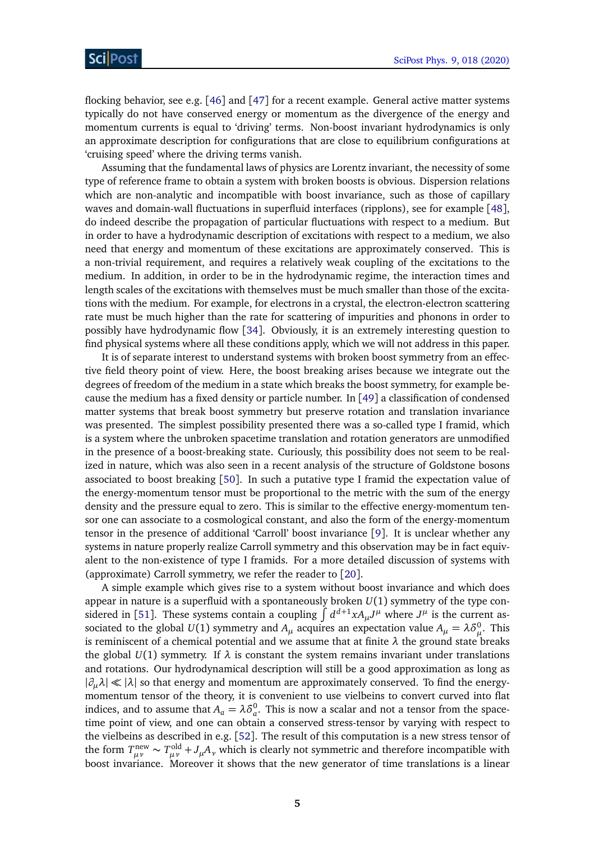flocking behavior, see e.g. [[46](#page-41-3)] and [[47](#page-41-4)] for a recent example. General active matter systems typically do not have conserved energy or momentum as the divergence of the energy and momentum currents is equal to 'driving' terms. Non-boost invariant hydrodynamics is only an approximate description for configurations that are close to equilibrium configurations at 'cruising speed' where the driving terms vanish.

Assuming that the fundamental laws of physics are Lorentz invariant, the necessity of some type of reference frame to obtain a system with broken boosts is obvious. Dispersion relations which are non-analytic and incompatible with boost invariance, such as those of capillary waves and domain-wall fluctuations in superfluid interfaces (ripplons), see for example [[48](#page-41-5)], do indeed describe the propagation of particular fluctuations with respect to a medium. But in order to have a hydrodynamic description of excitations with respect to a medium, we also need that energy and momentum of these excitations are approximately conserved. This is a non-trivial requirement, and requires a relatively weak coupling of the excitations to the medium. In addition, in order to be in the hydrodynamic regime, the interaction times and length scales of the excitations with themselves must be much smaller than those of the excitations with the medium. For example, for electrons in a crystal, the electron-electron scattering rate must be much higher than the rate for scattering of impurities and phonons in order to possibly have hydrodynamic flow [[34](#page-40-9)]. Obviously, it is an extremely interesting question to find physical systems where all these conditions apply, which we will not address in this paper.

It is of separate interest to understand systems with broken boost symmetry from an effective field theory point of view. Here, the boost breaking arises because we integrate out the degrees of freedom of the medium in a state which breaks the boost symmetry, for example because the medium has a fixed density or particle number. In  $[49]$  $[49]$  $[49]$  a classification of condensed matter systems that break boost symmetry but preserve rotation and translation invariance was presented. The simplest possibility presented there was a so-called type I framid, which is a system where the unbroken spacetime translation and rotation generators are unmodified in the presence of a boost-breaking state. Curiously, this possibility does not seem to be realized in nature, which was also seen in a recent analysis of the structure of Goldstone bosons associated to boost breaking [[50](#page-41-7)]. In such a putative type I framid the expectation value of the energy-momentum tensor must be proportional to the metric with the sum of the energy density and the pressure equal to zero. This is similar to the effective energy-momentum tensor one can associate to a cosmological constant, and also the form of the energy-momentum tensor in the presence of additional 'Carroll' boost invariance [[9](#page-39-3)]. It is unclear whether any systems in nature properly realize Carroll symmetry and this observation may be in fact equivalent to the non-existence of type I framids. For a more detailed discussion of systems with (approximate) Carroll symmetry, we refer the reader to [[20](#page-39-13)].

A simple example which gives rise to a system without boost invariance and which does appear in nature is a superfluid with a spontaneously broken *U*(1) symmetry of the type con-sidered in [[51](#page-41-8)]. These systems contain a coupling  $\int d^{d+1}x A_\mu J^\mu$  where  $J^\mu$  is the current associated to the global  $U(1)$  symmetry and  $A_\mu$  acquires an expectation value  $A_\mu = \lambda \delta_\mu^0$ . This is reminiscent of a chemical potential and we assume that at finite  $\lambda$  the ground state breaks the global  $U(1)$  symmetry. If  $\lambda$  is constant the system remains invariant under translations and rotations. Our hydrodynamical description will still be a good approximation as long as |*∂µλ*| |*λ*| so that energy and momentum are approximately conserved. To find the energymomentum tensor of the theory, it is convenient to use vielbeins to convert curved into flat indices, and to assume that  $A_a = \lambda \delta_a^0$ . This is now a scalar and not a tensor from the spacetime point of view, and one can obtain a conserved stress-tensor by varying with respect to the vielbeins as described in e.g. [[52](#page-41-9)]. The result of this computation is a new stress tensor of the form  $T_{\mu\nu}^{\text{new}} \sim T_{\mu\nu}^{\text{old}} + J_{\mu}A_{\nu}$  which is clearly not symmetric and therefore incompatible with boost invariance. Moreover it shows that the new generator of time translations is a linear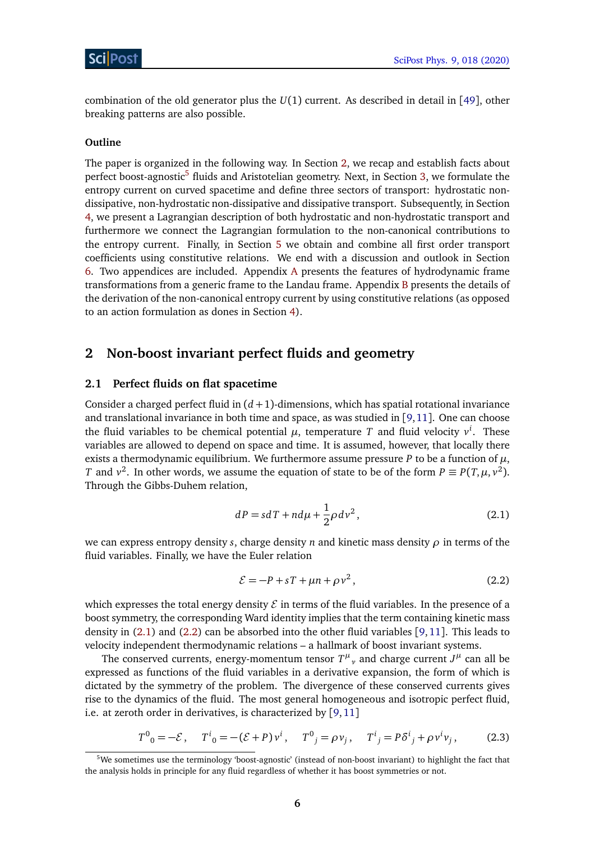combination of the old generator plus the *U*(1) current. As described in detail in [[49](#page-41-6)], other breaking patterns are also possible.

#### **Outline**

The paper is organized in the following way. In Section [2,](#page-6-0) we recap and establish facts about perfect boost-agnostic<sup>[5](#page-6-2)</sup> fluids and Aristotelian geometry. Next, in Section [3,](#page-10-0) we formulate the entropy current on curved spacetime and define three sectors of transport: hydrostatic nondissipative, non-hydrostatic non-dissipative and dissipative transport. Subsequently, in Section [4,](#page-12-0) we present a Lagrangian description of both hydrostatic and non-hydrostatic transport and furthermore we connect the Lagrangian formulation to the non-canonical contributions to the entropy current. Finally, in Section [5](#page-25-0) we obtain and combine all first order transport coefficients using constitutive relations. We end with a discussion and outlook in Section [6.](#page-33-0) Two appendices are included. Appendix [A](#page-35-0) presents the features of hydrodynamic frame transformations from a generic frame to the Landau frame. Appendix [B](#page-36-0) presents the details of the derivation of the non-canonical entropy current by using constitutive relations (as opposed to an action formulation as dones in Section [4\)](#page-12-0).

## <span id="page-6-0"></span>**2 Non-boost invariant perfect fluids and geometry**

#### <span id="page-6-1"></span>**2.1 Perfect fluids on flat spacetime**

Consider a charged perfect fluid in  $(d+1)$ -dimensions, which has spatial rotational invariance and translational invariance in both time and space, as was studied in [[9,](#page-39-3)[11](#page-39-5)]. One can choose the fluid variables to be chemical potential  $\mu$ , temperature T and fluid velocity  $v^i$ . These variables are allowed to depend on space and time. It is assumed, however, that locally there exists a thermodynamic equilibrium. We furthermore assume pressure *P* to be a function of  $\mu$ , *T* and  $v^2$ . In other words, we assume the equation of state to be of the form  $P \equiv P(T, \mu, v^2)$ . Through the Gibbs-Duhem relation,

<span id="page-6-3"></span>
$$
dP = sdT + nd\mu + \frac{1}{2}\rho dv^2, \qquad (2.1)
$$

we can express entropy density *s*, charge density *n* and kinetic mass density *ρ* in terms of the fluid variables. Finally, we have the Euler relation

<span id="page-6-5"></span><span id="page-6-4"></span>
$$
\mathcal{E} = -P + sT + \mu n + \rho v^2, \qquad (2.2)
$$

which expresses the total energy density  $\mathcal E$  in terms of the fluid variables. In the presence of a boost symmetry, the corresponding Ward identity implies that the term containing kinetic mass density in [\(2.1\)](#page-6-3) and [\(2.2\)](#page-6-4) can be absorbed into the other fluid variables [[9,](#page-39-3)[11](#page-39-5)]. This leads to velocity independent thermodynamic relations – a hallmark of boost invariant systems.

The conserved currents, energy-momentum tensor  $T^{\mu}{}_{\nu}$  and charge current  $J^{\mu}$  can all be expressed as functions of the fluid variables in a derivative expansion, the form of which is dictated by the symmetry of the problem. The divergence of these conserved currents gives rise to the dynamics of the fluid. The most general homogeneous and isotropic perfect fluid, i.e. at zeroth order in derivatives, is characterized by [[9,](#page-39-3)[11](#page-39-5)]

$$
T^{0}_{0} = -\mathcal{E}, \quad T^{i}_{0} = -(\mathcal{E} + P)v^{i}, \quad T^{0}_{j} = \rho v_{j}, \quad T^{i}_{j} = P\delta^{i}_{j} + \rho v^{i}v_{j},
$$
 (2.3)

<span id="page-6-2"></span><sup>&</sup>lt;sup>5</sup>We sometimes use the terminology 'boost-agnostic' (instead of non-boost invariant) to highlight the fact that the analysis holds in principle for any fluid regardless of whether it has boost symmetries or not.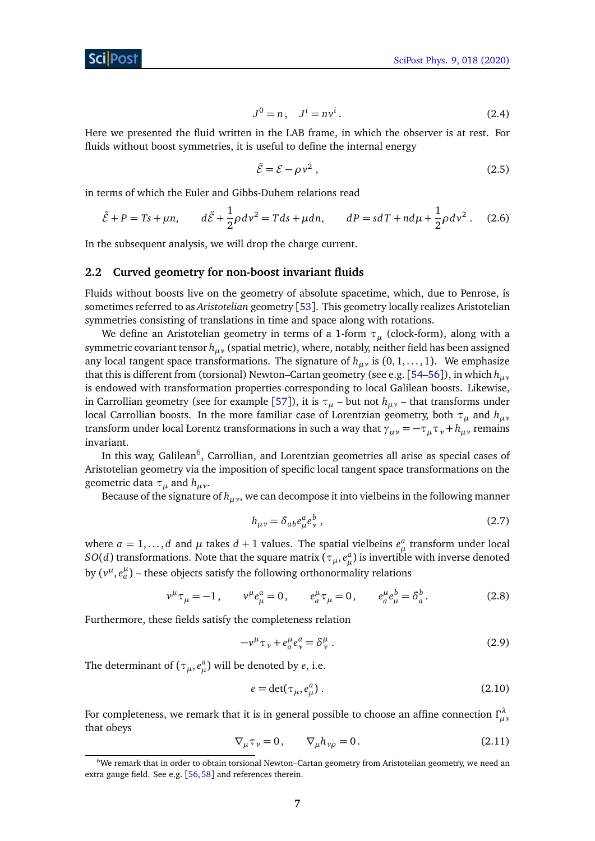$$
J^0 = n, \quad J^i = n v^i. \tag{2.4}
$$

Here we presented the fluid written in the LAB frame, in which the observer is at rest. For fluids without boost symmetries, it is useful to define the internal energy

$$
\tilde{\mathcal{E}} = \mathcal{E} - \rho v^2 \,,\tag{2.5}
$$

in terms of which the Euler and Gibbs-Duhem relations read

<span id="page-7-4"></span>
$$
\tilde{\mathcal{E}} + P = Ts + \mu n, \qquad d\tilde{\mathcal{E}} + \frac{1}{2}\rho dv^2 = Tds + \mu dn, \qquad dP = sdT + nd\mu + \frac{1}{2}\rho dv^2. \tag{2.6}
$$

In the subsequent analysis, we will drop the charge current.

#### <span id="page-7-0"></span>**2.2 Curved geometry for non-boost invariant fluids**

Fluids without boosts live on the geometry of absolute spacetime, which, due to Penrose, is sometimes referred to as *Aristotelian* geometry [[53](#page-41-10)]. This geometry locally realizes Aristotelian symmetries consisting of translations in time and space along with rotations.

We define an Aristotelian geometry in terms of a 1-form *τ<sup>µ</sup>* (clock-form), along with a symmetric covariant tensor *hµν* (spatial metric), where, notably, neither field has been assigned any local tangent space transformations. The signature of  $h_{\mu\nu}$  is  $(0, 1, \ldots, 1)$ . We emphasize that this is different from (torsional) Newton–Cartan geometry (see e.g. [[54–](#page-41-11)[56](#page-42-0)]), in which *hµν* is endowed with transformation properties corresponding to local Galilean boosts. Likewise, in Carrollian geometry (see for example [[57](#page-42-1)]), it is  $\tau$ <sub>*u*</sub> – but not  $h$ <sub>*uv*</sub> – that transforms under local Carrollian boosts. In the more familiar case of Lorentzian geometry, both *τ<sup>µ</sup>* and *hµν* transform under local Lorentz transformations in such a way that  $\gamma_{\mu\nu} = -\tau_{\mu}\tau_{\nu} + h_{\mu\nu}$  remains invariant.

In this way, Galilean<sup>[6](#page-7-1)</sup>, Carrollian, and Lorentzian geometries all arise as special cases of Aristotelian geometry via the imposition of specific local tangent space transformations on the geometric data *τ<sup>µ</sup>* and *hµν*.

Because of the signature of  $h_{\mu\nu}$ , we can decompose it into vielbeins in the following manner

$$
h_{\mu\nu} = \delta_{ab} e^a_\mu e^b_\nu \,,\tag{2.7}
$$

where  $a = 1, ..., d$  and  $\mu$  takes  $d + 1$  values. The spatial vielbeins  $e^a_\mu$  transform under local  $SO(d)$  transformations. Note that the square matrix ( $\tau_{\mu}, e^a_{\mu}$ ) is invertible with inverse denoted by  $(v^{\mu}, e^{\mu}_{a})$  – these objects satisfy the following orthonormality relations

$$
v^{\mu}\tau_{\mu} = -1, \qquad v^{\mu}e^a_{\mu} = 0, \qquad e^{\mu}_a\tau_{\mu} = 0, \qquad e^{\mu}_a e^b_{\mu} = \delta^b_a. \tag{2.8}
$$

Furthermore, these fields satisfy the completeness relation

<span id="page-7-3"></span>
$$
-v^{\mu}\tau_{\nu} + e^{\mu}_{a}e^a_{\nu} = \delta^{\mu}_{\nu}.
$$
 (2.9)

The determinant of  $(\tau_{\mu}, e_{\mu}^{a})$  will be denoted by *e*, i.e.

$$
e = \det(\tau_{\mu}, e_{\mu}^{a}). \qquad (2.10)
$$

<span id="page-7-2"></span>For completeness, we remark that it is in general possible to choose an affine connection  $\Gamma^\lambda_{\mu\nu}$ that obeys

$$
\nabla_{\mu}\tau_{\nu}=0, \qquad \nabla_{\mu}h_{\nu\rho}=0. \qquad (2.11)
$$

<span id="page-7-1"></span><sup>6</sup>We remark that in order to obtain torsional Newton–Cartan geometry from Aristotelian geometry, we need an extra gauge field. See e.g. [[56,](#page-42-0)[58](#page-42-2)] and references therein.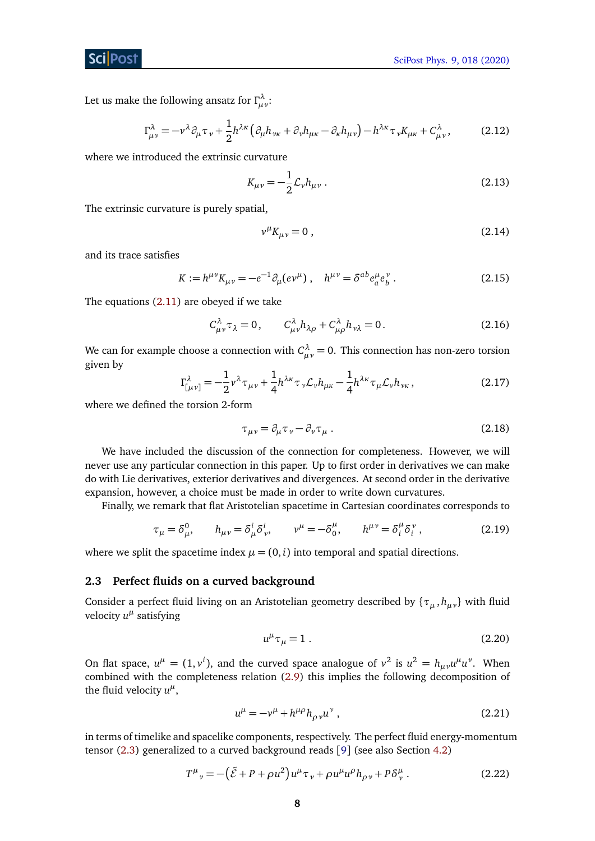Let us make the following ansatz for  $\Gamma_{\mu\nu}^\lambda$  :

$$
\Gamma^{\lambda}_{\mu\nu} = -\nu^{\lambda}\partial_{\mu}\tau_{\nu} + \frac{1}{2}h^{\lambda\kappa}\left(\partial_{\mu}h_{\nu\kappa} + \partial_{\nu}h_{\mu\kappa} - \partial_{\kappa}h_{\mu\nu}\right) - h^{\lambda\kappa}\tau_{\nu}K_{\mu\kappa} + C^{\lambda}_{\mu\nu},\tag{2.12}
$$

where we introduced the extrinsic curvature

<span id="page-8-6"></span>
$$
K_{\mu\nu} = -\frac{1}{2} \mathcal{L}_{\nu} h_{\mu\nu} \,. \tag{2.13}
$$

The extrinsic curvature is purely spatial,

$$
v^{\mu}K_{\mu\nu} = 0 \tag{2.14}
$$

and its trace satisfies

<span id="page-8-4"></span>
$$
K := h^{\mu\nu} K_{\mu\nu} = -e^{-1} \partial_{\mu} (e^{\nu\mu}) \,, \quad h^{\mu\nu} = \delta^{ab} e^{\mu}_a e^{\nu}_b \,. \tag{2.15}
$$

The equations [\(2.11\)](#page-7-2) are obeyed if we take

$$
C_{\mu\nu}^{\lambda}\tau_{\lambda} = 0, \qquad C_{\mu\nu}^{\lambda}h_{\lambda\rho} + C_{\mu\rho}^{\lambda}h_{\nu\lambda} = 0. \tag{2.16}
$$

We can for example choose a connection with  $C_{\mu\nu}^\lambda=0.$  This connection has non-zero torsion given by

$$
\Gamma^{\lambda}_{[\mu\nu]} = -\frac{1}{2} \nu^{\lambda} \tau_{\mu\nu} + \frac{1}{4} h^{\lambda\kappa} \tau_{\nu} \mathcal{L}_{\nu} h_{\mu\kappa} - \frac{1}{4} h^{\lambda\kappa} \tau_{\mu} \mathcal{L}_{\nu} h_{\nu\kappa}, \qquad (2.17)
$$

where we defined the torsion 2-form

<span id="page-8-5"></span>
$$
\tau_{\mu\nu} = \partial_{\mu}\tau_{\nu} - \partial_{\nu}\tau_{\mu} \,. \tag{2.18}
$$

We have included the discussion of the connection for completeness. However, we will never use any particular connection in this paper. Up to first order in derivatives we can make do with Lie derivatives, exterior derivatives and divergences. At second order in the derivative expansion, however, a choice must be made in order to write down curvatures.

Finally, we remark that flat Aristotelian spacetime in Cartesian coordinates corresponds to

<span id="page-8-2"></span>
$$
\tau_{\mu} = \delta^0_{\mu}, \qquad h_{\mu\nu} = \delta^i_{\mu} \delta^i_{\nu}, \qquad \nu^{\mu} = -\delta^{\mu}_0, \qquad h^{\mu\nu} = \delta^{\mu}_i \delta^{\nu}_i,
$$
 (2.19)

where we split the spacetime index  $\mu = (0, i)$  into temporal and spatial directions.

#### <span id="page-8-0"></span>**2.3 Perfect fluids on a curved background**

Consider a perfect fluid living on an Aristotelian geometry described by {*τ<sup>µ</sup>* , *hµν*} with fluid velocity  $u^{\mu}$  satisfying

<span id="page-8-1"></span>
$$
u^{\mu}\tau_{\mu} = 1. \tag{2.20}
$$

On flat space,  $u^{\mu} = (1, v^{i})$ , and the curved space analogue of  $v^{2}$  is  $u^{2} = h_{\mu\nu}u^{\mu}u^{\nu}$ . When combined with the completeness relation [\(2.9\)](#page-7-3) this implies the following decomposition of the fluid velocity  $u^{\mu}$ ,

<span id="page-8-3"></span>
$$
u^{\mu} = -v^{\mu} + h^{\mu \rho} h_{\rho \nu} u^{\nu} , \qquad (2.21)
$$

in terms of timelike and spacelike components, respectively. The perfect fluid energy-momentum tensor [\(2.3\)](#page-6-5) generalized to a curved background reads [[9](#page-39-3)] (see also Section [4.2\)](#page-15-0)

$$
T^{\mu}{}_{\nu} = -(\tilde{\mathcal{E}} + P + \rho u^2) u^{\mu} \tau_{\nu} + \rho u^{\mu} u^{\rho} h_{\rho \nu} + P \delta^{\mu}_{\nu} . \tag{2.22}
$$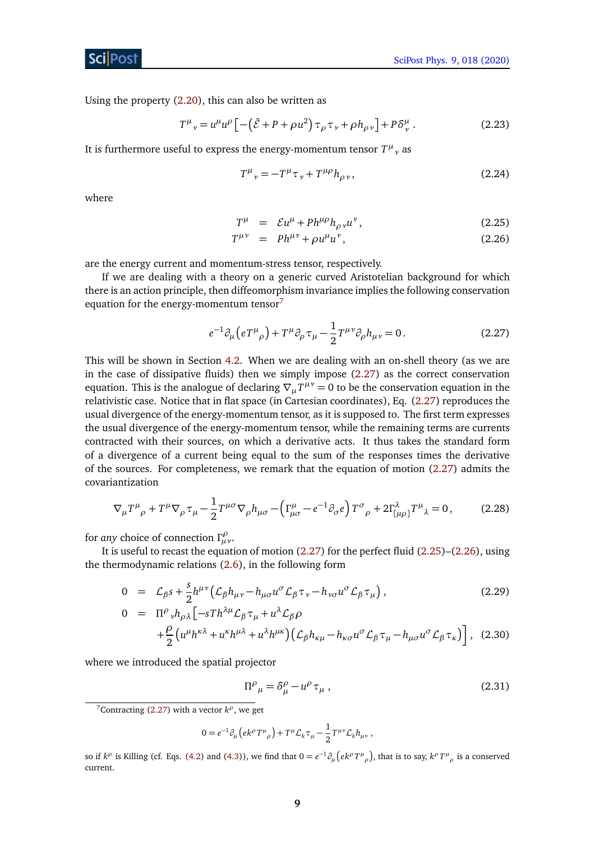Using the property [\(2.20\)](#page-8-1), this can also be written as

$$
T^{\mu}{}_{\nu} = u^{\mu}u^{\rho}\left[-\left(\tilde{\mathcal{E}} + P + \rho u^2\right)\tau_{\rho}\tau_{\nu} + \rho h_{\rho\nu}\right] + P\delta^{\mu}_{\nu}.
$$
 (2.23)

It is furthermore useful to express the energy-momentum tensor  $T^{\mu}{}_{\nu}$  as

<span id="page-9-4"></span>
$$
T^{\mu}{}_{\nu} = -T^{\mu}\tau_{\nu} + T^{\mu\rho}h_{\rho\nu},\tag{2.24}
$$

where

<span id="page-9-2"></span>
$$
T^{\mu} = \mathcal{E}u^{\mu} + Ph^{\mu\rho}h_{\rho\nu}u^{\nu}, \qquad (2.25)
$$

$$
T^{\mu\nu} = Ph^{\mu\nu} + \rho u^{\mu} u^{\nu}, \qquad (2.26)
$$

are the energy current and momentum-stress tensor, respectively.

If we are dealing with a theory on a generic curved Aristotelian background for which there is an action principle, then diffeomorphism invariance implies the following conservation equation for the energy-momentum tensor $<sup>7</sup>$  $<sup>7</sup>$  $<sup>7</sup>$ </sup>

<span id="page-9-1"></span>
$$
e^{-1}\partial_{\mu}\left(eT^{\mu}{}_{\rho}\right) + T^{\mu}\partial_{\rho}\tau_{\mu} - \frac{1}{2}T^{\mu\nu}\partial_{\rho}h_{\mu\nu} = 0. \qquad (2.27)
$$

This will be shown in Section [4.2.](#page-15-0) When we are dealing with an on-shell theory (as we are in the case of dissipative fluids) then we simply impose [\(2.27\)](#page-9-1) as the correct conservation equation. This is the analogue of declaring  $\nabla_{\mu}T^{\mu\nu} = 0$  to be the conservation equation in the relativistic case. Notice that in flat space (in Cartesian coordinates), Eq. [\(2.27\)](#page-9-1) reproduces the usual divergence of the energy-momentum tensor, as it is supposed to. The first term expresses the usual divergence of the energy-momentum tensor, while the remaining terms are currents contracted with their sources, on which a derivative acts. It thus takes the standard form of a divergence of a current being equal to the sum of the responses times the derivative of the sources. For completeness, we remark that the equation of motion [\(2.27\)](#page-9-1) admits the covariantization

$$
\nabla_{\mu}T^{\mu}{}_{\rho} + T^{\mu}\nabla_{\rho}\tau_{\mu} - \frac{1}{2}T^{\mu\sigma}\nabla_{\rho}h_{\mu\sigma} - \left(\Gamma^{\mu}_{\mu\sigma} - e^{-1}\partial_{\sigma}e\right)T^{\sigma}{}_{\rho} + 2\Gamma^{\lambda}_{\left[\mu\rho\right]}T^{\mu}{}_{\lambda} = 0, \tag{2.28}
$$

for *any* choice of connection *Γ ρ µν*.

It is useful to recast the equation of motion [\(2.27\)](#page-9-1) for the perfect fluid [\(2.25\)](#page-9-2)–[\(2.26\)](#page-9-2), using the thermodynamic relations [\(2.6\)](#page-7-4), in the following form

<span id="page-9-3"></span>
$$
0 = \mathcal{L}_{\beta} s + \frac{s}{2} h^{\mu\nu} \left( \mathcal{L}_{\beta} h_{\mu\nu} - h_{\mu\sigma} u^{\sigma} \mathcal{L}_{\beta} \tau_{\nu} - h_{\nu\sigma} u^{\sigma} \mathcal{L}_{\beta} \tau_{\mu} \right),
$$
\n
$$
0 = \Pi^{\rho} {}_{\nu} h_{\rho\lambda} \left[ -s Th^{\lambda\mu} \mathcal{L}_{\beta} \tau_{\mu} + u^{\lambda} \mathcal{L}_{\beta} \rho \right] + \frac{\rho}{2} \left( u^{\mu} h^{\kappa\lambda} + u^{\kappa} h^{\mu\lambda} + u^{\lambda} h^{\mu\kappa} \right) \left( \mathcal{L}_{\beta} h_{\kappa\mu} - h_{\kappa\sigma} u^{\sigma} \mathcal{L}_{\beta} \tau_{\mu} - h_{\mu\sigma} u^{\sigma} \mathcal{L}_{\beta} \tau_{\kappa} \right) ,
$$
\n(2.30)

where we introduced the spatial projector

2

$$
\Pi^{\rho}{}_{\mu} = \delta^{\rho}_{\mu} - u^{\rho} \tau_{\mu} \,, \tag{2.31}
$$

$$
0 = e^{-1} \partial_\mu \left( e k^\rho T^\mu_{\ \rho} \right) + T^\mu \mathcal{L}_k \tau_\mu - \frac{1}{2} T^{\mu \nu} \mathcal{L}_k h_{\mu \nu} \ ,
$$

<span id="page-9-0"></span><sup>&</sup>lt;sup>7</sup>Contracting [\(2.27\)](#page-9-1) with a vector  $k^{\rho}$ , we get

so if  $k^{\rho}$  is Killing (cf. Eqs. [\(4.2\)](#page-13-0) and [\(4.3\)](#page-13-0)), we find that  $0=e^{-1}\partial_{\mu}\left(ek^{\rho}T^{\mu}{}_{\rho}\right)$ , that is to say,  $k^{\rho}T^{\mu}{}_{\rho}$  is a conserved current.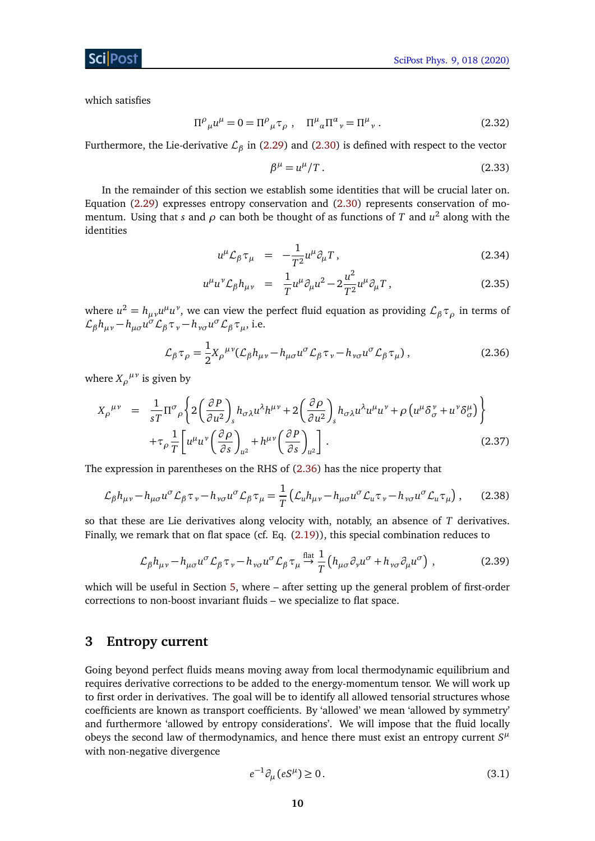#### ScilPos<sup>.</sup>

which satisfies

$$
\Pi^{\rho}{}_{\mu}u^{\mu} = 0 = \Pi^{\rho}{}_{\mu}\tau_{\rho} , \quad \Pi^{\mu}{}_{\alpha}\Pi^{\alpha}{}_{\nu} = \Pi^{\mu}{}_{\nu} . \tag{2.32}
$$

Furthermore, the Lie-derivative L*<sup>β</sup>* in [\(2.29\)](#page-9-3) and [\(2.30\)](#page-9-3) is defined with respect to the vector

$$
\beta^{\mu} = u^{\mu}/T. \tag{2.33}
$$

In the remainder of this section we establish some identities that will be crucial later on. Equation [\(2.29\)](#page-9-3) expresses entropy conservation and [\(2.30\)](#page-9-3) represents conservation of momentum. Using that *s* and *ρ* can both be thought of as functions of *T* and *u* 2 along with the identities

$$
u^{\mu} \mathcal{L}_{\beta} \tau_{\mu} = -\frac{1}{T^2} u^{\mu} \partial_{\mu} T , \qquad (2.34)
$$

$$
u^{\mu}u^{\nu}\mathcal{L}_{\beta}h_{\mu\nu} = \frac{1}{T}u^{\mu}\partial_{\mu}u^{2} - 2\frac{u^{2}}{T^{2}}u^{\mu}\partial_{\mu}T, \qquad (2.35)
$$

where  $u^2 = h_{\mu\nu}u^{\mu}u^{\nu}$ , we can view the perfect fluid equation as providing  $\mathcal{L}_{\beta}\tau_{\rho}$  in terms of  $\mathcal{L}_{\beta} h_{\mu\nu} - h_{\mu\sigma} u^{\sigma} \mathcal{L}_{\beta} \tau_{\nu} - h_{\nu\sigma} u^{\sigma} \mathcal{L}_{\beta} \tau_{\mu}$ , i.e.

<span id="page-10-1"></span>
$$
\mathcal{L}_{\beta}\tau_{\rho} = \frac{1}{2}X_{\rho}^{\mu\nu}(\mathcal{L}_{\beta}h_{\mu\nu} - h_{\mu\sigma}u^{\sigma}\mathcal{L}_{\beta}\tau_{\nu} - h_{\nu\sigma}u^{\sigma}\mathcal{L}_{\beta}\tau_{\mu}),
$$
\n(2.36)

where  $X_{\rho}^{\mu\nu}$  is given by

<span id="page-10-3"></span>
$$
X_{\rho}^{\mu\nu} = \frac{1}{sT} \Pi^{\sigma}{}_{\rho} \left\{ 2 \left( \frac{\partial P}{\partial u^2} \right)_{s} h_{\sigma\lambda} u^{\lambda} h^{\mu\nu} + 2 \left( \frac{\partial \rho}{\partial u^2} \right)_{s} h_{\sigma\lambda} u^{\lambda} u^{\mu} u^{\nu} + \rho \left( u^{\mu} \delta^{\nu}_{\sigma} + u^{\nu} \delta^{\mu}_{\sigma} \right) \right\} + \tau_{\rho} \frac{1}{T} \left[ u^{\mu} u^{\nu} \left( \frac{\partial \rho}{\partial s} \right)_{u^2} + h^{\mu\nu} \left( \frac{\partial P}{\partial s} \right)_{u^2} \right].
$$
 (2.37)

The expression in parentheses on the RHS of [\(2.36\)](#page-10-1) has the nice property that

$$
\mathcal{L}_{\beta} h_{\mu\nu} - h_{\mu\sigma} u^{\sigma} \mathcal{L}_{\beta} \tau_{\nu} - h_{\nu\sigma} u^{\sigma} \mathcal{L}_{\beta} \tau_{\mu} = \frac{1}{T} \left( \mathcal{L}_{u} h_{\mu\nu} - h_{\mu\sigma} u^{\sigma} \mathcal{L}_{u} \tau_{\nu} - h_{\nu\sigma} u^{\sigma} \mathcal{L}_{u} \tau_{\mu} \right), \qquad (2.38)
$$

so that these are Lie derivatives along velocity with, notably, an absence of *T* derivatives. Finally, we remark that on flat space (cf. Eq. [\(2.19\)](#page-8-2)), this special combination reduces to

$$
\mathcal{L}_{\beta} h_{\mu\nu} - h_{\mu\sigma} u^{\sigma} \mathcal{L}_{\beta} \tau_{\nu} - h_{\nu\sigma} u^{\sigma} \mathcal{L}_{\beta} \tau_{\mu} \stackrel{\text{flat}}{\rightarrow} \frac{1}{T} \left( h_{\mu\sigma} \partial_{\nu} u^{\sigma} + h_{\nu\sigma} \partial_{\mu} u^{\sigma} \right) , \qquad (2.39)
$$

which will be useful in Section [5,](#page-25-0) where – after setting up the general problem of first-order corrections to non-boost invariant fluids – we specialize to flat space.

## <span id="page-10-0"></span>**3 Entropy current**

Going beyond perfect fluids means moving away from local thermodynamic equilibrium and requires derivative corrections to be added to the energy-momentum tensor. We will work up to first order in derivatives. The goal will be to identify all allowed tensorial structures whose coefficients are known as transport coefficients. By 'allowed' we mean 'allowed by symmetry' and furthermore 'allowed by entropy considerations'. We will impose that the fluid locally obeys the second law of thermodynamics, and hence there must exist an entropy current  $S<sup>\mu</sup>$ with non-negative divergence

<span id="page-10-2"></span>
$$
e^{-1}\partial_{\mu}(eS^{\mu}) \ge 0. \tag{3.1}
$$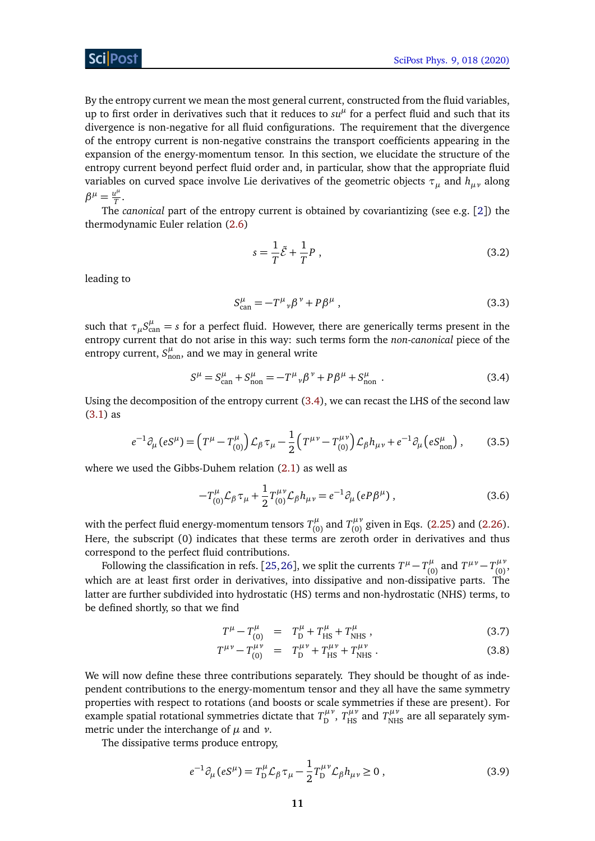By the entropy current we mean the most general current, constructed from the fluid variables, up to first order in derivatives such that it reduces to  $su<sup>\mu</sup>$  for a perfect fluid and such that its divergence is non-negative for all fluid configurations. The requirement that the divergence of the entropy current is non-negative constrains the transport coefficients appearing in the expansion of the energy-momentum tensor. In this section, we elucidate the structure of the entropy current beyond perfect fluid order and, in particular, show that the appropriate fluid variables on curved space involve Lie derivatives of the geometric objects *τ<sup>µ</sup>* and *hµν* along  $\beta^{\mu} = \frac{u^{\mu}}{T}$  $\frac{d^r}{T}$ .

The *canonical* part of the entropy current is obtained by covariantizing (see e.g. [[2](#page-38-2)]) the thermodynamic Euler relation [\(2.6\)](#page-7-4)

$$
s = \frac{1}{T}\tilde{\mathcal{E}} + \frac{1}{T}P\tag{3.2}
$$

leading to

$$
S_{\text{can}}^{\mu} = -T^{\mu}{}_{\nu}\beta^{\nu} + P\beta^{\mu} \,, \tag{3.3}
$$

such that  $\tau_{\mu}S^{\mu}_{\text{can}}=s$  for a perfect fluid. However, there are generically terms present in the entropy current that do not arise in this way: such terms form the *non-canonical* piece of the entropy current,  $S_{\text{non}}^{\mu}$ , and we may in general write

<span id="page-11-0"></span>
$$
S^{\mu} = S^{\mu}_{\text{can}} + S^{\mu}_{\text{non}} = -T^{\mu}{}_{\nu} \beta^{\nu} + P \beta^{\mu} + S^{\mu}_{\text{non}} \tag{3.4}
$$

Using the decomposition of the entropy current [\(3.4\)](#page-11-0), we can recast the LHS of the second law [\(3.1\)](#page-10-2) as

<span id="page-11-2"></span>
$$
e^{-1}\partial_{\mu}(eS^{\mu}) = \left(T^{\mu} - T^{\mu}_{(0)}\right)\mathcal{L}_{\beta}\tau_{\mu} - \frac{1}{2}\left(T^{\mu\nu} - T^{\mu\nu}_{(0)}\right)\mathcal{L}_{\beta}h_{\mu\nu} + e^{-1}\partial_{\mu}\left(eS^{\mu}_{\text{non}}\right),\tag{3.5}
$$

where we used the Gibbs-Duhem relation [\(2.1\)](#page-6-3) as well as

$$
-T_{(0)}^{\mu} \mathcal{L}_{\beta} \tau_{\mu} + \frac{1}{2} T_{(0)}^{\mu \nu} \mathcal{L}_{\beta} h_{\mu \nu} = e^{-1} \partial_{\mu} (eP\beta^{\mu}), \qquad (3.6)
$$

with the perfect fluid energy-momentum tensors  $T^{\mu}_{\mu\nu}$  $T^{\mu}_{(0)}$  and  $T^{\mu\nu}_{(0)}$  $C_{(0)}^{\mu\nu}$  given in Eqs. [\(2.25\)](#page-9-2) and [\(2.26\)](#page-9-2). Here, the subscript (0) indicates that these terms are zeroth order in derivatives and thus correspond to the perfect fluid contributions.

Following the classification in refs. [[25,](#page-40-0)[26](#page-40-1)], we split the currents  $T^{\mu} - T^{\mu}_{(0)}$  $T^{\mu\nu}_{(0)}$  and  $T^{\mu\nu} - T^{\mu\nu}_{(0)}$ ,μν<br>(0)' which are at least first order in derivatives, into dissipative and non-dissipative parts. The latter are further subdivided into hydrostatic (HS) terms and non-hydrostatic (NHS) terms, to be defined shortly, so that we find

<span id="page-11-1"></span>
$$
T^{\mu} - T^{\mu}_{(0)} = T^{\mu}_{D} + T^{\mu}_{HS} + T^{\mu}_{NHS} , \qquad (3.7)
$$

$$
T^{\mu\nu} - T_{(0)}^{\mu\nu} = T_D^{\mu\nu} + T_{\text{HS}}^{\mu\nu} + T_{\text{NHS}}^{\mu\nu} \,. \tag{3.8}
$$

We will now define these three contributions separately. They should be thought of as independent contributions to the energy-momentum tensor and they all have the same symmetry properties with respect to rotations (and boosts or scale symmetries if these are present). For example spatial rotational symmetries dictate that *T µν*  $T_{\rm D}^{\mu\nu}$ ,  $T_{\rm HS}^{\mu\nu}$  and  $T_{\rm NHS}^{\mu\nu}$  are all separately symmetric under the interchange of *µ* and *ν*.

The dissipative terms produce entropy,

$$
e^{-1}\partial_{\mu}(eS^{\mu}) = T_{\mathcal{D}}^{\mu}\mathcal{L}_{\beta}\tau_{\mu} - \frac{1}{2}T_{\mathcal{D}}^{\mu\nu}\mathcal{L}_{\beta}h_{\mu\nu} \ge 0 , \qquad (3.9)
$$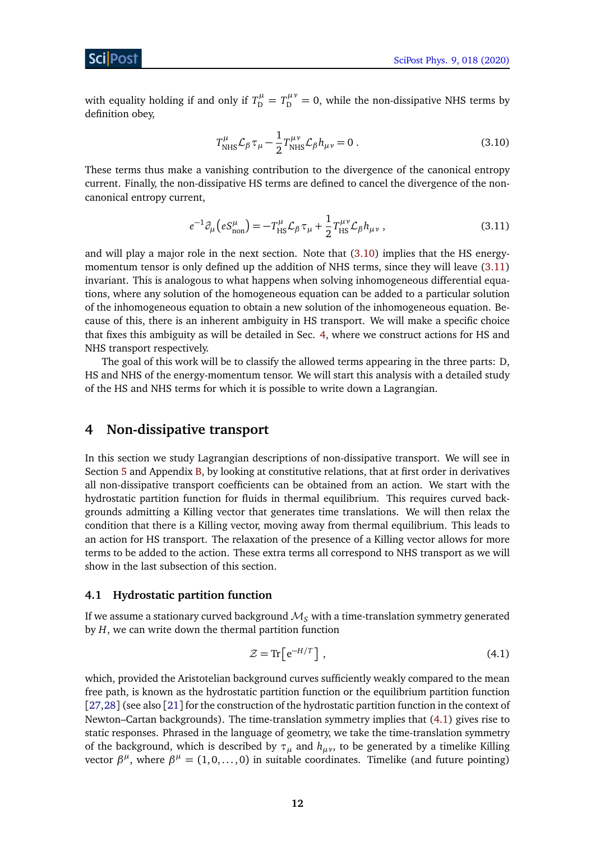with equality holding if and only if  $T_{\text{D}}^{\mu} = T_{\text{D}}^{\mu\nu} = 0$ , while the non-dissipative NHS terms by definition obey,

<span id="page-12-2"></span>
$$
T^{\mu}_{\text{NHS}} \mathcal{L}_{\beta} \tau_{\mu} - \frac{1}{2} T^{\mu \nu}_{\text{NHS}} \mathcal{L}_{\beta} h_{\mu \nu} = 0.
$$
 (3.10)

These terms thus make a vanishing contribution to the divergence of the canonical entropy current. Finally, the non-dissipative HS terms are defined to cancel the divergence of the noncanonical entropy current,

<span id="page-12-3"></span>
$$
e^{-1}\partial_{\mu}\left(eS_{\text{non}}^{\mu}\right) = -T_{\text{HS}}^{\mu}\mathcal{L}_{\beta}\tau_{\mu} + \frac{1}{2}T_{\text{HS}}^{\mu\nu}\mathcal{L}_{\beta}h_{\mu\nu}\,,\tag{3.11}
$$

and will play a major role in the next section. Note that [\(3.10\)](#page-12-2) implies that the HS energymomentum tensor is only defined up the addition of NHS terms, since they will leave [\(3.11\)](#page-12-3) invariant. This is analogous to what happens when solving inhomogeneous differential equations, where any solution of the homogeneous equation can be added to a particular solution of the inhomogeneous equation to obtain a new solution of the inhomogeneous equation. Because of this, there is an inherent ambiguity in HS transport. We will make a specific choice that fixes this ambiguity as will be detailed in Sec. [4,](#page-12-0) where we construct actions for HS and NHS transport respectively.

The goal of this work will be to classify the allowed terms appearing in the three parts: D, HS and NHS of the energy-momentum tensor. We will start this analysis with a detailed study of the HS and NHS terms for which it is possible to write down a Lagrangian.

## <span id="page-12-0"></span>**4 Non-dissipative transport**

In this section we study Lagrangian descriptions of non-dissipative transport. We will see in Section [5](#page-25-0) and Appendix [B,](#page-36-0) by looking at constitutive relations, that at first order in derivatives all non-dissipative transport coefficients can be obtained from an action. We start with the hydrostatic partition function for fluids in thermal equilibrium. This requires curved backgrounds admitting a Killing vector that generates time translations. We will then relax the condition that there is a Killing vector, moving away from thermal equilibrium. This leads to an action for HS transport. The relaxation of the presence of a Killing vector allows for more terms to be added to the action. These extra terms all correspond to NHS transport as we will show in the last subsection of this section.

#### <span id="page-12-1"></span>**4.1 Hydrostatic partition function**

If we assume a stationary curved background  $\mathcal{M}_S$  with a time-translation symmetry generated by *H*, we can write down the thermal partition function

<span id="page-12-4"></span>
$$
\mathcal{Z} = \text{Tr}\left[e^{-H/T}\right],\tag{4.1}
$$

which, provided the Aristotelian background curves sufficiently weakly compared to the mean free path, is known as the hydrostatic partition function or the equilibrium partition function [[27,](#page-40-2)[28](#page-40-3)] (see also [[21](#page-39-14)] for the construction of the hydrostatic partition function in the context of Newton–Cartan backgrounds). The time-translation symmetry implies that [\(4.1\)](#page-12-4) gives rise to static responses. Phrased in the language of geometry, we take the time-translation symmetry of the background, which is described by  $\tau_{\mu}$  and  $h_{\mu\nu}$ , to be generated by a timelike Killing vector  $\beta^{\mu}$ , where  $\beta^{\mu} = (1, 0, \dots, 0)$  in suitable coordinates. Timelike (and future pointing)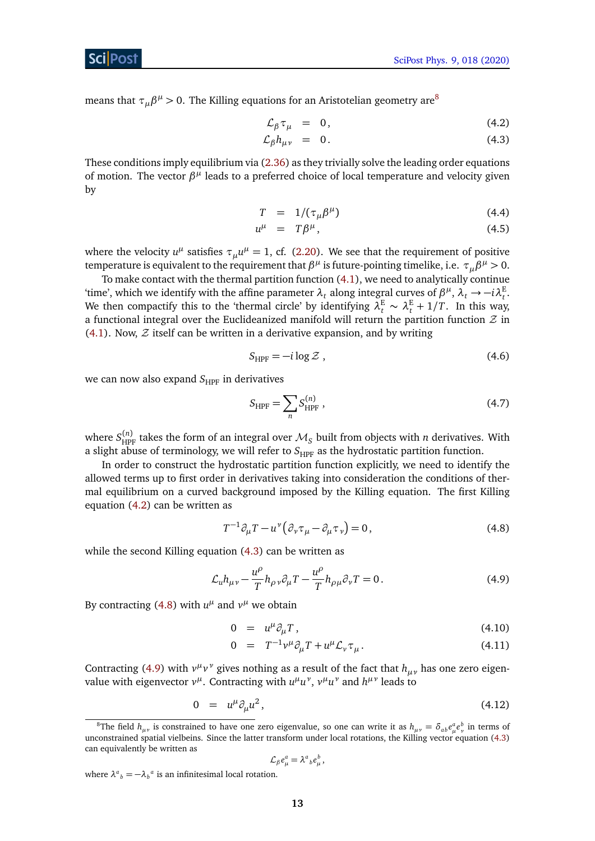means that  $\tau_{\mu}\beta^{\mu} > 0.$  The Killing equations for an Aristotelian geometry are $^{8}$  $^{8}$  $^{8}$ 

<span id="page-13-0"></span>
$$
\mathcal{L}_{\beta} \tau_{\mu} = 0, \qquad (4.2)
$$

$$
\mathcal{L}_{\beta}h_{\mu\nu} = 0. \tag{4.3}
$$

These conditions imply equilibrium via [\(2.36\)](#page-10-1) as they trivially solve the leading order equations of motion. The vector  $β<sup>μ</sup>$  leads to a preferred choice of local temperature and velocity given by

$$
T = 1/(\tau_{\mu} \beta^{\mu}) \tag{4.4}
$$

$$
u^{\mu} = T\beta^{\mu}, \qquad (4.5)
$$

where the velocity  $u^{\mu}$  satisfies  $\tau_{\mu}u^{\mu} = 1$ , cf. [\(2.20\)](#page-8-1). We see that the requirement of positive temperature is equivalent to the requirement that  $β<sup>μ</sup>$  is future-pointing timelike, i.e.  $τ<sub>μ</sub>β<sup>μ</sup> > 0$ .

To make contact with the thermal partition function [\(4.1\)](#page-12-4), we need to analytically continue 'time', which we identify with the affine parameter  $\lambda_t$  along integral curves of  $\beta^{\mu}$ ,  $\lambda_t \to -i\lambda_t^E$ . We then compactify this to the 'thermal circle' by identifying  $\lambda_t^E \sim \lambda_t^E + 1/T$ . In this way, a functional integral over the Euclideanized manifold will return the partition function  $\mathcal Z$  in  $(4.1)$ . Now,  $\mathcal Z$  itself can be written in a derivative expansion, and by writing

$$
S_{\text{HPF}} = -i \log \mathcal{Z} \tag{4.6}
$$

we can now also expand  $S_{HPF}$  in derivatives

$$
S_{\text{HPF}} = \sum_{n} S_{\text{HPF}}^{(n)} \,, \tag{4.7}
$$

where  $S^{(n)}_{\text{HPF}}$  takes the form of an integral over  $\mathcal{M}_S$  built from objects with  $n$  derivatives. With a slight abuse of terminology, we will refer to S<sub>HPF</sub> as the hydrostatic partition function.

In order to construct the hydrostatic partition function explicitly, we need to identify the allowed terms up to first order in derivatives taking into consideration the conditions of thermal equilibrium on a curved background imposed by the Killing equation. The first Killing equation [\(4.2\)](#page-13-0) can be written as

<span id="page-13-3"></span><span id="page-13-2"></span>
$$
T^{-1}\partial_{\mu}T - u^{\nu}\left(\partial_{\nu}\tau_{\mu} - \partial_{\mu}\tau_{\nu}\right) = 0, \qquad (4.8)
$$

while the second Killing equation [\(4.3\)](#page-13-0) can be written as

$$
\mathcal{L}_{u}h_{\mu\nu} - \frac{u^{\rho}}{T}h_{\rho\nu}\partial_{\mu}T - \frac{u^{\rho}}{T}h_{\rho\mu}\partial_{\nu}T = 0.
$$
\n(4.9)

By contracting [\(4.8\)](#page-13-2) with  $u^{\mu}$  and  $v^{\mu}$  we obtain

<span id="page-13-4"></span>
$$
0 = u^{\mu} \partial_{\mu} T, \qquad (4.10)
$$

$$
0 = T^{-1}v^{\mu}\partial_{\mu}T + u^{\mu}\mathcal{L}_{\nu}\tau_{\mu}.
$$
 (4.11)

Contracting [\(4.9\)](#page-13-3) with  $v^{\mu}v^{\nu}$  gives nothing as a result of the fact that  $h_{\mu\nu}$  has one zero eigen*value with eigenvector*  $ν<sup>μ</sup>$ *.* Contracting with  $u<sup>μ</sup>u<sup>ν</sup>$ ,  $ν<sup>μ</sup>u<sup>ν</sup>$  and  $h<sup>μν</sup>$  leads to

<span id="page-13-5"></span>
$$
0 = u^{\mu} \partial_{\mu} u^{2}, \qquad (4.12)
$$

$$
\mathcal{L}_{\beta}e_{\mu}^{a}=\lambda_{b}^{a}e_{\mu}^{b},
$$

where  $\lambda^a{}_b = -\lambda_b{}^a$  is an infinitesimal local rotation.

<span id="page-13-1"></span> ${}^8\text{The field } h_{\mu\nu}$  is constrained to have one zero eigenvalue, so one can write it as  $h_{\mu\nu} = \delta_{ab}e^a_\mu e^b_\nu$  in terms of unconstrained spatial vielbeins. Since the latter transform under local rotations, the Killing vector equation [\(4.3\)](#page-13-0) can equivalently be written as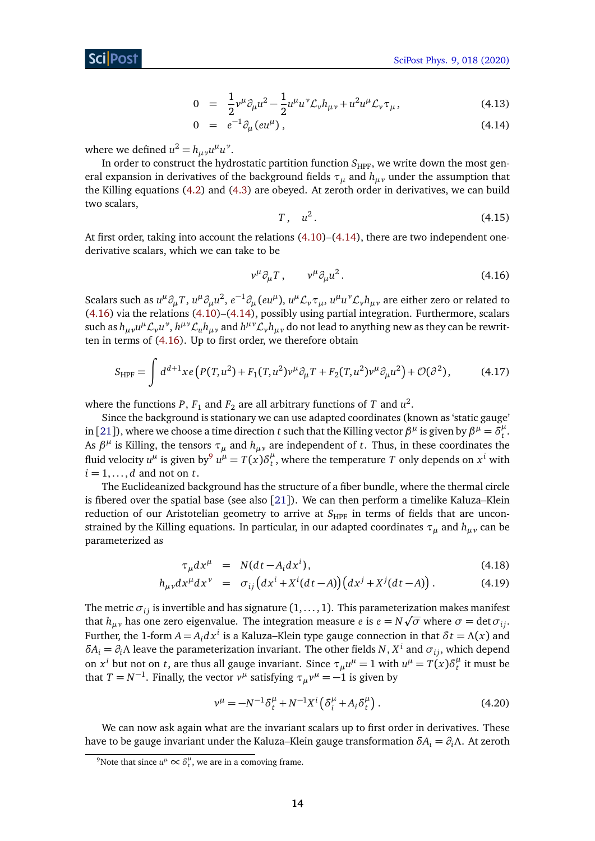$$
0 = \frac{1}{2}v^{\mu}\partial_{\mu}u^{2} - \frac{1}{2}u^{\mu}u^{\nu}\mathcal{L}_{\nu}h_{\mu\nu} + u^{2}u^{\mu}\mathcal{L}_{\nu}\tau_{\mu}, \qquad (4.13)
$$

$$
0 = e^{-1} \partial_{\mu} (e u^{\mu}), \qquad (4.14)
$$

where we defined  $u^2 = h_{\mu\nu}u^{\mu}u^{\nu}$ .

In order to construct the hydrostatic partition function  $S_{HPF}$ , we write down the most general expansion in derivatives of the background fields *τ<sup>µ</sup>* and *hµν* under the assumption that the Killing equations [\(4.2\)](#page-13-0) and [\(4.3\)](#page-13-0) are obeyed. At zeroth order in derivatives, we can build two scalars,

<span id="page-14-0"></span>
$$
T, u^2. \tag{4.15}
$$

At first order, taking into account the relations [\(4.10\)](#page-13-4)–[\(4.14\)](#page-13-5), there are two independent onederivative scalars, which we can take to be

<span id="page-14-2"></span>
$$
v^{\mu}\partial_{\mu}T, \qquad v^{\mu}\partial_{\mu}u^{2}.
$$
\n(4.16)

Scalars such as  $u^{\mu}\partial_{\mu}T$ ,  $u^{\mu}\partial_{\mu}u^2$ ,  $e^{-1}\partial_{\mu}(eu^{\mu})$ ,  $u^{\mu}\mathcal{L}_{\nu}\tau_{\mu}$ ,  $u^{\mu}u^{\nu}\mathcal{L}_{\nu}h_{\mu\nu}$  are either zero or related to [\(4.16\)](#page-14-0) via the relations [\(4.10\)](#page-13-4)–[\(4.14\)](#page-13-5), possibly using partial integration. Furthermore, scalars such as  $h_{\mu\nu}u^\mu \mathcal{L}_\nu u^\nu$ ,  $h^{\mu\nu}\mathcal{L}_uh_{\mu\nu}$  and  $h^{\mu\nu}\mathcal{L}_\nu h_{\mu\nu}$  do not lead to anything new as they can be rewritten in terms of [\(4.16\)](#page-14-0). Up to first order, we therefore obtain

$$
S_{\text{HPF}} = \int d^{d+1}x e \left( P(T, u^2) + F_1(T, u^2) v^\mu \partial_\mu T + F_2(T, u^2) v^\mu \partial_\mu u^2 \right) + \mathcal{O}(\partial^2), \tag{4.17}
$$

where the functions  $P$ ,  $F_1$  and  $F_2$  are all arbitrary functions of  $T$  and  $u^2$ .

Since the background is stationary we can use adapted coordinates (known as 'static gauge' in [[21](#page-39-14)]), where we choose a time direction *t* such that the Killing vector  $\beta^{\mu}$  is given by  $\beta^{\mu}=\delta^{\mu}_t$ *t* . As  $\beta^{\mu}$  is Killing, the tensors  $\tau_{\mu}$  and  $h_{\mu\nu}$  are independent of *t*. Thus, in these coordinates the fluid velocity  $u^{\mu}$  is given by<sup>[9](#page-14-1)</sup>  $u^{\mu} = T(x)\delta^{\mu}_t$  $t<sup>\mu</sup>$ , where the temperature *T* only depends on  $x<sup>i</sup>$  with  $i = 1, \ldots, d$  and not on  $t$ .

The Euclideanized background has the structure of a fiber bundle, where the thermal circle is fibered over the spatial base (see also [[21](#page-39-14)]). We can then perform a timelike Kaluza–Klein reduction of our Aristotelian geometry to arrive at  $S_{HPF}$  in terms of fields that are unconstrained by the Killing equations. In particular, in our adapted coordinates  $\tau_{\mu}$  and  $h_{\mu\nu}$  can be parameterized as

$$
\tau_{\mu} dx^{\mu} = N(dt - A_i dx^i), \qquad (4.18)
$$

$$
h_{\mu\nu}dx^{\mu}dx^{\nu} = \sigma_{ij}\left(dx^i + X^i(dt - A)\right)\left(dx^j + X^j(dt - A)\right). \tag{4.19}
$$

The metric  $\sigma_{ij}$  is invertible and has signature  $(1,\ldots,1).$  This parameterization makes manifest that  $h_{\mu\nu}$  has one zero eigenvalue. The integration measure  $e$  is  $e = N\sqrt{\sigma}$  where  $\sigma = \det\sigma_{ij}$ . Further, the 1-form  $A = A_i dx^i$  is a Kaluza–Klein type gauge connection in that  $\delta t = \Lambda(x)$  and *δA*<sub>*i*</sub> = *∂*<sub>*i*</sub></sub> $\Lambda$  leave the parameterization invariant. The other fields *N*, *X*<sup>*i*</sup> and *σ*<sub>*i*j</sub>, which depend on  $x^i$  but not on *t*, are thus all gauge invariant. Since  $\tau_\mu u^\mu = 1$  with  $u^\mu = T(x) \delta^\mu_t$  $t$ <sup> $\mu$ </sup> it must be that  $T = N^{-1}$ . Finally, the vector  $v^{\mu}$  satisfying  $\tau_{\mu}v^{\mu} = -1$  is given by

$$
v^{\mu} = -N^{-1} \delta_t^{\mu} + N^{-1} X^i \left( \delta_i^{\mu} + A_i \delta_t^{\mu} \right). \tag{4.20}
$$

We can now ask again what are the invariant scalars up to first order in derivatives. These have to be gauge invariant under the Kaluza–Klein gauge transformation *δA<sup>i</sup>* = *∂iΛ*. At zeroth

<span id="page-14-1"></span> $^9$ Note that since  $u^{\mu} \propto \delta^{\mu}_t$ , we are in a comoving frame.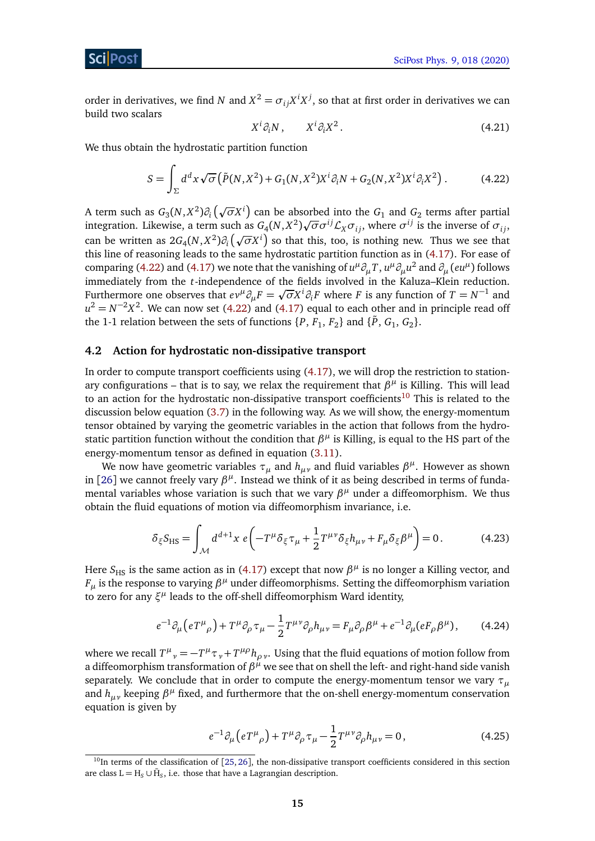order in derivatives, we find *N* and  $X^2 = \sigma_{ij} X^i X^j$ , so that at first order in derivatives we can build two scalars

<span id="page-15-1"></span>
$$
X^i \partial_i N, \qquad X^i \partial_i X^2. \tag{4.21}
$$

We thus obtain the hydrostatic partition function

$$
S = \int_{\Sigma} d^d x \sqrt{\sigma} \left( \tilde{P}(N, X^2) + G_1(N, X^2) X^i \partial_i N + G_2(N, X^2) X^i \partial_i X^2 \right). \tag{4.22}
$$

A term such as  $G_3(N, X^2) \partial_i (\sqrt{\sigma} X^i)$  can be absorbed into the  $G_1$  and  $G_2$  terms after partial integration. Likewise, a term such as  $G_4(N, X^2) \sqrt{\sigma} \sigma^{ij} \mathcal{L}_X \sigma_{ij}$ , where  $\sigma^{ij}$  is the inverse of  $\sigma_{ij}$ , riful and *i*. Extra is the must as  $\sigma_4(x, x)$  or  $\sigma_2(x)$ , where  $\sigma_1$  is the inverse or  $\sigma_{ij}$ , can be written as  $2G_4(N, X^2)\partial_i(\sqrt{\sigma}X^i)$  so that this, too, is nothing new. Thus we see that this line of reasoning leads to the same hydrostatic partition function as in [\(4.17\)](#page-14-2). For ease of comparing [\(4.22\)](#page-15-1) and [\(4.17\)](#page-14-2) we note that the vanishing of  $u^{\mu}\partial_{\mu}T$ ,  $u^{\mu}\partial_{\mu}u^2$  and  $\partial_{\mu}(eu^{\mu})$  follows immediately from the *t*-independence of the fields involved in the Kaluza–Klein reduction. p Furthermore one observes that  $ev^{\mu}\partial_{\mu}F = \sqrt{\sigma}X^{i}\partial_{i}F$  where *F* is any function of  $T = N^{-1}$  and  $u^2 = N^{-2}X^2$ . We can now set [\(4.22\)](#page-15-1) and [\(4.17\)](#page-14-2) equal to each other and in principle read off the 1-1 relation between the sets of functions  $\{P, F_1, F_2\}$  and  $\{\tilde{P}, G_1, G_2\}$ .

#### <span id="page-15-0"></span>**4.2 Action for hydrostatic non-dissipative transport**

In order to compute transport coefficients using [\(4.17\)](#page-14-2), we will drop the restriction to stationary configurations – that is to say, we relax the requirement that  $β<sup>μ</sup>$  is Killing. This will lead to an action for the hydrostatic non-dissipative transport coefficients<sup>[10](#page-15-2)</sup> This is related to the discussion below equation [\(3.7\)](#page-11-1) in the following way. As we will show, the energy-momentum tensor obtained by varying the geometric variables in the action that follows from the hydrostatic partition function without the condition that  $β<sup>μ</sup>$  is Killing, is equal to the HS part of the energy-momentum tensor as defined in equation [\(3.11\)](#page-12-3).

We now have geometric variables  $\tau_{\mu}$  and  $h_{\mu\nu}$  and fluid variables  $\beta^{\mu}$ . However as shown in [[26](#page-40-1)] we cannot freely vary  $\beta^{\mu}$ . Instead we think of it as being described in terms of fundamental variables whose variation is such that we vary  $β<sup>μ</sup>$  under a diffeomorphism. We thus obtain the fluid equations of motion via diffeomorphism invariance, i.e.

$$
\delta_{\xi} S_{\text{HS}} = \int_{\mathcal{M}} d^{d+1} x \ e \left( -T^{\mu} \delta_{\xi} \tau_{\mu} + \frac{1}{2} T^{\mu \nu} \delta_{\xi} h_{\mu \nu} + F_{\mu} \delta_{\xi} \beta^{\mu} \right) = 0. \tag{4.23}
$$

Here  $S_{\rm HS}$  is the same action as in [\(4.17\)](#page-14-2) except that now  $\beta^\mu$  is no longer a Killing vector, and  $F_\mu$  is the response to varying  $\beta^\mu$  under diffeomorphisms. Setting the diffeomorphism variation to zero for any  $\xi^{\mu}$  leads to the off-shell diffeomorphism Ward identity,

$$
e^{-1}\partial_{\mu}\left(eT^{\mu}{}_{\rho}\right) + T^{\mu}\partial_{\rho}\tau_{\mu} - \frac{1}{2}T^{\mu\nu}\partial_{\rho}h_{\mu\nu} = F_{\mu}\partial_{\rho}\beta^{\mu} + e^{-1}\partial_{\mu}(eF_{\rho}\beta^{\mu}),\tag{4.24}
$$

where we recall  $T^{\mu}{}_{\nu} = -T^{\mu}\tau_{\nu} + T^{\mu\rho}h_{\rho\,\nu}$ . Using that the fluid equations of motion follow from a diffeomorphism transformation of  $\beta^{\mu}$  we see that on shell the left- and right-hand side vanish separately. We conclude that in order to compute the energy-momentum tensor we vary *τ<sup>µ</sup>* and  $h_{\mu\nu}$  keeping  $\beta^{\mu}$  fixed, and furthermore that the on-shell energy-momentum conservation equation is given by

$$
e^{-1}\partial_{\mu}\left(eT^{\mu}{}_{\rho}\right) + T^{\mu}\partial_{\rho}\tau_{\mu} - \frac{1}{2}T^{\mu\nu}\partial_{\rho}h_{\mu\nu} = 0\,,\tag{4.25}
$$

<span id="page-15-2"></span> $10$ In terms of the classification of [[25,](#page-40-0) [26](#page-40-1)], the non-dissipative transport coefficients considered in this section are class  $L = H_S \cup \overline{H}_S$ , i.e. those that have a Lagrangian description.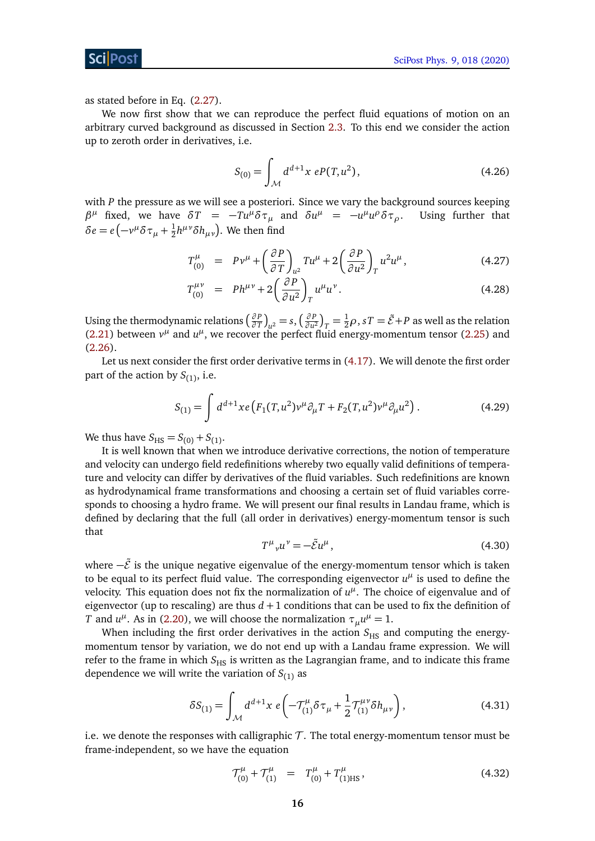ScilPost

as stated before in Eq. [\(2.27\)](#page-9-1).

We now first show that we can reproduce the perfect fluid equations of motion on an arbitrary curved background as discussed in Section [2.3.](#page-8-0) To this end we consider the action up to zeroth order in derivatives, i.e.

$$
S_{(0)} = \int_{\mathcal{M}} d^{d+1}x \ e P(T, u^2), \tag{4.26}
$$

with *P* the pressure as we will see a posteriori. Since we vary the background sources keeping *β*<sup>*μ*</sup> fixed, we have  $\delta T = -Tu^{\mu}\delta\tau_{\mu}$  and  $\delta u^{\mu} = -u^{\mu}u$ *<i>D***sing further that** *δe* = *e* $\left(-v^{\mu}\delta\tau_{\mu} + \frac{1}{2}\right)$  $\frac{1}{2}h^{\mu\nu}\delta h_{\mu\nu}$ ). We then find

$$
T_{(0)}^{\mu} = P v^{\mu} + \left(\frac{\partial P}{\partial T}\right)_{u^2} T u^{\mu} + 2 \left(\frac{\partial P}{\partial u^2}\right)_T u^2 u^{\mu}, \qquad (4.27)
$$

$$
T_{(0)}^{\mu\nu} = Ph^{\mu\nu} + 2\left(\frac{\partial P}{\partial u^2}\right)_T u^{\mu} u^{\nu}.
$$
 (4.28)

Using the thermodynamic relations ( $\frac{\partial P}{\partial T}$  $\left(\frac{\partial P}{\partial T}\right)_{\mathcal{U}^2} = s, \left(\frac{\partial P}{\partial u^2}\right)_{\mathcal{U}^2}$  $\left(\frac{\partial P}{\partial u^2}\right)_T = \frac{1}{2}\rho$ ,  $sT = \tilde{\mathcal{E}} + P$  as well as the relation [\(2.21\)](#page-8-3) between  $v^{\mu}$  and  $u^{\mu}$ , we recover the perfect fluid energy-momentum tensor [\(2.25\)](#page-9-2) and  $(2.26)$ .

Let us next consider the first order derivative terms in [\(4.17\)](#page-14-2). We will denote the first order part of the action by  $S_{(1)}$ , i.e.

<span id="page-16-0"></span>
$$
S_{(1)} = \int d^{d+1}x e \left( F_1(T, u^2) v^\mu \partial_\mu T + F_2(T, u^2) v^\mu \partial_\mu u^2 \right). \tag{4.29}
$$

We thus have  $S_{\text{HS}} = S_{(0)} + S_{(1)}$ .

It is well known that when we introduce derivative corrections, the notion of temperature and velocity can undergo field redefinitions whereby two equally valid definitions of temperature and velocity can differ by derivatives of the fluid variables. Such redefinitions are known as hydrodynamical frame transformations and choosing a certain set of fluid variables corresponds to choosing a hydro frame. We will present our final results in Landau frame, which is defined by declaring that the full (all order in derivatives) energy-momentum tensor is such that

$$
T^{\mu}{}_{\nu}u^{\nu} = -\tilde{\mathcal{E}}u^{\mu}\,,\tag{4.30}
$$

where  $-\tilde{\mathcal{E}}$  is the unique negative eigenvalue of the energy-momentum tensor which is taken to be equal to its perfect fluid value. The corresponding eigenvector  $u^{\mu}$  is used to define the velocity. This equation does not fix the normalization of  $u^{\mu}$ . The choice of eigenvalue and of eigenvector (up to rescaling) are thus  $d+1$  conditions that can be used to fix the definition of *T* and *u*<sup>*u*</sup>. As in [\(2.20\)](#page-8-1), we will choose the normalization  $\tau_\mu u^\mu = 1$ .

When including the first order derivatives in the action  $S_{\text{HS}}$  and computing the energymomentum tensor by variation, we do not end up with a Landau frame expression. We will refer to the frame in which  $S_{\text{HS}}$  is written as the Lagrangian frame, and to indicate this frame dependence we will write the variation of  $S_{(1)}$  as

$$
\delta S_{(1)} = \int_{\mathcal{M}} d^{d+1}x \ e \left( -\mathcal{T}_{(1)}^{\mu} \delta \tau_{\mu} + \frac{1}{2} \mathcal{T}_{(1)}^{\mu \nu} \delta h_{\mu \nu} \right), \tag{4.31}
$$

i.e. we denote the responses with calligraphic  $\mathcal T$ . The total energy-momentum tensor must be frame-independent, so we have the equation

<span id="page-16-1"></span>
$$
\mathcal{T}_{(0)}^{\mu} + \mathcal{T}_{(1)}^{\mu} = T_{(0)}^{\mu} + T_{(1)HS}^{\mu}, \qquad (4.32)
$$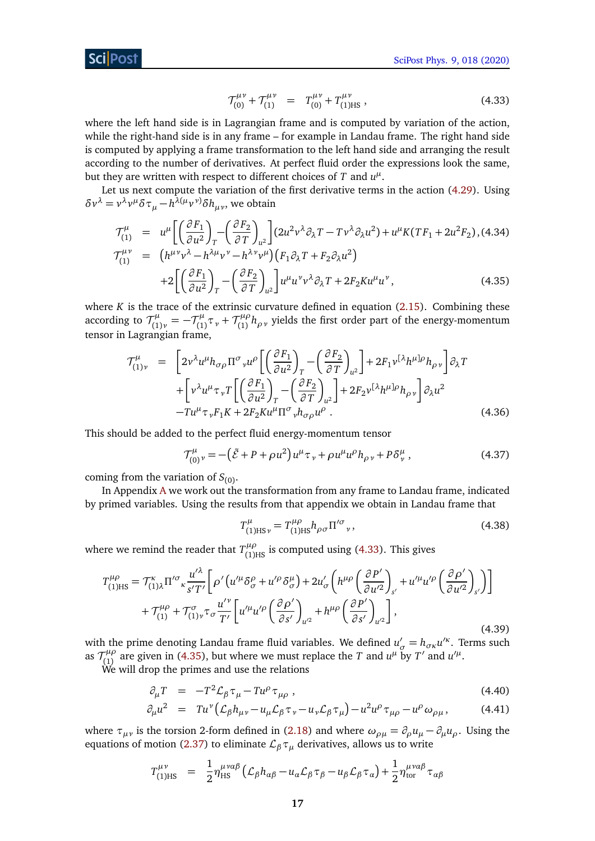$$
\mathcal{T}_{(0)}^{\mu\nu} + \mathcal{T}_{(1)}^{\mu\nu} = T_{(0)}^{\mu\nu} + T_{(1)\text{HS}}^{\mu\nu}, \qquad (4.33)
$$

where the left hand side is in Lagrangian frame and is computed by variation of the action, while the right-hand side is in any frame – for example in Landau frame. The right hand side is computed by applying a frame transformation to the left hand side and arranging the result according to the number of derivatives. At perfect fluid order the expressions look the same, but they are written with respect to different choices of  $T$  and  $u^{\mu}$ .

Let us next compute the variation of the first derivative terms in the action [\(4.29\)](#page-16-0). Using *δν*<sup>λ</sup> = *v*<sup>λ</sup>*v*<sup>*μ*</sup>*δ* τ<sub>*μ*</sub> − *h*<sup>λ(*μ*</sup>*v*<sup>*v*</sup>)*δh<sub>μν</sub>*, we obtain

<span id="page-17-0"></span>
$$
\mathcal{T}_{(1)}^{\mu} = u^{\mu} \left[ \left( \frac{\partial F_1}{\partial u^2} \right)_T - \left( \frac{\partial F_2}{\partial T} \right)_{u^2} \right] (2u^2 v^{\lambda} \partial_{\lambda} T - T v^{\lambda} \partial_{\lambda} u^2) + u^{\mu} K (T F_1 + 2u^2 F_2), (4.34)
$$
\n
$$
\mathcal{T}_{(1)}^{\mu \nu} = \left( h^{\mu \nu} v^{\lambda} - h^{\lambda \mu} v^{\nu} - h^{\lambda \nu} v^{\mu} \right) \left( F_1 \partial_{\lambda} T + F_2 \partial_{\lambda} u^2 \right)
$$
\n
$$
+ 2 \left[ \left( \frac{\partial F_1}{\partial u^2} \right)_T - \left( \frac{\partial F_2}{\partial T} \right)_{u^2} \right] u^{\mu} u^{\nu} v^{\lambda} \partial_{\lambda} T + 2F_2 K u^{\mu} u^{\nu}, \tag{4.35}
$$

where  $K$  is the trace of the extrinsic curvature defined in equation  $(2.15)$ . Combining these according to  $\mathcal{T}_{f_1}^{\mu}$  $\tau^{\mu}_{(1)\nu} = -\tau^{\mu}_{(1)}$  $\tau_{(1)}^{\mu} \tau_{\nu} + \mathcal{T}_{(1)}^{\mu \rho}$ (1) *hρν* yields the first order part of the energy-momentum tensor in Lagrangian frame,

<span id="page-17-2"></span>
$$
\mathcal{T}^{\mu}_{(1)\nu} = \left[2\nu^{\lambda}u^{\mu}h_{\sigma\rho}\Pi^{\sigma}{}_{\nu}u^{\rho}\left[\left(\frac{\partial F_{1}}{\partial u^{2}}\right)_{T} - \left(\frac{\partial F_{2}}{\partial T}\right)_{u^{2}}\right] + 2F_{1}\nu^{[\lambda}h^{\mu}]\rho h_{\rho\nu}\right]\partial_{\lambda}T + \left[\nu^{\lambda}u^{\mu}\tau{}_{\nu}T\left[\left(\frac{\partial F_{1}}{\partial u^{2}}\right)_{T} - \left(\frac{\partial F_{2}}{\partial T}\right)_{u^{2}}\right] + 2F_{2}\nu^{[\lambda}h^{\mu}]\rho h_{\rho\nu}\right]\partial_{\lambda}u^{2} - Tu^{\mu}\tau{}_{\nu}F_{1}K + 2F_{2}K u^{\mu}\Pi^{\sigma}{}_{\nu}h_{\sigma\rho}u^{\rho}.
$$
\n(4.36)

This should be added to the perfect fluid energy-momentum tensor

$$
\mathcal{T}_{(0)}^{\mu}{}_{\nu} = -(\tilde{\mathcal{E}} + P + \rho u^2) u^{\mu} \tau_{\nu} + \rho u^{\mu} u^{\rho} h_{\rho \nu} + P \delta^{\mu}_{\nu}, \qquad (4.37)
$$

coming from the variation of  $S_{(0)}$ .

In Appendix [A](#page-35-0) we work out the transformation from any frame to Landau frame, indicated by primed variables. Using the results from that appendix we obtain in Landau frame that

<span id="page-17-5"></span><span id="page-17-3"></span>
$$
T_{(1)\text{HS }\nu}^{\mu} = T_{(1)\text{HS}}^{\mu\rho} h_{\rho\sigma} \Pi^{\prime\sigma}{}_{\nu},\tag{4.38}
$$

where we remind the reader that  $T^{\mu\rho}_{(1)HS}$  is computed using [\(4.33\)](#page-16-1). This gives

$$
T_{(1)HS}^{\mu\rho} = T_{(1)\lambda}^{\kappa} \Pi^{\prime\sigma}{}_{\kappa} \frac{u^{\prime\lambda}}{s^{\prime}T^{\prime}} \bigg[ \rho^{\prime} \big( u^{\prime\mu} \delta^{\rho}_{\sigma} + u^{\prime\rho} \delta^{\mu}_{\sigma} \big) + 2u^{\prime}_{\sigma} \bigg( h^{\mu\rho} \bigg( \frac{\partial P^{\prime}}{\partial u^{\prime 2}} \bigg)_{s^{\prime}} + u^{\prime\mu} u^{\prime\rho} \bigg( \frac{\partial \rho^{\prime}}{\partial u^{\prime 2}} \bigg)_{s^{\prime}} \bigg) \bigg] + \mathcal{T}_{(1)}^{\mu\rho} + \mathcal{T}_{(1)\nu}^{\sigma} \tau_{\sigma} \frac{u^{\prime \nu}}{T^{\prime}} \bigg[ u^{\prime\mu} u^{\prime\rho} \bigg( \frac{\partial \rho^{\prime}}{\partial s^{\prime}} \bigg)_{u^{\prime 2}} + h^{\mu\rho} \bigg( \frac{\partial P^{\prime}}{\partial s^{\prime}} \bigg)_{u^{\prime 2}} \bigg], \tag{4.39}
$$

with the prime denoting Landau frame fluid variables. We defined  $u'_{\sigma} = h_{\sigma\kappa}u'^{\kappa}$ . Terms such as  $\mathcal{T}_{(1)}^{\mu\rho}$  $\int_{(1)}^{\mu \rho}$  are given in [\(4.35\)](#page-17-0), but where we must replace the *T* and *u*<sup> $\mu$ </sup> by *T'* and *u'*<sup> $\mu$ </sup>.

We will drop the primes and use the relations

<span id="page-17-4"></span>
$$
\partial_{\mu} T = -T^2 \mathcal{L}_{\beta} \tau_{\mu} - T u^{\rho} \tau_{\mu \rho} , \qquad (4.40)
$$

$$
\partial_{\mu}u^{2} = Tu^{\nu}\left(\mathcal{L}_{\beta}h_{\mu\nu} - u_{\mu}\mathcal{L}_{\beta}\tau_{\nu} - u_{\nu}\mathcal{L}_{\beta}\tau_{\mu}\right) - u^{2}u^{\rho}\tau_{\mu\rho} - u^{\rho}\omega_{\rho\mu}, \qquad (4.41)
$$

where  $\tau_{\mu\nu}$  is the torsion 2-form defined in [\(2.18\)](#page-8-5) and where  $\omega_{\rho\mu} = \partial_{\rho}u_{\mu} - \partial_{\mu}u_{\rho}$ . Using the equations of motion [\(2.37\)](#page-10-3) to eliminate  $\mathcal{L}_{\beta} \tau_{\mu}$  derivatives, allows us to write

<span id="page-17-1"></span>
$$
T_{(1)HS}^{\mu\nu} = \frac{1}{2} \eta_{HS}^{\mu\nu\alpha\beta} \left( \mathcal{L}_{\beta} h_{\alpha\beta} - u_{\alpha} \mathcal{L}_{\beta} \tau_{\beta} - u_{\beta} \mathcal{L}_{\beta} \tau_{\alpha} \right) + \frac{1}{2} \eta_{\text{tor}}^{\mu\nu\alpha\beta} \tau_{\alpha\beta}
$$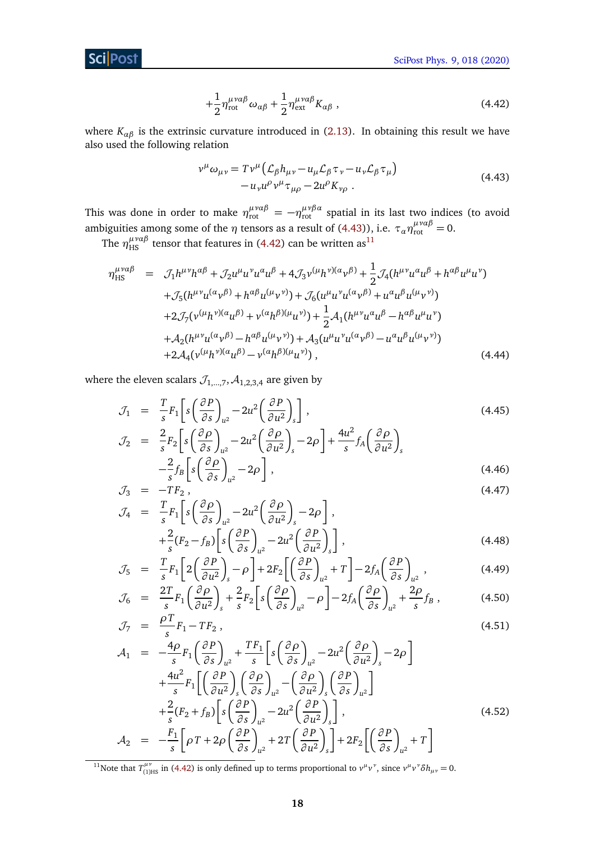**Sci** Post

$$
+\frac{1}{2}\eta_{\text{rot}}^{\mu\nu\alpha\beta}\omega_{\alpha\beta}+\frac{1}{2}\eta_{\text{ext}}^{\mu\nu\alpha\beta}K_{\alpha\beta}\,,\tag{4.42}
$$

where  $K_{\alpha\beta}$  is the extrinsic curvature introduced in [\(2.13\)](#page-8-6). In obtaining this result we have also used the following relation

<span id="page-18-0"></span>
$$
\nu^{\mu}\omega_{\mu\nu} = T\nu^{\mu}\left(\mathcal{L}_{\beta}h_{\mu\nu} - u_{\mu}\mathcal{L}_{\beta}\tau_{\nu} - u_{\nu}\mathcal{L}_{\beta}\tau_{\mu}\right) - u_{\nu}u^{\rho}\nu^{\mu}\tau_{\mu\rho} - 2u^{\rho}K_{\nu\rho}.
$$
\n(4.43)

This was done in order to make  $\eta_{\text{rot}}^{\mu\nu\alpha\beta} = -\eta_{\text{rot}}^{\mu\nu\beta\alpha}$  spatial in its last two indices (to avoid ambiguities among some of the  $\eta$  tensors as a result of [\(4.43\)](#page-18-0)), i.e.  $\tau_a \eta_{\rm rot}^{\mu \nu \alpha \beta} = 0$ .

The  $\eta_{\rm HS}^{\mu\nu\alpha\beta}$  tensor that features in [\(4.42\)](#page-17-1) can be written as<sup>[11](#page-18-1)</sup>

<span id="page-18-2"></span>
$$
\eta_{\text{HS}}^{\mu\nu\alpha\beta} = \mathcal{J}_{1}h^{\mu\nu}h^{\alpha\beta} + \mathcal{J}_{2}u^{\mu}u^{\nu}u^{\alpha}u^{\beta} + 4\mathcal{J}_{3}\nu^{(\mu}h^{\nu)(\alpha}\nu^{\beta)} + \frac{1}{2}\mathcal{J}_{4}(h^{\mu\nu}u^{\alpha}u^{\beta} + h^{\alpha\beta}u^{\mu}u^{\nu}) \n+ \mathcal{J}_{5}(h^{\mu\nu}u^{(\alpha}\nu^{\beta)} + h^{\alpha\beta}u^{(\mu}\nu^{\nu)}) + \mathcal{J}_{6}(u^{\mu}u^{\nu}u^{(\alpha}\nu^{\beta)} + u^{\alpha}u^{\beta}u^{(\mu}\nu^{\nu)}) \n+ 2\mathcal{J}_{7}(\nu^{(\mu}h^{\nu)(\alpha}u^{\beta)} + \nu^{(\alpha}h^{\beta)(\mu}u^{\nu)}) + \frac{1}{2}\mathcal{A}_{1}(h^{\mu\nu}u^{\alpha}u^{\beta} - h^{\alpha\beta}u^{\mu}u^{\nu}) \n+ \mathcal{A}_{2}(h^{\mu\nu}u^{(\alpha}\nu^{\beta)} - h^{\alpha\beta}u^{(\mu}\nu^{\nu)}) + \mathcal{A}_{3}(u^{\mu}u^{\nu}u^{(\alpha}\nu^{\beta)} - u^{\alpha}u^{\beta}u^{(\mu}\nu^{\nu)}) \n+ 2\mathcal{A}_{4}(\nu^{(\mu}h^{\nu)(\alpha}u^{\beta)} - \nu^{(\alpha}h^{\beta)(\mu}u^{\nu)})
$$
\n(4.44)

where the eleven scalars  $\mathcal{J}_{1,\dots,7}$ ,  $\mathcal{A}_{1,2,3,4}$  are given by

$$
\mathcal{J}_1 = \frac{T}{s} F_1 \left[ s \left( \frac{\partial P}{\partial s} \right)_{u^2} - 2u^2 \left( \frac{\partial P}{\partial u^2} \right)_s \right],
$$
\n
$$
\mathcal{J}_2 = \frac{2}{F_s} \left[ s \left( \frac{\partial \rho}{\partial s} \right)_{u^2} - 2u^2 \left( \frac{\partial \rho}{\partial s} \right)_{u^2} - 2u^2 \left( \frac{\partial \rho}{\partial s} \right)_{u^2} \right].
$$
\n(4.45)

$$
\mathcal{J}_2 = \frac{2}{s} F_2 \left[ s \left( \frac{\partial \rho}{\partial s} \right)_{u^2} - 2u^2 \left( \frac{\partial \rho}{\partial u^2} \right)_s - 2\rho \right] + \frac{4u}{s} f_A \left( \frac{\partial \rho}{\partial u^2} \right)_s
$$
\n
$$
- \frac{2}{s} f_B \left[ s \left( \frac{\partial \rho}{\partial s} \right)_{u^2} - 2\rho \right],
$$
\n(4.46)

$$
\begin{array}{rcl}\n\mathcal{J}_3 & = & -TF_2 \,, \\
\mathcal{J}_4 & = & \frac{T}{-F_1} \left[ s \left( \frac{\partial \rho}{\partial \rho} \right) \right] - 2u^2 \left( \frac{\partial \rho}{\partial \rho} \right) - 2\rho \right],\n\end{array} \tag{4.47}
$$

$$
V_4 = \frac{1}{s} F_1 \left[ s \left( \frac{\partial P}{\partial s} \right)_{u^2} - 2u^2 \left( \frac{\partial P}{\partial u^2} \right)_s - 2\rho \right],
$$
  

$$
+ \frac{2}{s} (F_2 - f_B) \left[ s \left( \frac{\partial P}{\partial s} \right)_{u^2} - 2u^2 \left( \frac{\partial P}{\partial u^2} \right)_s \right],
$$
(4.48)

$$
\mathcal{J}_5 = \frac{T}{s} F_1 \left[ 2 \left( \frac{\partial P}{\partial u^2} \right)_s - \rho \right] + 2F_2 \left[ \left( \frac{\partial P}{\partial s} \right)_{u^2} + T \right] - 2f_A \left( \frac{\partial P}{\partial s} \right)_{u^2},
$$
(4.49)

$$
\mathcal{J}_6 = \frac{2T}{s} F_1 \left( \frac{\partial \rho}{\partial u^2} \right)_s + \frac{2}{s} F_2 \left[ s \left( \frac{\partial \rho}{\partial s} \right)_{u^2} - \rho \right] - 2f_A \left( \frac{\partial \rho}{\partial s} \right)_{u^2} + \frac{2\rho}{s} f_B , \qquad (4.50)
$$

$$
\mathcal{J}_7 = \frac{\rho_1}{s} F_1 - T F_2, \tag{4.51}
$$

$$
\mathcal{A}_{1} = -\frac{4\rho}{s} F_{1} \left( \frac{\partial P}{\partial s} \right)_{u^{2}} + \frac{TF_{1}}{s} \left[ s \left( \frac{\partial \rho}{\partial s} \right)_{u^{2}} - 2u^{2} \left( \frac{\partial \rho}{\partial u^{2}} \right)_{s} - 2\rho \right] \n+ \frac{4u^{2}}{s} F_{1} \left[ \left( \frac{\partial P}{\partial u^{2}} \right)_{s} \left( \frac{\partial \rho}{\partial s} \right)_{u^{2}} - \left( \frac{\partial \rho}{\partial u^{2}} \right)_{s} \left( \frac{\partial P}{\partial s} \right)_{u^{2}} \right] \n+ \frac{2}{s} (F_{2} + f_{B}) \left[ s \left( \frac{\partial P}{\partial s} \right)_{u^{2}} - 2u^{2} \left( \frac{\partial P}{\partial u^{2}} \right)_{s} \right],
$$
\n
$$
\mathcal{A}_{2} = -\frac{F_{1}}{s} \left[ \rho T + 2\rho \left( \frac{\partial P}{\partial s} \right)_{u^{2}} + 2T \left( \frac{\partial P}{\partial u^{2}} \right)_{s} \right] + 2F_{2} \left[ \left( \frac{\partial P}{\partial s} \right)_{u^{2}} + T \right]
$$
\n(4.52)

<span id="page-18-1"></span><sup>11</sup>Note that  $T_{(1)HS}^{\mu\nu}$  in [\(4.42\)](#page-17-1) is only defined up to terms proportional to  $v^{\mu}v^{\nu}$ , since  $v^{\mu}v^{\nu}\delta h_{\mu\nu} = 0$ .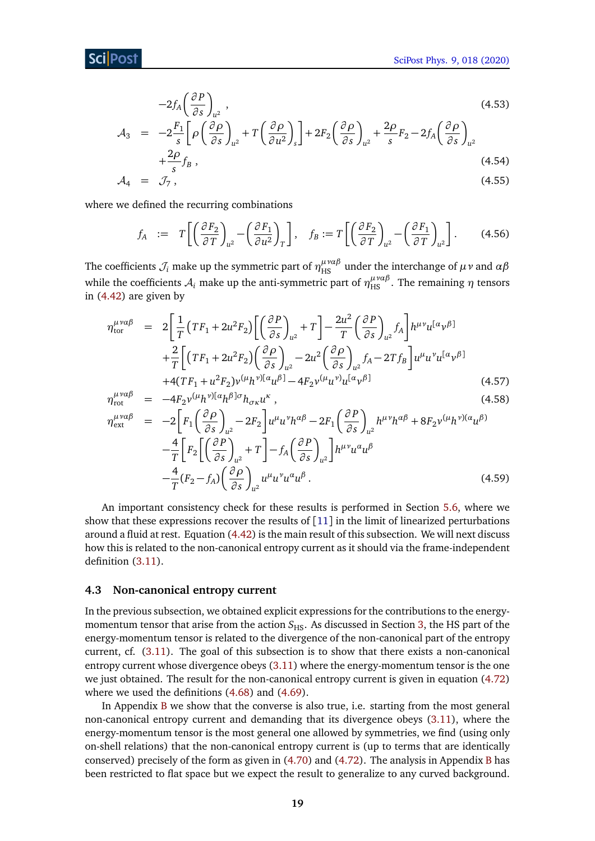$$
-2f_A \left(\frac{\partial P}{\partial s}\right)_{u^2},
$$
\n
$$
A_3 = -2\frac{F_1}{s} \left[ \rho \left(\frac{\partial \rho}{\partial s}\right)_{u^2} + T \left(\frac{\partial \rho}{\partial u^2}\right)_s \right] + 2F_2 \left(\frac{\partial \rho}{\partial s}\right)_{u^2} + \frac{2\rho}{s} F_2 - 2f_A \left(\frac{\partial \rho}{\partial s}\right)_{u^2}
$$
\n
$$
+ \frac{2\rho}{s} f_B ,
$$
\n(4.54)

$$
\mathcal{A}_4 = \mathcal{J}_7, \tag{4.55}
$$

where we defined the recurring combinations

$$
f_A \ := \ T \left[ \left( \frac{\partial F_2}{\partial T} \right)_{u^2} - \left( \frac{\partial F_1}{\partial u^2} \right)_T \right], \quad f_B := T \left[ \left( \frac{\partial F_2}{\partial T} \right)_{u^2} - \left( \frac{\partial F_1}{\partial T} \right)_{u^2} \right]. \tag{4.56}
$$

The coefficients  $\mathcal{J}_i$  make up the symmetric part of  $\eta_{\rm HS}^{\mu\nu\alpha\beta}$  under the interchange of  $\mu\nu$  and  $\alpha\beta$ while the coefficients  $\mathcal{A}_i$  make up the anti-symmetric part of  $\eta_{\rm HS}^{\mu\nu a\beta}$ . The remaining  $\eta$  tensors in [\(4.42\)](#page-17-1) are given by

$$
\eta_{\text{tor}}^{\mu\nu\alpha\beta} = 2\left[\frac{1}{T}\left(TF_1 + 2u^2F_2\right)\left[\left(\frac{\partial P}{\partial s}\right)_{u^2} + T\right] - \frac{2u^2}{T}\left(\frac{\partial P}{\partial s}\right)_{u^2}f_A\right]h^{\mu\nu}u^{[\alpha}\nu^{\beta]} + \frac{2}{T}\left[\left(TF_1 + 2u^2F_2\right)\left(\frac{\partial P}{\partial s}\right)_{u^2} - 2u^2\left(\frac{\partial P}{\partial s}\right)_{u^2}f_A - 2Tf_B\right]u^{\mu}u^{\nu}u^{[\alpha}\nu^{\beta]} + 4(TF_1 + u^2F_2)\nu^{(\mu}h^{\nu)[\alpha}u^{\beta]} - 4F_2\nu^{(\mu}u^{\nu)}u^{[\alpha}\nu^{\beta]}
$$
\n(4.57)

$$
\eta_{\text{rot}}^{\mu\nu\alpha\beta} = -4F_2 v^{(\mu}h^{\nu)[\alpha}h^{\beta]\sigma}h_{\sigma\kappa}u^{\kappa},\tag{4.58}
$$
\n
$$
\mu\nu\alpha\beta = 2\left[F(\vec{\theta}\rho) - 2F_1\mu_{\nu}\nu_{\mu}\alpha\beta - 2F(\vec{\theta}\rho) - \mu_{\nu}\nu_{\mu}\alpha\beta + 2F_2\mu\nu_{\mu}\alpha\beta\right]
$$

$$
\eta_{\text{ext}}^{\mu\nu\alpha\beta} = -2 \Big[ F_1 \Big( \frac{\partial \rho}{\partial s} \Big)_{u^2} - 2F_2 \Big] u^{\mu} u^{\nu} h^{\alpha\beta} - 2F_1 \Big( \frac{\partial P}{\partial s} \Big)_{u^2} h^{\mu\nu} h^{\alpha\beta} + 8F_2 v^{(\mu} h^{\nu)(\alpha} u^{\beta)} - \frac{4}{T} \Big[ F_2 \Big[ \Big( \frac{\partial P}{\partial s} \Big)_{u^2} + T \Big] - f_A \Big( \frac{\partial P}{\partial s} \Big)_{u^2} \Big] h^{\mu\nu} u^{\alpha} u^{\beta} - \frac{4}{T} (F_2 - f_A) \Big( \frac{\partial \rho}{\partial s} \Big)_{u^2} u^{\mu} u^{\nu} u^{\alpha} u^{\beta} . \tag{4.59}
$$

An important consistency check for these results is performed in Section [5.6,](#page-31-1) where we show that these expressions recover the results of [[11](#page-39-5)] in the limit of linearized perturbations around a fluid at rest. Equation [\(4.42\)](#page-17-1) is the main result of this subsection. We will next discuss how this is related to the non-canonical entropy current as it should via the frame-independent definition [\(3.11\)](#page-12-3).

#### <span id="page-19-0"></span>**4.3 Non-canonical entropy current**

In the previous subsection, we obtained explicit expressions for the contributions to the energymomentum tensor that arise from the action *S*<sub>HS</sub>. As discussed in Section [3,](#page-10-0) the HS part of the energy-momentum tensor is related to the divergence of the non-canonical part of the entropy current, cf. [\(3.11\)](#page-12-3). The goal of this subsection is to show that there exists a non-canonical entropy current whose divergence obeys [\(3.11\)](#page-12-3) where the energy-momentum tensor is the one we just obtained. The result for the non-canonical entropy current is given in equation [\(4.72\)](#page-21-1) where we used the definitions [\(4.68\)](#page-21-2) and [\(4.69\)](#page-21-2).

In Appendix [B](#page-36-0) we show that the converse is also true, i.e. starting from the most general non-canonical entropy current and demanding that its divergence obeys [\(3.11\)](#page-12-3), where the energy-momentum tensor is the most general one allowed by symmetries, we find (using only on-shell relations) that the non-canonical entropy current is (up to terms that are identically conserved) precisely of the form as given in  $(4.70)$  and  $(4.72)$ . The analysis in Appendix [B](#page-36-0) has been restricted to flat space but we expect the result to generalize to any curved background.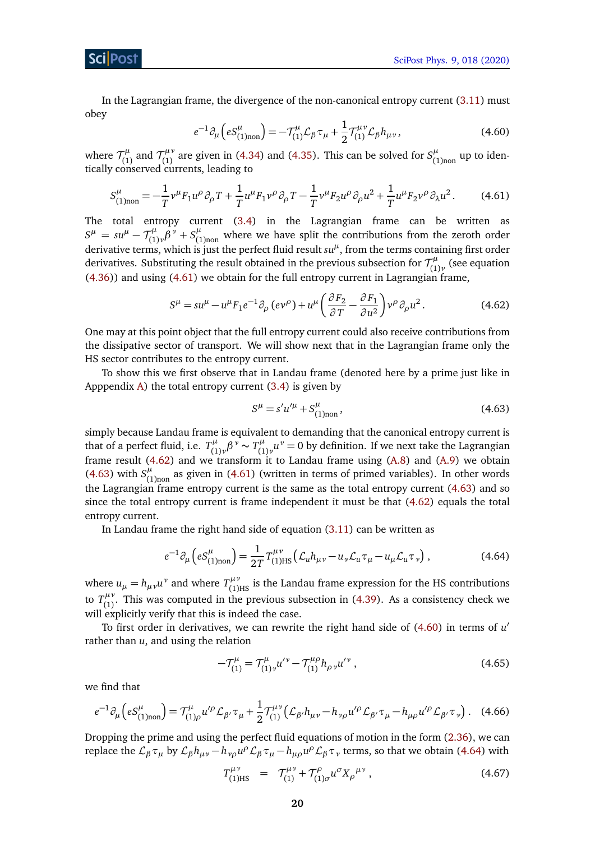<span id="page-20-3"></span>In the Lagrangian frame, the divergence of the non-canonical entropy current [\(3.11\)](#page-12-3) must obey

<span id="page-20-0"></span>
$$
e^{-1}\partial_{\mu}\left(eS_{(1)\text{non}}^{\mu}\right) = -\mathcal{T}_{(1)}^{\mu}\mathcal{L}_{\beta}\tau_{\mu} + \frac{1}{2}\mathcal{T}_{(1)}^{\mu\nu}\mathcal{L}_{\beta}h_{\mu\nu},\tag{4.60}
$$

where  $\mathcal{T}_{1}^{\mu}$  $\tau_{(1)}^{\mu}$  and  $\tau_{(1)}^{\mu\nu}$  $\int_{(1)}^{\mu\nu}$  are given in [\(4.34\)](#page-17-0) and [\(4.35\)](#page-17-0). This can be solved for  $S^{\mu}_{(1)}$  $\int_{(1)$ non up to identically conserved currents, leading to

$$
S_{(1)non}^{\mu} = -\frac{1}{T} \nu^{\mu} F_1 u^{\rho} \partial_{\rho} T + \frac{1}{T} u^{\mu} F_1 v^{\rho} \partial_{\rho} T - \frac{1}{T} v^{\mu} F_2 u^{\rho} \partial_{\rho} u^2 + \frac{1}{T} u^{\mu} F_2 v^{\rho} \partial_{\lambda} u^2.
$$
 (4.61)

The total entropy current [\(3.4\)](#page-11-0) in the Lagrangian frame can be written as  $S^{\mu} = su^{\mu} - \mathcal{T}_{(1)}^{\mu}$  $\int_{(1)}^{\mu} \beta^{\nu} + S_{(1)}^{\mu}$  $\int_{(1)$ <sub>non</sub> where we have split the contributions from the zeroth order derivative terms, which is just the perfect fluid result *su<sup>µ</sup>* , from the terms containing first order derivatives. Substituting the result obtained in the previous subsection for  $\mathcal{T}^\mu_{(1)}$ (1)*ν* (see equation [\(4.36\)](#page-17-2)) and using [\(4.61\)](#page-20-0) we obtain for the full entropy current in Lagrangian frame,

$$
S^{\mu} = su^{\mu} - u^{\mu} F_1 e^{-1} \partial_{\rho} (e v^{\rho}) + u^{\mu} \left( \frac{\partial F_2}{\partial T} - \frac{\partial F_1}{\partial u^2} \right) v^{\rho} \partial_{\rho} u^2.
$$
 (4.62)

One may at this point object that the full entropy current could also receive contributions from the dissipative sector of transport. We will show next that in the Lagrangian frame only the HS sector contributes to the entropy current.

To show this we first observe that in Landau frame (denoted here by a prime just like in Apppendix [A\)](#page-35-0) the total entropy current  $(3.4)$  is given by

<span id="page-20-4"></span><span id="page-20-2"></span><span id="page-20-1"></span>
$$
S^{\mu} = s' u'^{\mu} + S^{\mu}_{(1) non}, \qquad (4.63)
$$

simply because Landau frame is equivalent to demanding that the canonical entropy current is that of a perfect fluid, i.e.  $T_{(1)}^{\mu}$  $T_{(1)}^{\mu}$ ,  $\beta^{\nu} \sim T_{(1)}^{\mu}$  $v^{\mu}_{(1)\nu}u^{\nu}=0$  by definition. If we next take the Lagrangian frame result [\(4.62\)](#page-20-1) and we transform it to Landau frame using [\(A.8\)](#page-35-1) and [\(A.9\)](#page-35-1) we obtain [\(4.63\)](#page-20-2) with  $S_{(1)}^{\mu}$  $\int_{(1)_{\text{non}}}^{\mu}$  as given in [\(4.61\)](#page-20-0) (written in terms of primed variables). In other words the Lagrangian frame entropy current is the same as the total entropy current [\(4.63\)](#page-20-2) and so since the total entropy current is frame independent it must be that [\(4.62\)](#page-20-1) equals the total entropy current.

In Landau frame the right hand side of equation [\(3.11\)](#page-12-3) can be written as

$$
e^{-1}\partial_{\mu}\left(eS_{(1)\text{non}}^{\mu}\right) = \frac{1}{2T}T_{(1)\text{HS}}^{\mu\nu}\left(\mathcal{L}_{u}h_{\mu\nu} - u_{\nu}\mathcal{L}_{u}\tau_{\mu} - u_{\mu}\mathcal{L}_{u}\tau_{\nu}\right),\tag{4.64}
$$

where  $u_{\mu} = h_{\mu\nu}u^{\nu}$  and where  $T_{(1)HS}^{\mu\nu}$  is the Landau frame expression for the HS contributions to  $T^{\mu\nu}_{(1)}$  $\binom{n}{1}$ . This was computed in the previous subsection in [\(4.39\)](#page-17-3). As a consistency check we will explicitly verify that this is indeed the case.

To first order in derivatives, we can rewrite the right hand side of  $(4.60)$  in terms of  $u'$ rather than *u*, and using the relation

$$
-\mathcal{T}_{(1)}^{\mu} = \mathcal{T}_{(1)\nu}^{\mu} u^{\prime \nu} - \mathcal{T}_{(1)}^{\mu \rho} h_{\rho \nu} u^{\prime \nu} , \qquad (4.65)
$$

we find that

$$
e^{-1}\partial_{\mu}\left(eS_{(1)\text{non}}^{\mu}\right) = \mathcal{T}_{(1)\rho}^{\mu}u^{\prime\rho}\mathcal{L}_{\beta'}\tau_{\mu} + \frac{1}{2}\mathcal{T}_{(1)}^{\mu\nu}\left(\mathcal{L}_{\beta'}h_{\mu\nu} - h_{\nu\rho}u^{\prime\rho}\mathcal{L}_{\beta'}\tau_{\mu} - h_{\mu\rho}u^{\prime\rho}\mathcal{L}_{\beta'}\tau_{\nu}\right). \tag{4.66}
$$

Dropping the prime and using the perfect fluid equations of motion in the form [\(2.36\)](#page-10-1), we can replace the  $\mathcal{L}_\beta \tau_\mu$  by  $\mathcal{L}_\beta h_{\mu\nu} - h_{\nu\rho} u^\rho \mathcal{L}_\beta \tau_\mu - h_{\mu\rho} u^\rho \mathcal{L}_\beta \tau_\nu$  terms, so that we obtain [\(4.64\)](#page-20-4) with

$$
T_{(1)HS}^{\mu\nu} = T_{(1)}^{\mu\nu} + T_{(1)\sigma}^{\rho} u^{\sigma} X_{\rho}^{\mu\nu}, \qquad (4.67)
$$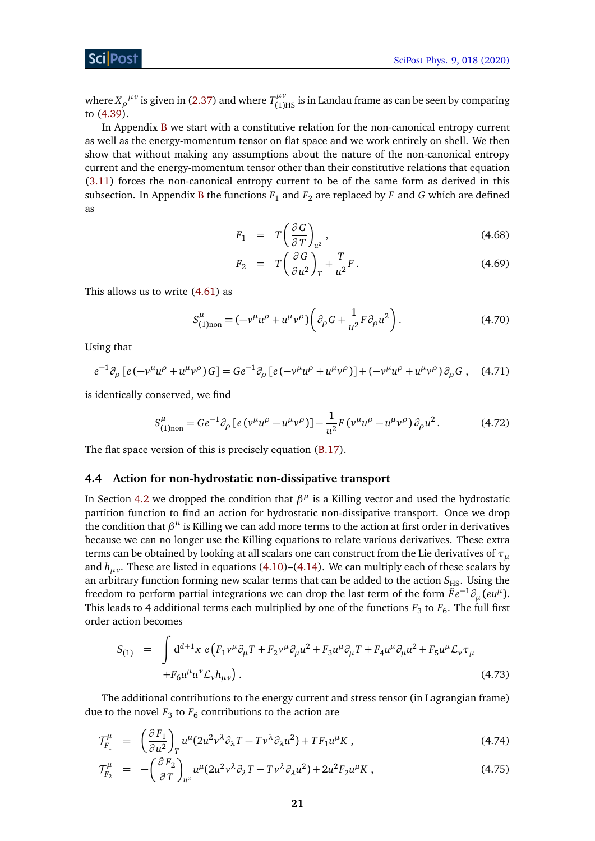where  $X_\rho^{\mu\nu}$  is given in [\(2.37\)](#page-10-3) and where  $T^{\mu\nu}_{(1)HS}$  is in Landau frame as can be seen by comparing to [\(4.39\)](#page-17-3).

In Appendix [B](#page-36-0) we start with a constitutive relation for the non-canonical entropy current as well as the energy-momentum tensor on flat space and we work entirely on shell. We then show that without making any assumptions about the nature of the non-canonical entropy current and the energy-momentum tensor other than their constitutive relations that equation [\(3.11\)](#page-12-3) forces the non-canonical entropy current to be of the same form as derived in this subsection. In Appendix [B](#page-36-0) the functions  $F_1$  and  $F_2$  are replaced by F and G which are defined as

<span id="page-21-2"></span>
$$
F_1 = T\left(\frac{\partial G}{\partial T}\right)_{u^2},\tag{4.68}
$$

<span id="page-21-3"></span>
$$
F_2 = T\left(\frac{\partial G}{\partial u^2}\right)_T + \frac{T}{u^2}F\,. \tag{4.69}
$$

This allows us to write [\(4.61\)](#page-20-0) as

$$
S_{(1) non}^{\mu} = (-\nu^{\mu} u^{\rho} + u^{\mu} \nu^{\rho}) \left( \partial_{\rho} G + \frac{1}{u^2} F \partial_{\rho} u^2 \right). \tag{4.70}
$$

Using that

$$
e^{-1}\partial_{\rho}\left[e(-v^{\mu}u^{\rho}+u^{\mu}v^{\rho})G\right]=Ge^{-1}\partial_{\rho}\left[e(-v^{\mu}u^{\rho}+u^{\mu}v^{\rho})\right]+\left(-v^{\mu}u^{\rho}+u^{\mu}v^{\rho}\right)\partial_{\rho}G\,,\quad(4.71)
$$

is identically conserved, we find

<span id="page-21-1"></span>
$$
S_{(1) non}^{\mu} = Ge^{-1} \partial_{\rho} \left[ e \left( v^{\mu} u^{\rho} - u^{\mu} v^{\rho} \right) \right] - \frac{1}{u^2} F \left( v^{\mu} u^{\rho} - u^{\mu} v^{\rho} \right) \partial_{\rho} u^2. \tag{4.72}
$$

The flat space version of this is precisely equation [\(B.17\)](#page-38-4).

#### <span id="page-21-0"></span>**4.4 Action for non-hydrostatic non-dissipative transport**

In Section [4.2](#page-15-0) we dropped the condition that  $\beta^{\mu}$  is a Killing vector and used the hydrostatic partition function to find an action for hydrostatic non-dissipative transport. Once we drop the condition that  $β<sup>μ</sup>$  is Killing we can add more terms to the action at first order in derivatives because we can no longer use the Killing equations to relate various derivatives. These extra terms can be obtained by looking at all scalars one can construct from the Lie derivatives of *τ<sup>µ</sup>* and *hµν*. These are listed in equations [\(4.10\)](#page-13-4)–[\(4.14\)](#page-13-5). We can multiply each of these scalars by an arbitrary function forming new scalar terms that can be added to the action  $S_{\text{HS}}$ . Using the freedom to perform partial integrations we can drop the last term of the form  $\tilde{F}e^{-1}\partial_{\mu}(eu^{\mu})$ . This leads to 4 additional terms each multiplied by one of the functions  $F_3$  to  $F_6$ . The full first order action becomes

$$
S_{(1)} = \int d^{d+1}x \ e \left( F_1 v^{\mu} \partial_{\mu} T + F_2 v^{\mu} \partial_{\mu} u^2 + F_3 u^{\mu} \partial_{\mu} T + F_4 u^{\mu} \partial_{\mu} u^2 + F_5 u^{\mu} \mathcal{L}_{\nu} \tau_{\mu} + F_6 u^{\mu} u^{\nu} \mathcal{L}_{\nu} h_{\mu \nu} \right).
$$
\n(4.73)

The additional contributions to the energy current and stress tensor (in Lagrangian frame) due to the novel  $F_3$  to  $F_6$  contributions to the action are

$$
\mathcal{T}_{F_1}^{\mu} = \left(\frac{\partial F_1}{\partial u^2}\right)_T u^{\mu} (2u^2 v^{\lambda} \partial_{\lambda} T - T v^{\lambda} \partial_{\lambda} u^2) + T F_1 u^{\mu} K , \qquad (4.74)
$$

$$
\mathcal{T}_{F_2}^{\mu} = -\left(\frac{\partial F_2}{\partial T}\right)_{u^2} u^{\mu} (2u^2 v^{\lambda} \partial_{\lambda} T - T v^{\lambda} \partial_{\lambda} u^2) + 2u^2 F_2 u^{\mu} K , \qquad (4.75)
$$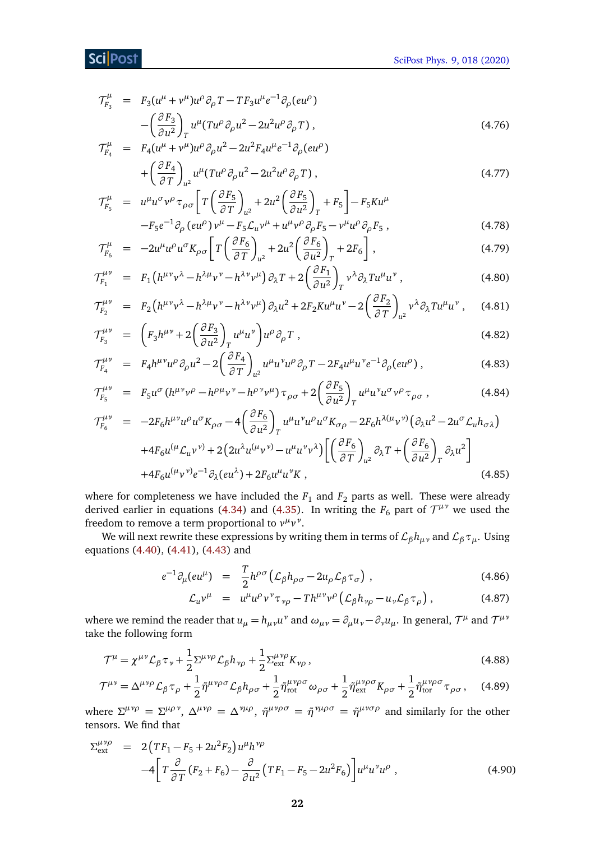$$
\mathcal{T}^{\mu}_{F_3} = F_3(u^{\mu} + v^{\mu})u^{\rho}\partial_{\rho}T - TF_3u^{\mu}e^{-1}\partial_{\rho}(eu^{\rho})
$$

$$
-\left(\frac{\partial F_3}{\partial u^2}\right)_T u^{\mu}(Tu^{\rho}\partial_{\rho}u^2 - 2u^2u^{\rho}\partial_{\rho}T), \qquad (4.76)
$$

$$
\mathcal{T}_{F_4}^{\mu} = F_4(u^{\mu} + v^{\mu})u^{\rho}\partial_{\rho}u^2 - 2u^2F_4u^{\mu}e^{-1}\partial_{\rho}(eu^{\rho})
$$
  
+ 
$$
\left(\frac{\partial F_4}{\partial T}\right)_{u^2}u^{\mu}(Tu^{\rho}\partial_{\rho}u^2 - 2u^2u^{\rho}\partial_{\rho}T),
$$
 (4.77)

$$
\mathcal{T}_{F_5}^{\mu} = u^{\mu} u^{\sigma} v^{\rho} \tau_{\rho \sigma} \left[ T \left( \frac{\partial F_5}{\partial T} \right)_{u^2} + 2u^2 \left( \frac{\partial F_5}{\partial u^2} \right)_T + F_5 \right] - F_5 K u^{\mu} \n- F_5 e^{-1} \partial_{\rho} (e u^{\rho}) v^{\mu} - F_5 \mathcal{L}_u v^{\mu} + u^{\mu} v^{\rho} \partial_{\rho} F_5 - v^{\mu} u^{\rho} \partial_{\rho} F_5 ,
$$
\n(4.78)

$$
\mathcal{T}_{F_6}^{\mu} = -2u^{\mu}u^{\rho}u^{\sigma}K_{\rho\sigma}\left[T\left(\frac{\partial F_6}{\partial T}\right)_{u^2} + 2u^2\left(\frac{\partial F_6}{\partial u^2}\right)_T + 2F_6\right],\tag{4.79}
$$

$$
\mathcal{T}_{F_1}^{\mu\nu} = F_1 \left( h^{\mu\nu} v^\lambda - h^{\lambda\mu} v^\nu - h^{\lambda\nu} v^\mu \right) \partial_\lambda T + 2 \left( \frac{\partial F_1}{\partial u^2} \right)_T v^\lambda \partial_\lambda T u^\mu u^\nu , \qquad (4.80)
$$

$$
\mathcal{T}_{F_2}^{\mu\nu} = F_2 \left( h^{\mu\nu} v^\lambda - h^{\lambda\mu} v^\nu - h^{\lambda\nu} v^\mu \right) \partial_\lambda u^2 + 2F_2 K u^\mu u^\nu - 2 \left( \frac{\partial F_2}{\partial T} \right)_{\mu^2} v^\lambda \partial_\lambda T u^\mu u^\nu , \quad (4.81)
$$

$$
\mathcal{T}_{F_3}^{\mu\nu} = \left( F_3 h^{\mu\nu} + 2 \left( \frac{\partial F_3}{\partial u^2} \right)_T u^{\mu} u^{\nu} \right) u^{\rho} \partial_{\rho} T , \qquad (4.82)
$$

$$
\mathcal{T}_{F_4}^{\mu\nu} = F_4 h^{\mu\nu} u^{\rho} \partial_{\rho} u^2 - 2 \left( \frac{\partial F_4}{\partial T} \right)_{u^2} u^{\mu} u^{\nu} u^{\rho} \partial_{\rho} T - 2F_4 u^{\mu} u^{\nu} e^{-1} \partial_{\rho} (e u^{\rho}), \qquad (4.83)
$$

$$
\mathcal{T}_{F_5}^{\mu\nu} = F_5 u^{\sigma} (h^{\mu\nu} v^{\rho} - h^{\rho\mu} v^{\nu} - h^{\rho\nu} v^{\mu}) \tau_{\rho\sigma} + 2 \left(\frac{\partial F_5}{\partial u^2}\right)_T u^{\mu} u^{\nu} u^{\sigma} v^{\rho} \tau_{\rho\sigma} , \qquad (4.84)
$$

$$
\mathcal{T}_{F_6}^{\mu\nu} = -2F_6 h^{\mu\nu} u^{\rho} u^{\sigma} K_{\rho\sigma} - 4 \left( \frac{\partial F_6}{\partial u^2} \right)_T u^{\mu} u^{\nu} u^{\rho} u^{\sigma} K_{\sigma\rho} - 2F_6 h^{\lambda(\mu} v^{\nu)} \left( \partial_{\lambda} u^2 - 2u^{\sigma} \mathcal{L}_u h_{\sigma\lambda} \right) \n+ 4F_6 u^{(\mu} \mathcal{L}_u v^{\nu)} + 2 \left( 2u^{\lambda} u^{(\mu} v^{\nu)} - u^{\mu} u^{\nu} v^{\lambda} \right) \left[ \left( \frac{\partial F_6}{\partial T} \right)_{u^2} \partial_{\lambda} T + \left( \frac{\partial F_6}{\partial u^2} \right)_T \partial_{\lambda} u^2 \right] \n+ 4F_6 u^{(\mu} v^{\nu)} e^{-1} \partial_{\lambda} (e u^{\lambda}) + 2F_6 u^{\mu} u^{\nu} K,
$$
\n(4.85)

where for completeness we have included the  $F_1$  and  $F_2$  parts as well. These were already derived earlier in equations [\(4.34\)](#page-17-0) and [\(4.35\)](#page-17-0). In writing the  $F_6$  part of  $\mathcal{T}^{\mu\nu}$  we used the freedom to remove a term proportional to  $v^{\mu}v^{\nu}$ .

We will next rewrite these expressions by writing them in terms of  $\mathcal{L}_{\beta} h_{\mu\nu}$  and  $\mathcal{L}_{\beta} \tau_{\mu}$ . Using equations [\(4.40\)](#page-17-4), [\(4.41\)](#page-17-4), [\(4.43\)](#page-18-0) and

$$
e^{-1}\partial_{\mu}(eu^{\mu}) = \frac{T}{2}h^{\rho\sigma}\left(\mathcal{L}_{\beta}h_{\rho\sigma} - 2u_{\rho}\mathcal{L}_{\beta}\tau_{\sigma}\right),\tag{4.86}
$$

<span id="page-22-1"></span><span id="page-22-0"></span>
$$
\mathcal{L}_u v^\mu = u^\mu u^\rho v^\nu \tau_{\nu\rho} - T h^{\mu\nu} v^\rho \left( \mathcal{L}_\beta h_{\nu\rho} - u_\nu \mathcal{L}_\beta \tau_\rho \right), \tag{4.87}
$$

where we remind the reader that  $u_\mu = h_{\mu\nu}u^\nu$  and  $\omega_{\mu\nu} = \partial_\mu u_\nu - \partial_\nu u_\mu$ . In general,  ${\cal T}^\mu$  and  ${\cal T}^{\mu\nu}$ take the following form

$$
\mathcal{T}^{\mu} = \chi^{\mu\nu} \mathcal{L}_{\beta} \tau_{\nu} + \frac{1}{2} \Sigma^{\mu\nu\rho} \mathcal{L}_{\beta} h_{\nu\rho} + \frac{1}{2} \Sigma^{\mu\nu\rho}_{ext} K_{\nu\rho} , \qquad (4.88)
$$

$$
\mathcal{T}^{\mu\nu} = \Delta^{\mu\nu\rho} \mathcal{L}_{\beta} \tau_{\rho} + \frac{1}{2} \tilde{\eta}^{\mu\nu\rho\sigma} \mathcal{L}_{\beta} h_{\rho\sigma} + \frac{1}{2} \tilde{\eta}^{\mu\nu\rho\sigma}_{\text{rot}} \omega_{\rho\sigma} + \frac{1}{2} \tilde{\eta}^{\mu\nu\rho\sigma}_{\text{ext}} K_{\rho\sigma} + \frac{1}{2} \tilde{\eta}^{\mu\nu\rho\sigma}_{\text{tor}} \tau_{\rho\sigma}, \quad (4.89)
$$

where  $\Sigma^{\mu\nu\rho} = \Sigma^{\mu\rho\nu}$ ,  $\Delta^{\mu\nu\rho} = \Delta^{\nu\mu\rho}$ ,  $\tilde{\eta}^{\mu\nu\rho\sigma} = \tilde{\eta}^{\nu\mu\rho\sigma} = \tilde{\eta}^{\mu\nu\sigma\rho}$  and similarly for the other tensors. We find that

$$
\Sigma_{\text{ext}}^{\mu\nu\rho} = 2\left(TF_1 - F_5 + 2u^2F_2\right)u^{\mu}h^{\nu\rho} \n-4\left[T\frac{\partial}{\partial T}(F_2 + F_6) - \frac{\partial}{\partial u^2}(TF_1 - F_5 - 2u^2F_6)\right]u^{\mu}u^{\nu}u^{\rho},
$$
\n(4.90)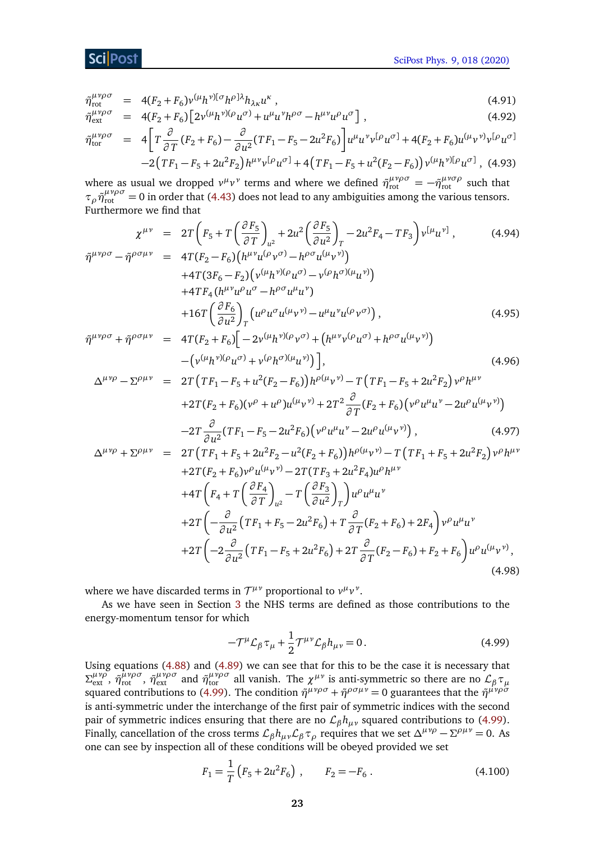### Sci Post

$$
\tilde{\eta}_{\text{rot}}^{\mu\nu\rho\sigma} = 4(F_2 + F_6)\nu^{(\mu}h^{\nu)[\sigma}h^{\rho]\lambda}h_{\lambda\kappa}u^{\kappa}, \qquad (4.91)
$$

$$
\tilde{\eta}_{\text{ext}}^{\mu\nu\rho\sigma} = 4(F_2 + F_6) \left[ 2\nu^{(\mu}h^{\nu)(\rho}u^{\sigma)} + u^{\mu}u^{\nu}h^{\rho\sigma} - h^{\mu\nu}u^{\rho}u^{\sigma} \right],\tag{4.92}
$$

$$
\tilde{\eta}_{\text{tor}}^{\mu\nu\rho\sigma} = 4 \left[ T \frac{\partial}{\partial T} (F_2 + F_6) - \frac{\partial}{\partial u^2} (TF_1 - F_5 - 2u^2 F_6) \right] u^{\mu} u^{\nu} v^{[\rho} u^{\sigma]} + 4(F_2 + F_6) u^{(\mu} v^{\nu)} v^{[\rho} u^{\sigma]} - 2(TF_1 - F_5 + 2u^2 F_2) h^{\mu\nu} v^{[\rho} u^{\sigma]} + 4(TF_1 - F_5 + u^2 (F_2 - F_6)) v^{(\mu} h^{\nu)[\rho} u^{\sigma]},
$$
\n(4.93)

where as usual we dropped  $v^{\mu}v^{\nu}$  terms and where we defined  $\tilde{\eta}^{\mu\nu\rho\sigma}_{\text{rot}} = -\tilde{\eta}^{\mu\nu\sigma\rho}_{\text{rot}}$  such that  $\tau$ <sub>*ρ*</sub> $\tilde{\eta}^{\mu\nu\rho\sigma}_{\text{rot}}$  = 0 in order that [\(4.43\)](#page-18-0) does not lead to any ambiguities among the various tensors. Furthermore we find that

$$
\chi^{\mu\nu} = 2T \left( F_5 + T \left( \frac{\partial F_5}{\partial T} \right)_{u^2} + 2u^2 \left( \frac{\partial F_5}{\partial u^2} \right)_T - 2u^2 F_4 - T F_3 \right) v^{[\mu} u^{\nu]}, \qquad (4.94)
$$
  

$$
\tilde{\eta}^{\mu\nu\rho\sigma} - \tilde{\eta}^{\rho\sigma\mu\nu} = 4T (F_2 - F_6) \left( h^{\mu\nu} u^{(\rho} v^{\sigma)} - h^{\rho\sigma} u^{(\mu} v^{\nu)} \right) + 4T (3F_6 - F_2) \left( v^{(\mu} h^{\nu)(\rho} u^{\sigma)} - v^{(\rho} h^{\sigma)(\mu} u^{\nu)} \right) + 4T F_4 \left( h^{\mu\nu} u^{\rho} u^{\sigma} - h^{\rho\sigma} u^{\mu} u^{\nu} \right) + 16T \left( \frac{\partial F_6}{\partial u^2} \right)_T \left( u^{\rho} u^{\sigma} u^{(\mu} v^{\nu)} - u^{\mu} u^{\nu} u^{(\rho} v^{\sigma)} \right), \qquad (4.95)
$$
  

$$
\tilde{\eta}^{\mu\nu\rho\sigma} + \tilde{\eta}^{\rho\sigma\mu\nu} = 4T (F_2 + F_6) \left[ -2v^{(\mu} h^{\nu)(\rho} v^{\sigma)} + \left( h^{\mu\nu} v^{(\rho} u^{\sigma)} + h^{\rho\sigma} u^{(\mu} v^{\nu)} \right) \right]
$$

$$
{}^{\nu\rho\sigma} + \tilde{\eta}^{\rho\sigma\mu\nu} = 4T(F_2 + F_6) \Big[ -2\nu^{(\mu}h^{\nu)(\rho}v^{\sigma)} + (h^{\mu\nu}v^{(\rho}u^{\sigma)} + h^{\rho\sigma}u^{(\mu}v^{\nu)}) - (\nu^{(\mu}h^{\nu)(\rho}u^{\sigma)} + v^{(\rho}h^{\sigma)(\mu}u^{\nu)}) \Big],
$$
\n(4.96)

$$
\Delta^{\mu\nu\rho} - \Sigma^{\rho\mu\nu} = 2T \left( T F_1 - F_5 + u^2 (F_2 - F_6) \right) h^{\rho(\mu} v^{\nu)} - T \left( T F_1 - F_5 + 2u^2 F_2 \right) v^{\rho} h^{\mu\nu}
$$
  
+2T (F<sub>2</sub> + F<sub>6</sub>) (v<sup>ρ</sup> + u<sup>ρ</sup>) u<sup>(μ</sup> v<sup>ν</sup>) + 2T<sup>2</sup>  $\frac{\partial}{\partial T}$  (F<sub>2</sub> + F<sub>6</sub>) (v<sup>ρ</sup> u<sup>μ</sup> u<sup>ν</sup> - 2u<sup>ρ</sup> u<sup>(μ</sup> v<sup>ν</sup>)  
-2T  $\frac{\partial}{\partial u^2}$  (TF<sub>1</sub> - F<sub>5</sub> - 2u<sup>2</sup>F<sub>6</sub>) (v<sup>ρ</sup> u<sup>μ</sup> u<sup>ν</sup> - 2u<sup>ρ</sup> u<sup>(μ</sup> v<sup>ν</sup>) , (4.97)  

$$
\Delta^{\mu\nu\rho} + \Sigma^{\rho\mu\nu} = 2T \left( T F_1 + F_5 + 2u^2 F_2 - u^2 (F_2 + F_6) \right) h^{\rho(\mu} v^{\nu)} - T \left( T F_1 + F_5 + 2u^2 F_2 \right) v^{\rho} h^{\mu\nu}
$$
  
+2T (F<sub>2</sub> + F<sub>6</sub>) v<sup>ρ</sup> u<sup>(μ</sup> v<sup>ν</sup>) - 2T (TF<sub>3</sub> + 2u<sup>2</sup>F<sub>4</sub>)u<sup>ρ</sup> h<sup>μν</sup>

+2T(F<sub>2</sub> + F<sub>6</sub>)
$$
v^{\rho}u^{(\mu}v^{\nu)} - 2T(TF_3 + 2u^2F_4)u^{\rho}h^{\mu\nu}
$$
  
+4T $\left(F_4 + T\left(\frac{\partial F_4}{\partial T}\right)_{u^2} - T\left(\frac{\partial F_3}{\partial u^2}\right)_T\right)u^{\rho}u^{\mu}u^{\nu}$   
+2T $\left(-\frac{\partial}{\partial u^2}(TF_1 + F_5 - 2u^2F_6) + T\frac{\partial}{\partial T}(F_2 + F_6) + 2F_4\right)v^{\rho}u^{\mu}u^{\nu}$   
+2T $\left(-2\frac{\partial}{\partial u^2}(TF_1 - F_5 + 2u^2F_6) + 2T\frac{\partial}{\partial T}(F_2 - F_6) + F_2 + F_6\right)u^{\rho}u^{(\mu}v^{\nu)},$ \n(4.98)

where we have discarded terms in  $\mathcal{T}^{\mu\nu}$  proportional to  $v^{\mu}v^{\nu}$ .

As we have seen in Section [3](#page-10-0) the NHS terms are defined as those contributions to the energy-momentum tensor for which

<span id="page-23-0"></span>
$$
-\mathcal{T}^{\mu}\mathcal{L}_{\beta}\tau_{\mu}+\frac{1}{2}\mathcal{T}^{\mu\nu}\mathcal{L}_{\beta}h_{\mu\nu}=0.
$$
 (4.99)

Using equations [\(4.88\)](#page-22-0) and [\(4.89\)](#page-22-1) we can see that for this to be the case it is necessary that *Σ*<sup>μνρ</sup>, *η*<sup>μνρσ</sup>, *η*<sup>μνρσ</sup><sub>εκt</sub> , *η*<sup>μνρσ</sup><sub>εκt</sub> and *η*<sup>μνρσ</sup><sub>ε</sub> all vanish. The *χ*<sup>μν</sup> is anti-symmetric so there are no  $\mathcal{L}_{\beta} \tau_{\mu}$ squared contributions to [\(4.99\)](#page-23-0). The condition  $\tilde{\eta}^{\mu\nu\rho\sigma} + \tilde{\eta}^{\rho\sigma\mu\nu} = 0$  guarantees that the  $\tilde{\eta}^{\mu\nu\rho\sigma}$ is anti-symmetric under the interchange of the first pair of symmetric indices with the second pair of symmetric indices ensuring that there are no  $\mathcal{L}_{\beta} h_{\mu\nu}$  squared contributions to [\(4.99\)](#page-23-0). Finally, cancellation of the cross terms  $\mathcal{L}_{\beta} h_{\mu\nu}\mathcal{L}_{\beta} \tau_{\rho}$  requires that we set  $\Delta^{\mu\nu\rho} - \Sigma^{\rho\mu\nu} = 0$ . As one can see by inspection all of these conditions will be obeyed provided we set

<span id="page-23-1"></span>
$$
F_1 = \frac{1}{T} \left( F_5 + 2u^2 F_6 \right) , \qquad F_2 = -F_6 . \tag{4.100}
$$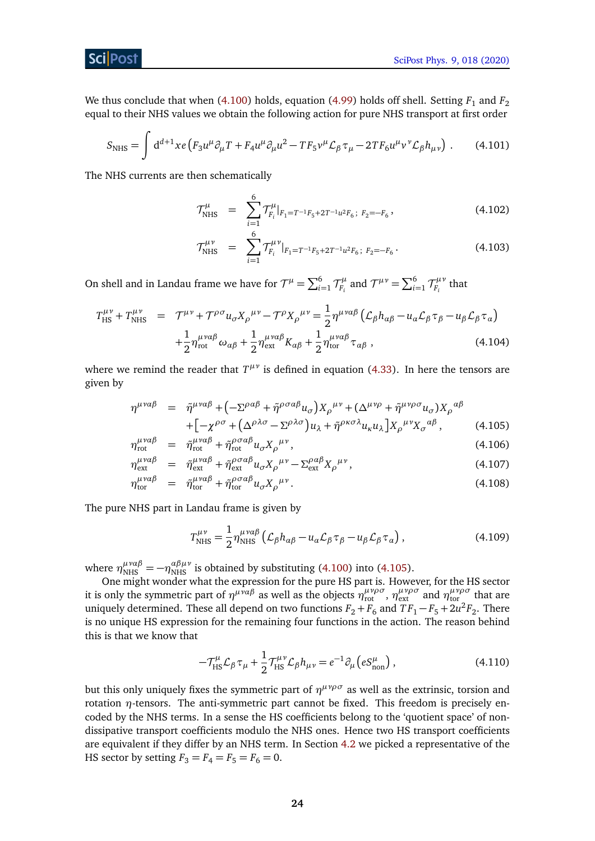<span id="page-24-2"></span>[SciPost Phys. 9, 018 \(2020\)](https://scipost.org/SciPostPhys.9.2.018)

ScilPost

We thus conclude that when [\(4.100\)](#page-23-1) holds, equation [\(4.99\)](#page-23-0) holds off shell. Setting  $F_1$  and  $F_2$ equal to their NHS values we obtain the following action for pure NHS transport at first order

$$
S_{\text{NHS}} = \int d^{d+1}x e \left( F_3 u^{\mu} \partial_{\mu} T + F_4 u^{\mu} \partial_{\mu} u^2 - T F_5 v^{\mu} \mathcal{L}_{\beta} \tau_{\mu} - 2 T F_6 u^{\mu} v^{\nu} \mathcal{L}_{\beta} h_{\mu \nu} \right) . \tag{4.101}
$$

The NHS currents are then schematically

$$
\mathcal{T}^{\mu}_{\text{NHS}} = \sum_{i=1}^{6} \mathcal{T}^{\mu}_{F_i}|_{F_1 = T^{-1}F_5 + 2T^{-1}u^2F_6; F_2 = -F_6},
$$
\n(4.102)

$$
\mathcal{T}^{\mu\nu}_{\text{NHS}} = \sum_{i=1}^{6} \mathcal{T}^{\mu\nu}_{F_i} |_{F_1 = T^{-1}F_5 + 2T^{-1}u^2F_6; F_2 = -F_6} \,. \tag{4.103}
$$

On shell and in Landau frame we have for  $\mathcal{T}^{\mu} = \sum_{i=1}^{6} \mathcal{T}^{\mu}_{F_i}$ *F<sub>i</sub>* and  $\mathcal{T}^{\mu\nu} = \sum_{i=1}^{6} \mathcal{T}^{\mu\nu}_{F_i}$  $\frac{1}{F_i}^{\mu\nu}$  that

<span id="page-24-1"></span>
$$
T_{\rm HS}^{\mu\nu} + T_{\rm NHS}^{\mu\nu} = \mathcal{T}^{\mu\nu} + \mathcal{T}^{\rho\sigma} u_{\sigma} X_{\rho}^{\ \mu\nu} - \mathcal{T}^{\rho} X_{\rho}^{\ \mu\nu} = \frac{1}{2} \eta^{\mu\nu\alpha\beta} \left( \mathcal{L}_{\beta} h_{\alpha\beta} - u_{\alpha} \mathcal{L}_{\beta} \tau_{\beta} - u_{\beta} \mathcal{L}_{\beta} \tau_{\alpha} \right) + \frac{1}{2} \eta^{\mu\nu\alpha\beta}_{\rm rot} \omega_{\alpha\beta} + \frac{1}{2} \eta^{\mu\nu\alpha\beta}_{\rm ext} K_{\alpha\beta} + \frac{1}{2} \eta^{\mu\nu\alpha\beta}_{\rm tor} \tau_{\alpha\beta} , \qquad (4.104)
$$

where we remind the reader that  $T^{\mu\nu}$  is defined in equation [\(4.33\)](#page-16-1). In here the tensors are given by

<span id="page-24-0"></span>
$$
\eta^{\mu\nu\alpha\beta} = \tilde{\eta}^{\mu\nu\alpha\beta} + \left( -\Sigma^{\rho\alpha\beta} + \tilde{\eta}^{\rho\sigma\alpha\beta} u_{\sigma} \right) X_{\rho}^{\mu\nu} + \left( \Delta^{\mu\nu\rho} + \tilde{\eta}^{\mu\nu\rho\sigma} u_{\sigma} \right) X_{\rho}^{\alpha\beta} + \left[ -\chi^{\rho\sigma} + \left( \Delta^{\rho\lambda\sigma} - \Sigma^{\rho\lambda\sigma} \right) u_{\lambda} + \tilde{\eta}^{\rho\kappa\sigma\lambda} u_{\kappa} u_{\lambda} \right] X_{\rho}^{\mu\nu} X_{\sigma}^{\alpha\beta}, \tag{4.105}
$$

$$
\eta_{\text{rot}}^{\mu\nu\alpha\beta} = \tilde{\eta}_{\text{rot}}^{\mu\nu\alpha\beta} + \tilde{\eta}_{\text{rot}}^{\rho\sigma\alpha\beta} u_{\sigma} X_{\rho}^{\mu\nu},\tag{4.106}
$$

$$
\eta_{\text{ext}}^{\mu\nu\alpha\beta} = \tilde{\eta}_{\text{ext}}^{\mu\nu\alpha\beta} + \tilde{\eta}_{\text{ext}}^{\rho\sigma\alpha\beta} u_{\sigma} X_{\rho}^{\mu\nu} - \Sigma_{\text{ext}}^{\rho\alpha\beta} X_{\rho}^{\mu\nu}, \tag{4.107}
$$

$$
\eta_{\text{tor}}^{\mu\nu\alpha\beta} = \tilde{\eta}_{\text{tor}}^{\mu\nu\alpha\beta} + \tilde{\eta}_{\text{tor}}^{\rho\sigma\alpha\beta} u_{\sigma} X_{\rho}^{\mu\nu}.
$$
\n(4.108)

The pure NHS part in Landau frame is given by

$$
T_{\text{NHS}}^{\mu\nu} = \frac{1}{2} \eta_{\text{NHS}}^{\mu\nu\alpha\beta} \left( \mathcal{L}_{\beta} h_{\alpha\beta} - u_{\alpha} \mathcal{L}_{\beta} \tau_{\beta} - u_{\beta} \mathcal{L}_{\beta} \tau_{\alpha} \right), \tag{4.109}
$$

where  $\eta_{\text{NHS}}^{\mu\nu\alpha\beta} = -\eta_{\text{NHS}}^{\alpha\beta\mu\nu}$  is obtained by substituting [\(4.100\)](#page-23-1) into [\(4.105\)](#page-24-0).

One might wonder what the expression for the pure HS part is. However, for the HS sector it is only the symmetric part of  $\eta^{\mu\nu\alpha\beta}$  as well as the objects  $\eta^{\mu\nu\rho\sigma}_{\text{rot}}$ ,  $\eta^{\mu\nu\rho\sigma}_{\text{ext}}$  and  $\eta^{\mu\nu\rho\sigma}_{\text{tor}}$  that are uniquely determined. These all depend on two functions  $F_2 + F_6$  and  $TF_1 - F_5 + 2u^2F_2$ . There is no unique HS expression for the remaining four functions in the action. The reason behind this is that we know that

$$
-\mathcal{T}^{\mu}_{\text{HS}}\mathcal{L}_{\beta}\tau_{\mu} + \frac{1}{2}\mathcal{T}^{\mu\nu}_{\text{HS}}\mathcal{L}_{\beta}h_{\mu\nu} = e^{-1}\partial_{\mu}\left(eS^{\mu}_{\text{non}}\right),\tag{4.110}
$$

but this only uniquely fixes the symmetric part of  $η<sup>μνρσ</sup>$  as well as the extrinsic, torsion and rotation *η*-tensors. The anti-symmetric part cannot be fixed. This freedom is precisely encoded by the NHS terms. In a sense the HS coefficients belong to the 'quotient space' of nondissipative transport coefficients modulo the NHS ones. Hence two HS transport coefficients are equivalent if they differ by an NHS term. In Section [4.2](#page-15-0) we picked a representative of the HS sector by setting  $F_3 = F_4 = F_5 = F_6 = 0$ .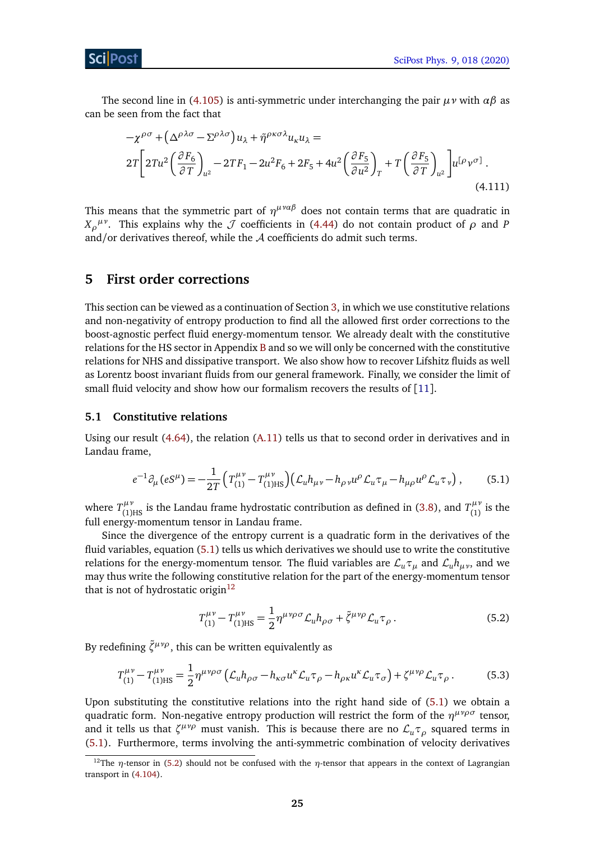The second line in [\(4.105\)](#page-24-0) is anti-symmetric under interchanging the pair *µν* with *αβ* as can be seen from the fact that

$$
-\chi^{\rho\sigma} + (\Delta^{\rho\lambda\sigma} - \Sigma^{\rho\lambda\sigma})u_{\lambda} + \tilde{\eta}^{\rho\kappa\sigma\lambda}u_{\kappa}u_{\lambda} =
$$
  

$$
2T\left[2Tu^{2}\left(\frac{\partial F_{6}}{\partial T}\right)_{u^{2}} - 2TF_{1} - 2u^{2}F_{6} + 2F_{5} + 4u^{2}\left(\frac{\partial F_{5}}{\partial u^{2}}\right)_{T} + T\left(\frac{\partial F_{5}}{\partial T}\right)_{u^{2}}\right]u^{\left[\rho\right]}\nu^{\sigma]}
$$
  
(4.111)

This means that the symmetric part of  $\eta^{\mu\nu\alpha\beta}$  does not contain terms that are quadratic in *X*<sub>*ρ*</sub><sup>*μ*</sup>. This explains why the *J* coefficients in [\(4.44\)](#page-18-2) do not contain product of *ρ* and *P* and/or derivatives thereof, while the A coefficients do admit such terms.

## <span id="page-25-0"></span>**5 First order corrections**

This section can be viewed as a continuation of Section [3,](#page-10-0) in which we use constitutive relations and non-negativity of entropy production to find all the allowed first order corrections to the boost-agnostic perfect fluid energy-momentum tensor. We already dealt with the constitutive relations for the HS sector in Appendix [B](#page-36-0) and so we will only be concerned with the constitutive relations for NHS and dissipative transport. We also show how to recover Lifshitz fluids as well as Lorentz boost invariant fluids from our general framework. Finally, we consider the limit of small fluid velocity and show how our formalism recovers the results of [[11](#page-39-5)].

#### <span id="page-25-1"></span>**5.1 Constitutive relations**

Using our result [\(4.64\)](#page-20-4), the relation [\(A.11\)](#page-36-1) tells us that to second order in derivatives and in Landau frame,

<span id="page-25-2"></span>
$$
e^{-1}\partial_{\mu}(eS^{\mu}) = -\frac{1}{2T}\left(T_{(1)}^{\mu\nu} - T_{(1)\text{HS}}^{\mu\nu}\right)\left(\mathcal{L}_{u}h_{\mu\nu} - h_{\rho\nu}u^{\rho}\mathcal{L}_{u}\tau_{\mu} - h_{\mu\rho}u^{\rho}\mathcal{L}_{u}\tau_{\nu}\right),\tag{5.1}
$$

where  $T^{\mu\nu}_{(1)HS}$  is the Landau frame hydrostatic contribution as defined in [\(3.8\)](#page-11-1), and  $T^{\mu\nu}_{(1)}$  $\int_{(1)}^{\mu \nu}$  is the full energy-momentum tensor in Landau frame.

Since the divergence of the entropy current is a quadratic form in the derivatives of the fluid variables, equation [\(5.1\)](#page-25-2) tells us which derivatives we should use to write the constitutive relations for the energy-momentum tensor. The fluid variables are  $\mathcal{L}_u \tau_u$  and  $\mathcal{L}_u h_{\mu\nu}$ , and we may thus write the following constitutive relation for the part of the energy-momentum tensor that is not of hydrostatic origin<sup>[12](#page-25-3)</sup>

<span id="page-25-4"></span>
$$
T_{(1)}^{\mu\nu} - T_{(1)\text{HS}}^{\mu\nu} = \frac{1}{2} \eta^{\mu\nu\rho\sigma} \mathcal{L}_u h_{\rho\sigma} + \tilde{\zeta}^{\mu\nu\rho} \mathcal{L}_u \tau_\rho \,. \tag{5.2}
$$

By redefining  $\tilde{\zeta}^{\mu\nu\rho}$ , this can be written equivalently as

$$
T_{(1)}^{\mu\nu} - T_{(1)\text{HS}}^{\mu\nu} = \frac{1}{2} \eta^{\mu\nu\rho\sigma} \left( \mathcal{L}_u h_{\rho\sigma} - h_{\kappa\sigma} u^{\kappa} \mathcal{L}_u \tau_\rho - h_{\rho\kappa} u^{\kappa} \mathcal{L}_u \tau_\sigma \right) + \zeta^{\mu\nu\rho} \mathcal{L}_u \tau_\rho \,. \tag{5.3}
$$

Upon substituting the constitutive relations into the right hand side of [\(5.1\)](#page-25-2) we obtain a quadratic form. Non-negative entropy production will restrict the form of the *η µνρσ* tensor, and it tells us that  $\zeta^{\mu\nu\rho}$  must vanish. This is because there are no  $\mathcal{L}_u \tau_\rho$  squared terms in [\(5.1\)](#page-25-2). Furthermore, terms involving the anti-symmetric combination of velocity derivatives

<span id="page-25-3"></span><sup>&</sup>lt;sup>12</sup>The *η*-tensor in [\(5.2\)](#page-25-4) should not be confused with the *η*-tensor that appears in the context of Lagrangian transport in [\(4.104\)](#page-24-1).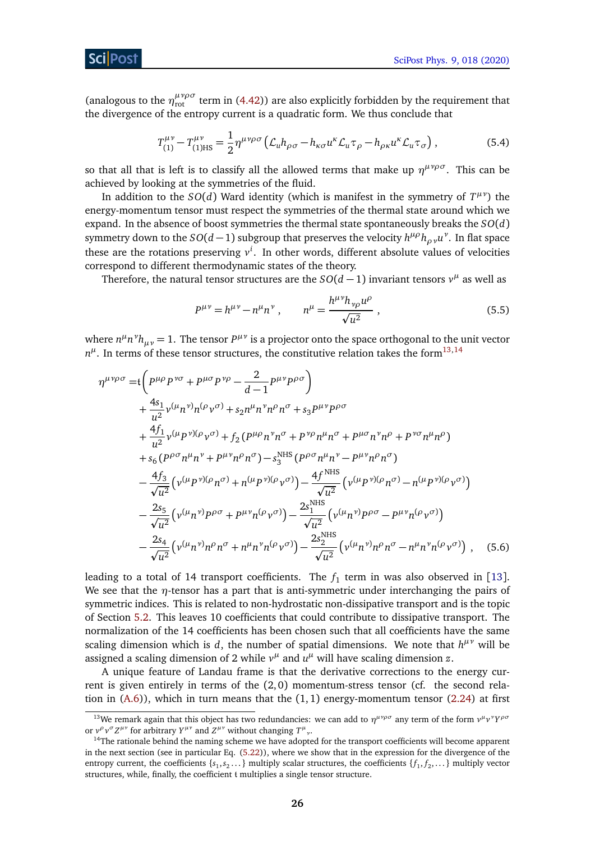(analogous to the  $\eta_{\text{rot}}^{\mu\nu\rho\sigma}$  term in [\(4.42\)](#page-17-1)) are also explicitly forbidden by the requirement that the divergence of the entropy current is a quadratic form. We thus conclude that

<span id="page-26-4"></span>
$$
T_{(1)}^{\mu\nu} - T_{(1)\text{HS}}^{\mu\nu} = \frac{1}{2} \eta^{\mu\nu\rho\sigma} \left( \mathcal{L}_u h_{\rho\sigma} - h_{\kappa\sigma} u^{\kappa} \mathcal{L}_u \tau_\rho - h_{\rho\kappa} u^{\kappa} \mathcal{L}_u \tau_\sigma \right),\tag{5.4}
$$

so that all that is left is to classify all the allowed terms that make up  $\eta^{\mu\nu\rho\sigma}$ . This can be achieved by looking at the symmetries of the fluid.

In addition to the  $SO(d)$  Ward identity (which is manifest in the symmetry of  $T^{\mu\nu}$ ) the energy-momentum tensor must respect the symmetries of the thermal state around which we expand. In the absence of boost symmetries the thermal state spontaneously breaks the *SO*(*d*) symmetry down to the  $SO(d-1)$  subgroup that preserves the velocity  $h^{\mu\rho}h_{\rho\, \nu}u^{\nu}$ . In flat space these are the rotations preserving *v i* . In other words, different absolute values of velocities correspond to different thermodynamic states of the theory.

Therefore, the natural tensor structures are the  $SO(d-1)$  invariant tensors  $v^{\mu}$  as well as

<span id="page-26-3"></span><span id="page-26-2"></span>
$$
P^{\mu\nu} = h^{\mu\nu} - n^{\mu}n^{\nu} , \qquad n^{\mu} = \frac{h^{\mu\nu}h_{\nu\rho}u^{\rho}}{\sqrt{u^2}} , \qquad (5.5)
$$

where  $n^{\mu}n^{\nu}h_{\mu\nu} = 1$ . The tensor  $P^{\mu\nu}$  is a projector onto the space orthogonal to the unit vector  $n^{\mu}$ . In terms of these tensor structures, the constitutive relation takes the form<sup>[13,](#page-26-0)[14](#page-26-1)</sup>

$$
\eta^{\mu\nu\rho\sigma} = t \left( P^{\mu\rho} P^{\nu\sigma} + P^{\mu\sigma} P^{\nu\rho} - \frac{2}{d-1} P^{\mu\nu} P^{\rho\sigma} \right) \n+ \frac{4s_1}{u^2} v^{(\mu} n^{\nu)} n^{(\rho} v^{\sigma)} + s_2 n^{\mu} n^{\nu} n^{\rho} n^{\sigma} + s_3 P^{\mu\nu} P^{\rho\sigma} \n+ \frac{4f_1}{u^2} v^{(\mu} P^{\nu)(\rho} v^{\sigma)} + f_2 (P^{\mu\rho} n^{\nu} n^{\sigma} + P^{\nu\rho} n^{\mu} n^{\sigma} + P^{\mu\sigma} n^{\nu} n^{\rho} + P^{\nu\sigma} n^{\mu} n^{\rho}) \n+ s_6 (P^{\rho\sigma} n^{\mu} n^{\nu} + P^{\mu\nu} n^{\rho} n^{\sigma}) - s_3^{\text{MHS}} (P^{\rho\sigma} n^{\mu} n^{\nu} - P^{\mu\nu} n^{\rho} n^{\sigma}) \n- \frac{4f_3}{\sqrt{u^2}} (v^{(\mu} P^{\nu)(\rho} n^{\sigma)} + n^{(\mu} P^{\nu)(\rho} v^{\sigma)}) - \frac{4f^{\text{NHS}}}{\sqrt{u^2}} (v^{(\mu} P^{\nu)(\rho} n^{\sigma)} - n^{(\mu} P^{\nu)(\rho} v^{\sigma})) \n- \frac{2s_5}{\sqrt{u^2}} (v^{(\mu} n^{\nu)} P^{\rho\sigma} + P^{\mu\nu} n^{(\rho} v^{\sigma)}) - \frac{2s_1^{\text{NHS}}}{\sqrt{u^2}} (v^{(\mu} n^{\nu}) P^{\rho\sigma} - P^{\mu\nu} n^{(\rho} v^{\sigma})) \n- \frac{2s_4}{\sqrt{u^2}} (v^{(\mu} n^{\nu}) n^{\rho} n^{\sigma} + n^{\mu} n^{\nu} n^{(\rho} v^{\sigma})) - \frac{2s_2^{\text{NHS}}}{\sqrt{u^2}} (v^{(\mu} n^{\nu}) n^{\rho} n^{\sigma} - n^{\mu} n^{\nu} n^{(\rho} v^{\sigma})) , \quad (5.6)
$$

leading to a total of 14 transport coefficients. The  $f_1$  term in was also observed in [[13](#page-39-7)]. We see that the *η*-tensor has a part that is anti-symmetric under interchanging the pairs of symmetric indices. This is related to non-hydrostatic non-dissipative transport and is the topic of Section [5.2.](#page-27-0) This leaves 10 coefficients that could contribute to dissipative transport. The normalization of the 14 coefficients has been chosen such that all coefficients have the same scaling dimension which is  $d$ , the number of spatial dimensions. We note that  $h^{\mu\nu}$  will be assigned a scaling dimension of 2 while  $v^{\mu}$  and  $u^{\mu}$  will have scaling dimension  $z$ .

A unique feature of Landau frame is that the derivative corrections to the energy current is given entirely in terms of the (2, 0) momentum-stress tensor (cf. the second relation in  $(A.6)$ ), which in turn means that the  $(1, 1)$  energy-momentum tensor  $(2.24)$  at first

<span id="page-26-0"></span><sup>&</sup>lt;sup>13</sup>We remark again that this object has two redundancies: we can add to  $η^{\mu\nu\rho\sigma}$  any term of the form  $ν^{\mu}ν^{\nu}Y^{\rho\sigma}$ or  $v^{\rho}v^{\sigma}Z^{\mu\nu}$  for arbitrary  $Y^{\mu\nu}$  and  $Z^{\mu\nu}$  without changing  $T^{\mu}{}_{\nu}$ .

<span id="page-26-1"></span><sup>&</sup>lt;sup>14</sup>The rationale behind the naming scheme we have adopted for the transport coefficients will become apparent in the next section (see in particular Eq. [\(5.22\)](#page-29-0)), where we show that in the expression for the divergence of the entropy current, the coefficients { $s_1, s_2...$ } multiply scalar structures, the coefficients { $f_1, f_2,...$ } multiply vector structures, while, finally, the coefficient t multiplies a single tensor structure.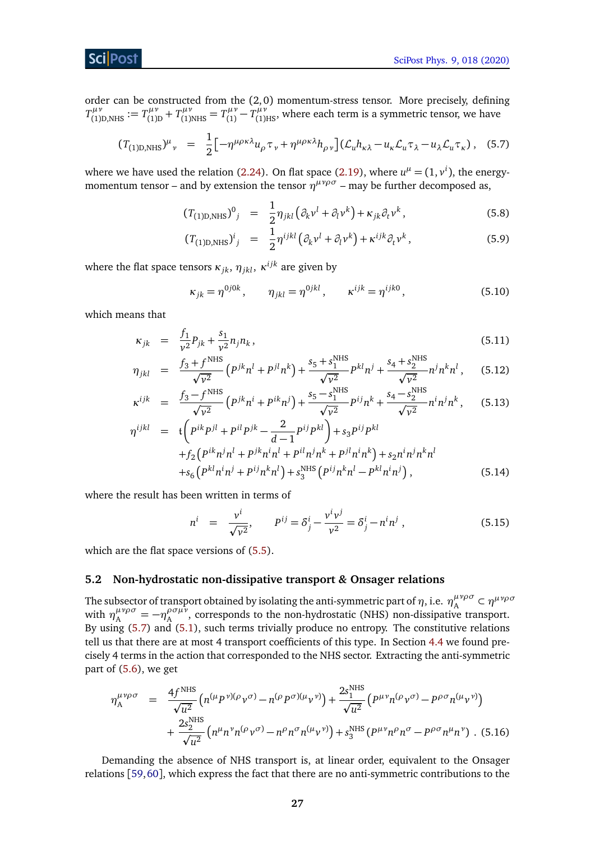## ScilPost

order can be constructed from the (2, 0) momentum-stress tensor. More precisely, defining  $T^{\mu\nu}_{(1)D,NHS} := T^{\mu\nu}_{(1)}$  $T_{(1)D}^{\mu\nu} + T_{(1)NHS}^{\mu\nu} = T_{(1)}^{\mu\nu}$  $T^{(\mu\nu)}_{(1)} - T^{(\mu\nu)}_{(1)HS}$ , where each term is a symmetric tensor, we have

<span id="page-27-1"></span>
$$
(T_{(1)D,NHS})^{\mu}{}_{\nu} = \frac{1}{2} \left[ -\eta^{\mu\rho\kappa\lambda} u_{\rho} \tau_{\nu} + \eta^{\mu\rho\kappa\lambda} h_{\rho\nu} \right] (\mathcal{L}_{u} h_{\kappa\lambda} - u_{\kappa} \mathcal{L}_{u} \tau_{\lambda} - u_{\lambda} \mathcal{L}_{u} \tau_{\kappa}), \quad (5.7)
$$

where we have used the relation [\(2.24\)](#page-9-4). On flat space [\(2.19\)](#page-8-2), where  $u^{\mu} = (1, v^{i})$ , the energymomentum tensor – and by extension the tensor  $\eta^{\mu\nu\rho\sigma}$  – may be further decomposed as,

<span id="page-27-5"></span>
$$
(T(1)D,NHS)0j = \frac{1}{2} \eta_{jkl} (\partial_k v^l + \partial_l v^k) + \kappa_{jk} \partial_t v^k, \qquad (5.8)
$$

$$
(T_{(1)D,NHS})^i{}_j = \frac{1}{2} \eta^{ijkl} \left( \partial_k v^l + \partial_l v^k \right) + \kappa^{ijk} \partial_t v^k \,, \tag{5.9}
$$

where the flat space tensors  $\kappa_{jk},\,\eta_{jkl},\,\kappa^{ijk}$  are given by

<span id="page-27-2"></span>
$$
\kappa_{jk} = \eta^{0j0k}, \qquad \eta_{jkl} = \eta^{0jkl}, \qquad \kappa^{ijk} = \eta^{ijk0},
$$
\n(5.10)

which means that

<span id="page-27-3"></span>
$$
\kappa_{jk} = \frac{f_1}{v^2} p_{jk} + \frac{s_1}{v^2} n_j n_k, \tag{5.11}
$$

$$
\eta_{jkl} = \frac{f_3 + f^{\text{NHS}}}{\sqrt{v^2}} \left( P^{jk} n^l + P^{jl} n^k \right) + \frac{s_5 + s_1^{\text{NHS}}}{\sqrt{v^2}} P^{kl} n^j + \frac{s_4 + s_2^{\text{NHS}}}{\sqrt{v^2}} n^j n^k n^l ,\tag{5.12}
$$

$$
\kappa^{ijk} = \frac{f_3 - f^{\text{NHS}}}{\sqrt{v^2}} \left( P^{jk} n^i + P^{ik} n^j \right) + \frac{s_5 - s_1^{\text{NHS}}}{\sqrt{v^2}} P^{ij} n^k + \frac{s_4 - s_2^{\text{NHS}}}{\sqrt{v^2}} n^i n^j n^k, \quad (5.13)
$$

$$
\eta^{ijkl} = \mathfrak{t} \bigg( P^{ik} P^{jl} + P^{il} P^{jk} - \frac{2}{d-1} P^{ij} P^{kl} \bigg) + s_3 P^{ij} P^{kl} \n+ f_2 \big( P^{ik} n^j n^l + P^{jk} n^i n^l + P^{il} n^j n^k + P^{jl} n^i n^k \big) + s_2 n^i n^j n^k n^l \n+ s_6 \big( P^{kl} n^i n^j + P^{ij} n^k n^l \big) + s_3^{\text{NHS}} \big( P^{ij} n^k n^l - P^{kl} n^i n^j \big) ,
$$
\n(5.14)

where the result has been written in terms of

$$
n^{i} = \frac{v^{i}}{\sqrt{v^{2}}}, \qquad P^{ij} = \delta_{j}^{i} - \frac{v^{i}v^{j}}{v^{2}} = \delta_{j}^{i} - n^{i}n^{j}, \qquad (5.15)
$$

which are the flat space versions of  $(5.5)$ .

#### <span id="page-27-0"></span>**5.2 Non-hydrostatic non-dissipative transport** *&* **Onsager relations**

The subsector of transport obtained by isolating the anti-symmetric part of  $\eta$ , i.e.  $\eta_A^{\mu\nu\rho\sigma} \subset \eta^{\mu\nu\rho\sigma}$ with  $\eta_A^{\mu\nu\rho\sigma} = -\eta_A^{\rho\sigma\mu\nu}$  $A_A^{\nu\sigma\mu\nu}$ , corresponds to the non-hydrostatic (NHS) non-dissipative transport. By using [\(5.7\)](#page-27-1) and [\(5.1\)](#page-25-2), such terms trivially produce no entropy. The constitutive relations tell us that there are at most 4 transport coefficients of this type. In Section [4.4](#page-21-0) we found precisely 4 terms in the action that corresponded to the NHS sector. Extracting the anti-symmetric part of [\(5.6\)](#page-26-3), we get

<span id="page-27-4"></span>
$$
\eta_{A}^{\mu\nu\rho\sigma} = \frac{4f^{NHS}}{\sqrt{u^{2}}} \Big( n^{(\mu}P^{\nu)(\rho}v^{\sigma)} - n^{(\rho}P^{\sigma)(\mu}v^{\nu)} \Big) + \frac{2s_{1}^{NHS}}{\sqrt{u^{2}}} \Big( P^{\mu\nu}n^{(\rho}v^{\sigma)} - P^{\rho\sigma}n^{(\mu}v^{\nu)} \Big) + \frac{2s_{2}^{NHS}}{\sqrt{u^{2}}} \Big( n^{\mu}n^{\nu}n^{(\rho}v^{\sigma)} - n^{\rho}n^{\sigma}n^{(\mu}v^{\nu)} \Big) + s_{3}^{NHS} \Big( P^{\mu\nu}n^{\rho}n^{\sigma} - P^{\rho\sigma}n^{\mu}n^{\nu} \Big) .
$$
 (5.16)

Demanding the absence of NHS transport is, at linear order, equivalent to the Onsager relations [[59,](#page-42-3)[60](#page-42-4)], which express the fact that there are no anti-symmetric contributions to the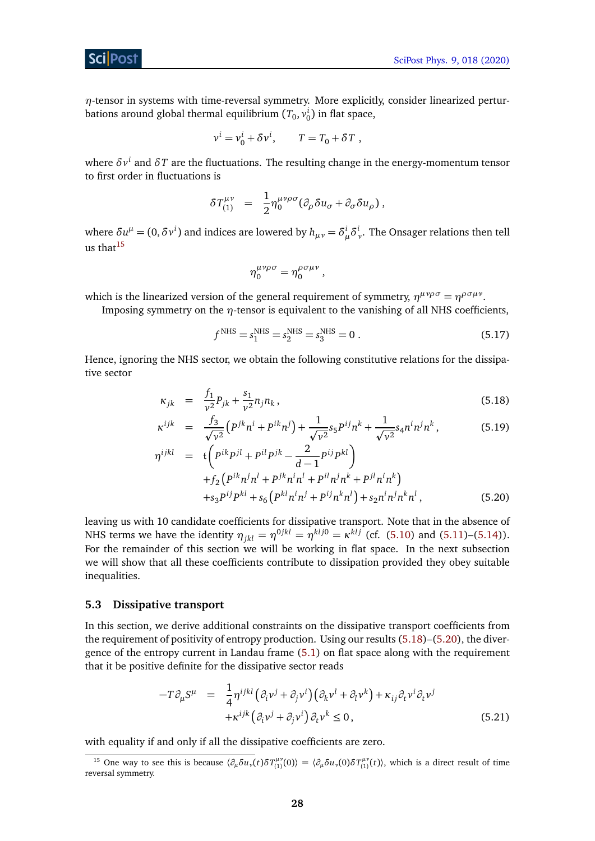*η*-tensor in systems with time-reversal symmetry. More explicitly, consider linearized perturbations around global thermal equilibrium  $(T_0, v_0^i)$  in flat space,

$$
v^i = v_0^i + \delta v^i, \qquad T = T_0 + \delta T,
$$

where  $\delta v^i$  and  $\delta T$  are the fluctuations. The resulting change in the energy-momentum tensor to first order in fluctuations is

$$
\delta T_{(1)}^{\mu\nu} = \frac{1}{2} \eta_0^{\mu\nu\rho\sigma} (\partial_\rho \delta u_\sigma + \partial_\sigma \delta u_\rho) \,,
$$

where  $\delta u^{\mu} = (0, \delta v^{i})$  and indices are lowered by  $h_{\mu\nu} = \delta^i_{\mu} \delta^i_{\nu}$ . The Onsager relations then tell us that $15$ 

$$
\eta_0^{\mu\nu\rho\sigma}=\eta_0^{\rho\sigma\mu\nu}\,,
$$

which is the linearized version of the general requirement of symmetry,  $\eta^{\mu\nu\rho\sigma} = \eta^{\rho\sigma\mu\nu}$ .

Imposing symmetry on the *η*-tensor is equivalent to the vanishing of all NHS coefficients,

$$
f^{\text{NHS}} = s_1^{\text{NHS}} = s_2^{\text{NHS}} = s_3^{\text{NHS}} = 0.
$$
 (5.17)

Hence, ignoring the NHS sector, we obtain the following constitutive relations for the dissipative sector

<span id="page-28-2"></span>
$$
\kappa_{jk} = \frac{f_1}{v^2} p_{jk} + \frac{s_1}{v^2} n_j n_k, \tag{5.18}
$$

$$
\kappa^{ijk} = \frac{f_3}{\sqrt{v^2}} \left( P^{jk} n^i + P^{ik} n^j \right) + \frac{1}{\sqrt{v^2}} s_5 P^{ij} n^k + \frac{1}{\sqrt{v^2}} s_4 n^i n^j n^k, \tag{5.19}
$$

$$
\eta^{ijkl} = \mathfrak{t} \bigg( P^{ik} P^{jl} + P^{il} P^{jk} - \frac{2}{d-1} P^{ij} P^{kl} \bigg) \n+ f_2 \big( P^{ik} n^j n^l + P^{jk} n^i n^l + P^{il} n^j n^k + P^{jl} n^i n^k \big) \n+ s_3 P^{ij} P^{kl} + s_6 \big( P^{kl} n^i n^j + P^{ij} n^k n^l \big) + s_2 n^i n^j n^k n^l ,
$$
\n(5.20)

leaving us with 10 candidate coefficients for dissipative transport. Note that in the absence of NHS terms we have the identity  $\eta_{jkl} = \eta^{0jkl} = \eta^{klj0} = \kappa^{klj}$  (cf. [\(5.10\)](#page-27-2) and [\(5.11\)](#page-27-3)–[\(5.14\)](#page-27-3)). For the remainder of this section we will be working in flat space. In the next subsection we will show that all these coefficients contribute to dissipation provided they obey suitable inequalities.

#### <span id="page-28-0"></span>**5.3 Dissipative transport**

In this section, we derive additional constraints on the dissipative transport coefficients from the requirement of positivity of entropy production. Using our results [\(5.18\)](#page-28-2)–[\(5.20\)](#page-28-2), the divergence of the entropy current in Landau frame [\(5.1\)](#page-25-2) on flat space along with the requirement that it be positive definite for the dissipative sector reads

<span id="page-28-3"></span>
$$
-T\partial_{\mu}S^{\mu} = \frac{1}{4}\eta^{ijkl}(\partial_i v^j + \partial_j v^i)(\partial_k v^l + \partial_l v^k) + \kappa_{ij}\partial_t v^i \partial_t v^j
$$
  
+ $\kappa^{ijk}(\partial_i v^j + \partial_j v^i)\partial_t v^k \le 0,$  (5.21)

with equality if and only if all the dissipative coefficients are zero.

<span id="page-28-1"></span><sup>&</sup>lt;sup>15</sup> One way to see this is because  $\langle \partial_\mu \delta u_\nu(t) \delta T_{(1)}^{\mu\nu}(0) \rangle = \langle \partial_\mu \delta u_\nu(0) \delta T_{(1)}^{\mu\nu}(t) \rangle$ , which is a direct result of time reversal symmetry.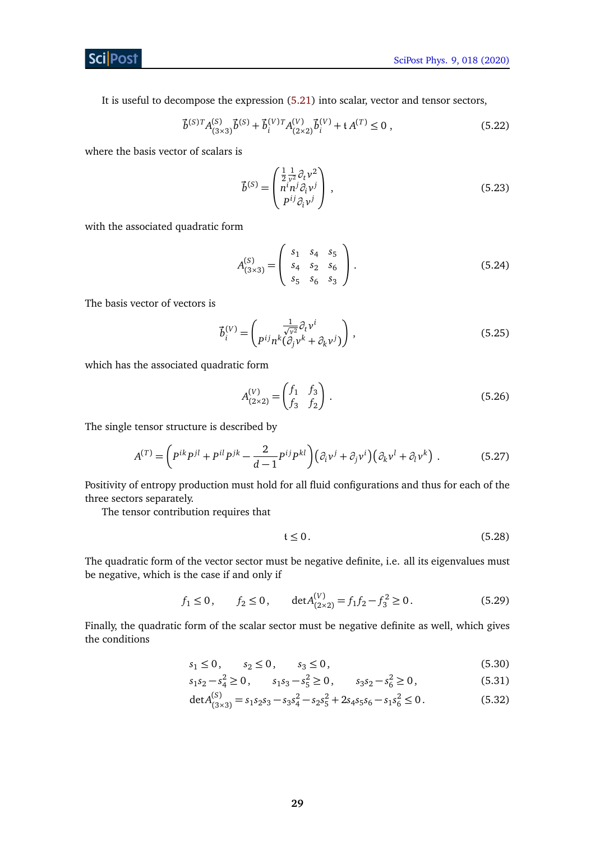It is useful to decompose the expression [\(5.21\)](#page-28-3) into scalar, vector and tensor sectors,

<span id="page-29-0"></span>
$$
\vec{b}^{(S)T} A^{(S)}_{(3\times3)} \vec{b}^{(S)} + \vec{b}^{(V)}_{i}{}^{T} A^{(V)}_{(2\times2)} \vec{b}^{(V)}_{i} + \mathfrak{t} A^{(T)} \le 0 , \qquad (5.22)
$$

where the basis vector of scalars is

$$
\vec{b}^{(S)} = \begin{pmatrix} \frac{1}{2} \frac{1}{\nu^2} \partial_t \nu^2 \\ n^i n^j \partial_i \nu^j \\ P^{ij} \partial_i \nu^j \end{pmatrix},
$$
\n(5.23)

with the associated quadratic form

$$
A_{(3\times3)}^{(S)} = \begin{pmatrix} s_1 & s_4 & s_5 \\ s_4 & s_2 & s_6 \\ s_5 & s_6 & s_3 \end{pmatrix} . \tag{5.24}
$$

The basis vector of vectors is

$$
\vec{b}_i^{(V)} = \begin{pmatrix} \frac{1}{\sqrt{v^2}} \partial_t v^i \\ p^{ij} n^k (\partial_j v^k + \partial_k v^j) \end{pmatrix},
$$
\n(5.25)

which has the associated quadratic form

$$
A_{(2\times2)}^{(V)} = \begin{pmatrix} f_1 & f_3 \\ f_3 & f_2 \end{pmatrix} . \tag{5.26}
$$

The single tensor structure is described by

$$
A^{(T)} = \left(P^{ik}P^{jl} + P^{il}P^{jk} - \frac{2}{d-1}P^{ij}P^{kl}\right)\left(\partial_i v^j + \partial_j v^i\right)\left(\partial_k v^l + \partial_l v^k\right) \,. \tag{5.27}
$$

Positivity of entropy production must hold for all fluid configurations and thus for each of the three sectors separately.

The tensor contribution requires that

$$
t \le 0. \tag{5.28}
$$

The quadratic form of the vector sector must be negative definite, i.e. all its eigenvalues must be negative, which is the case if and only if

$$
f_1 \le 0
$$
,  $f_2 \le 0$ ,  $\det A_{(2 \times 2)}^{(V)} = f_1 f_2 - f_3^2 \ge 0$ . (5.29)

Finally, the quadratic form of the scalar sector must be negative definite as well, which gives the conditions

<span id="page-29-1"></span>
$$
s_1 \le 0, \qquad s_2 \le 0, \qquad s_3 \le 0,\tag{5.30}
$$

$$
s_1 s_2 - s_4^2 \ge 0, \qquad s_1 s_3 - s_5^2 \ge 0, \qquad s_3 s_2 - s_6^2 \ge 0,
$$
 (5.31)

$$
\det A_{(3\times3)}^{(S)} = s_1 s_2 s_3 - s_3 s_4^2 - s_2 s_5^2 + 2 s_4 s_5 s_6 - s_1 s_6^2 \le 0.
$$
 (5.32)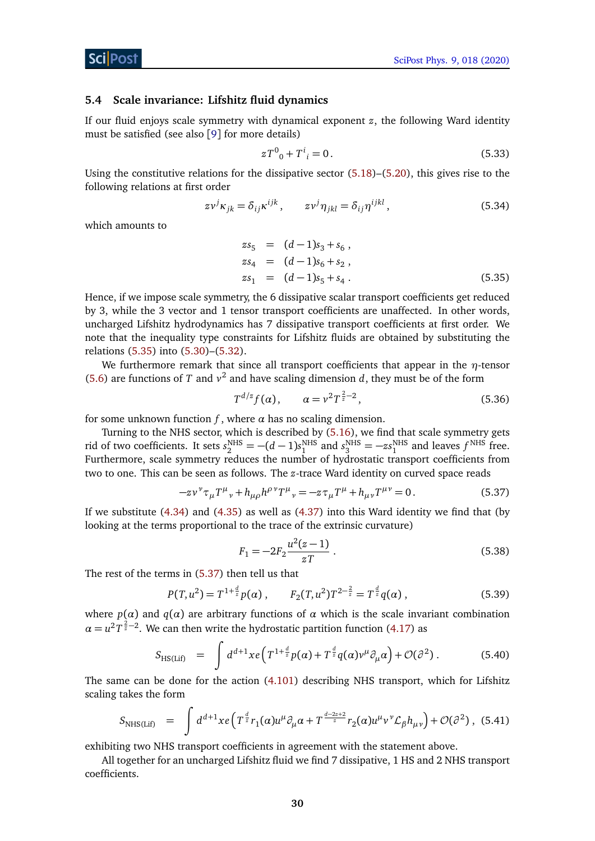#### <span id="page-30-0"></span>**5.4 Scale invariance: Lifshitz fluid dynamics**

If our fluid enjoys scale symmetry with dynamical exponent *z*, the following Ward identity must be satisfied (see also [[9](#page-39-3)] for more details)

$$
zT^0{}_0 + T^i{}_i = 0. \t\t(5.33)
$$

Using the constitutive relations for the dissipative sector  $(5.18)$ – $(5.20)$ , this gives rise to the following relations at first order

$$
z\nu^{j}\kappa_{jk} = \delta_{ij}\kappa^{ijk}, \qquad z\nu^{j}\eta_{jkl} = \delta_{ij}\eta^{ijkl}, \qquad (5.34)
$$

which amounts to

<span id="page-30-1"></span>
$$
zs_{5} = (d-1)s_{3} + s_{6},
$$
  
\n
$$
zs_{4} = (d-1)s_{6} + s_{2},
$$
  
\n
$$
zs_{1} = (d-1)s_{5} + s_{4}.
$$
\n(5.35)

Hence, if we impose scale symmetry, the 6 dissipative scalar transport coefficients get reduced by 3, while the 3 vector and 1 tensor transport coefficients are unaffected. In other words, uncharged Lifshitz hydrodynamics has 7 dissipative transport coefficients at first order. We note that the inequality type constraints for Lifshitz fluids are obtained by substituting the relations [\(5.35\)](#page-30-1) into [\(5.30\)](#page-29-1)–[\(5.32\)](#page-29-1).

We furthermore remark that since all transport coefficients that appear in the *η*-tensor [\(5.6\)](#page-26-3) are functions of *T* and  $v^2$  and have scaling dimension *d*, they must be of the form

$$
T^{d/z} f(\alpha), \qquad \alpha = \nu^2 T^{\frac{2}{z} - 2}, \tag{5.36}
$$

for some unknown function  $f$ , where  $\alpha$  has no scaling dimension.

Turning to the NHS sector, which is described by [\(5.16\)](#page-27-4), we find that scale symmetry gets rid of two coefficients. It sets  $s_2^{\text{NHS}} = -(d-1)s_1^{\text{NHS}}$  and  $s_3^{\text{NHS}} = -\alpha s_1^{\text{NHS}}$  and leaves  $f^{\text{NHS}}$  free. Furthermore, scale symmetry reduces the number of hydrostatic transport coefficients from two to one. This can be seen as follows. The *z*-trace Ward identity on curved space reads

$$
-z\nu^{\nu}\tau_{\mu}T^{\mu}{}_{\nu} + h_{\mu\rho}h^{\rho\,\nu}T^{\mu}{}_{\nu} = -z\tau_{\mu}T^{\mu} + h_{\mu\nu}T^{\mu\nu} = 0.
$$
 (5.37)

If we substitute [\(4.34\)](#page-17-0) and [\(4.35\)](#page-17-0) as well as [\(4.37\)](#page-17-5) into this Ward identity we find that (by looking at the terms proportional to the trace of the extrinsic curvature)

<span id="page-30-2"></span>
$$
F_1 = -2F_2 \frac{u^2(z-1)}{zT} \,. \tag{5.38}
$$

The rest of the terms in [\(5.37\)](#page-30-2) then tell us that

$$
P(T, u^2) = T^{1 + \frac{d}{z}} p(\alpha) , \qquad F_2(T, u^2) T^{2 - \frac{2}{z}} = T^{\frac{d}{z}} q(\alpha) , \qquad (5.39)
$$

where  $p(\alpha)$  and  $q(\alpha)$  are arbitrary functions of  $\alpha$  which is the scale invariant combination  $\alpha = u^2 T^{\frac{2}{z} - 2}$ . We can then write the hydrostatic partition function [\(4.17\)](#page-14-2) as

$$
S_{\text{HS(Lif)}} = \int d^{d+1}x e \left( T^{1+\frac{d}{z}} p(\alpha) + T^{\frac{d}{z}} q(\alpha) v^{\mu} \partial_{\mu} \alpha \right) + \mathcal{O}(\partial^2) . \tag{5.40}
$$

The same can be done for the action [\(4.101\)](#page-24-2) describing NHS transport, which for Lifshitz scaling takes the form

$$
S_{\text{NHS(Lif)}} = \int d^{d+1}x e \left( T^{\frac{d}{z}} r_1(\alpha) u^{\mu} \partial_{\mu} \alpha + T^{\frac{d-2z+2}{z}} r_2(\alpha) u^{\mu} v^{\nu} \mathcal{L}_{\beta} h_{\mu \nu} \right) + \mathcal{O}(\partial^2) , \quad (5.41)
$$

exhibiting two NHS transport coefficients in agreement with the statement above.

All together for an uncharged Lifshitz fluid we find 7 dissipative, 1 HS and 2 NHS transport coefficients.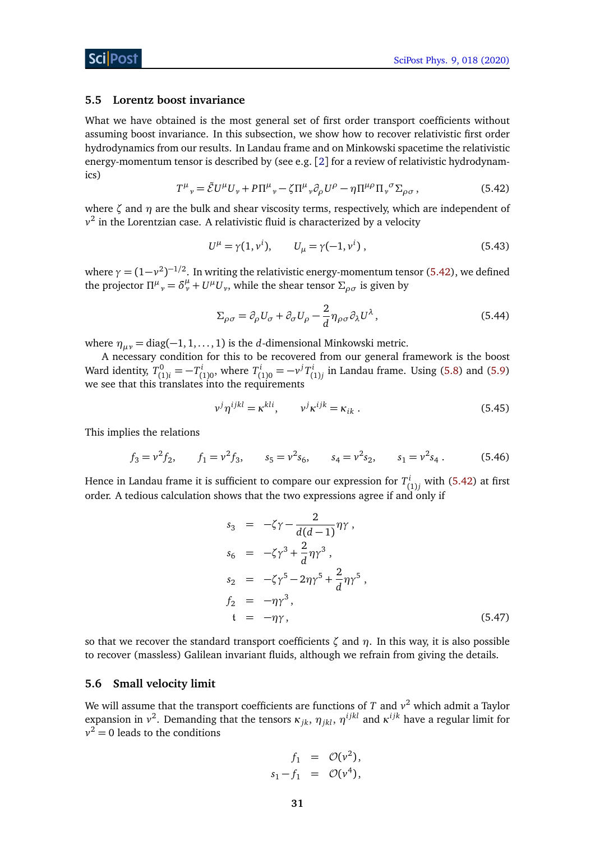#### <span id="page-31-0"></span>**5.5 Lorentz boost invariance**

What we have obtained is the most general set of first order transport coefficients without assuming boost invariance. In this subsection, we show how to recover relativistic first order hydrodynamics from our results. In Landau frame and on Minkowski spacetime the relativistic energy-momentum tensor is described by (see e.g. [[2](#page-38-2)] for a review of relativistic hydrodynamics)

$$
T^{\mu}{}_{\nu} = \tilde{\mathcal{E}} U^{\mu} U_{\nu} + P \Pi^{\mu}{}_{\nu} - \zeta \Pi^{\mu}{}_{\nu} \partial_{\rho} U^{\rho} - \eta \Pi^{\mu \rho} \Pi_{\nu}{}^{\sigma} \Sigma_{\rho \sigma} , \qquad (5.42)
$$

<span id="page-31-2"></span>where *ζ* and *η* are the bulk and shear viscosity terms, respectively, which are independent of  $v^2$  in the Lorentzian case. A relativistic fluid is characterized by a velocity

$$
U^{\mu} = \gamma(1, v^{i}), \qquad U_{\mu} = \gamma(-1, v^{i}), \qquad (5.43)
$$

where  $\gamma = (1\!-\!\nu^2)^{-1/2}.$  In writing the relativistic energy-momentum tensor [\(5.42\)](#page-31-2), we defined the projector  $\Pi^{\mu}{}_{\nu} = \delta^{\mu}_{\nu} + U^{\mu}U_{\nu}$ , while the shear tensor  $\Sigma_{\rho\sigma}$  is given by

$$
\Sigma_{\rho\sigma} = \partial_{\rho} U_{\sigma} + \partial_{\sigma} U_{\rho} - \frac{2}{d} \eta_{\rho\sigma} \partial_{\lambda} U^{\lambda}, \qquad (5.44)
$$

where  $\eta_{\mu\nu} = \text{diag}(-1, 1, \dots, 1)$  is the *d*-dimensional Minkowski metric.

A necessary condition for this to be recovered from our general framework is the boost Ward identity,  $T_{(1)}^0$  $T_{(1)i}^0 = -T_i^i$  $T^{i}_{(1)0}$ , where  $T^{i}_{(1)}$  $J_{(1)0}^{i} = -v^{j}T_{(1)}^{i}$  $C_{(1)j}^{l}$  in Landau frame. Using [\(5.8\)](#page-27-5) and [\(5.9\)](#page-27-5) we see that this translates into the requirements

$$
v^{j}\eta^{ijkl} = \kappa^{kli}, \qquad v^{j}\kappa^{ijk} = \kappa_{ik} \,. \tag{5.45}
$$

This implies the relations

$$
f_3 = v^2 f_2
$$
,  $f_1 = v^2 f_3$ ,  $s_5 = v^2 s_6$ ,  $s_4 = v^2 s_2$ ,  $s_1 = v^2 s_4$ . (5.46)

Hence in Landau frame it is sufficient to compare our expression for  $T_c^i$  $\binom{1}{1j}$  with [\(5.42\)](#page-31-2) at first order. A tedious calculation shows that the two expressions agree if and only if

$$
s_3 = -\zeta\gamma - \frac{2}{d(d-1)}\eta\gamma,
$$
  
\n
$$
s_6 = -\zeta\gamma^3 + \frac{2}{d}\eta\gamma^3,
$$
  
\n
$$
s_2 = -\zeta\gamma^5 - 2\eta\gamma^5 + \frac{2}{d}\eta\gamma^5,
$$
  
\n
$$
f_2 = -\eta\gamma^3,
$$
  
\n
$$
t = -\eta\gamma,
$$
\n(5.47)

so that we recover the standard transport coefficients *ζ* and *η*. In this way, it is also possible to recover (massless) Galilean invariant fluids, although we refrain from giving the details.

#### <span id="page-31-1"></span>**5.6 Small velocity limit**

We will assume that the transport coefficients are functions of *T* and *v* <sup>2</sup> which admit a Taylor expansion in  $v^2$ . Demanding that the tensors  $\kappa_{jk}$ ,  $\eta_{jkl}$ ,  $\eta^{ijkl}$  and  $\kappa^{ijk}$  have a regular limit for  $v^2 = 0$  leads to the conditions

$$
f_1 = \mathcal{O}(v^2),
$$
  

$$
s_1 - f_1 = \mathcal{O}(v^4),
$$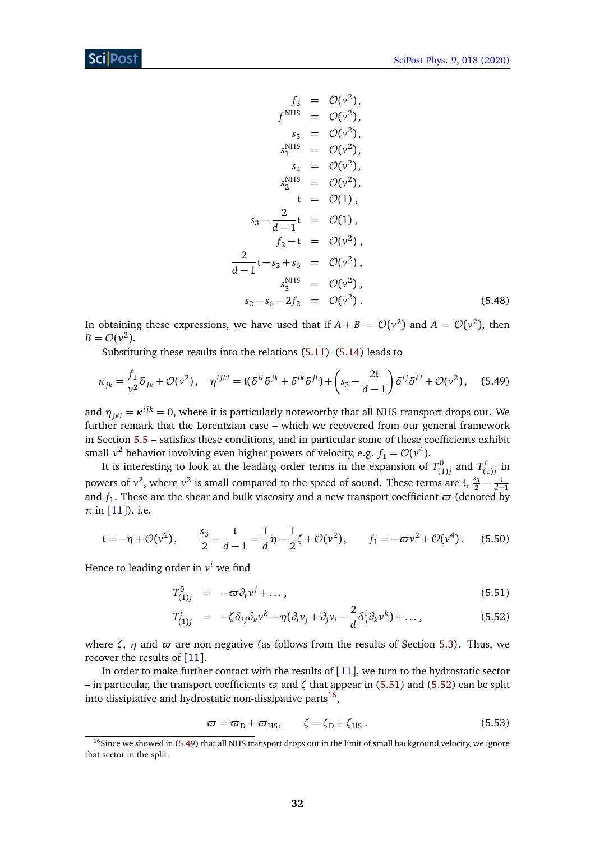<span id="page-32-2"></span>
$$
f_3 = \mathcal{O}(v^2),
$$
  
\n
$$
f^{\text{NHS}} = \mathcal{O}(v^2),
$$
  
\n
$$
s_5 = \mathcal{O}(v^2),
$$
  
\n
$$
s_1^{\text{NHS}} = \mathcal{O}(v^2),
$$
  
\n
$$
s_4 = \mathcal{O}(v^2),
$$
  
\n
$$
s_2^{\text{NHS}} = \mathcal{O}(v^2),
$$
  
\n
$$
t = \mathcal{O}(1),
$$
  
\n
$$
s_3 - \frac{2}{d-1}t = \mathcal{O}(1),
$$
  
\n
$$
f_2 - t = \mathcal{O}(v^2),
$$
  
\n
$$
\frac{2}{d-1}t - s_3 + s_6 = \mathcal{O}(v^2),
$$
  
\n
$$
s_3^{\text{NHS}} = \mathcal{O}(v^2),
$$
  
\n
$$
s_2 - s_6 - 2f_2 = \mathcal{O}(v^2).
$$
  
\n(5.48)

In obtaining these expressions, we have used that if  $A + B = \mathcal{O}(v^2)$  and  $A = \mathcal{O}(v^2)$ , then  $B = \mathcal{O}(v^2)$ .

Substituting these results into the relations [\(5.11\)](#page-27-3)–[\(5.14\)](#page-27-3) leads to

$$
\kappa_{jk} = \frac{f_1}{v^2} \delta_{jk} + \mathcal{O}(v^2), \quad \eta^{ijkl} = \mathfrak{t}(\delta^{il}\delta^{jk} + \delta^{ik}\delta^{jl}) + \left(s_3 - \frac{2\mathfrak{t}}{d-1}\right)\delta^{ij}\delta^{kl} + \mathcal{O}(v^2), \quad (5.49)
$$

and  $\eta_{jkl} = \kappa^{ijk} = 0$ , where it is particularly noteworthy that all NHS transport drops out. We further remark that the Lorentzian case – which we recovered from our general framework in Section [5.5](#page-31-0) – satisfies these conditions, and in particular some of these coefficients exhibit small- $v^2$  behavior involving even higher powers of velocity, e.g.  $f_1 = \mathcal{O}(v^4)$ .

It is interesting to look at the leading order terms in the expansion of  $T_{0}^{0}$  $T_{(1)j}^{0}$  and  $T_{(j)}^{i}$  $\binom{l}{1j}$  in powers of  $v^2$ , where  $v^2$  is small compared to the speed of sound. These terms are t,  $\frac{s_3}{2} - \frac{t}{d-1}$ and  $f_1$ . These are the shear and bulk viscosity and a new transport coefficient  $\varpi$  (denoted by  $\pi$  in [[11](#page-39-5)]), i.e.

$$
t = -\eta + \mathcal{O}(\nu^2), \qquad \frac{s_3}{2} - \frac{t}{d-1} = \frac{1}{d}\eta - \frac{1}{2}\zeta + \mathcal{O}(\nu^2), \qquad f_1 = -\varpi \nu^2 + \mathcal{O}(\nu^4). \tag{5.50}
$$

Hence to leading order in *v <sup>i</sup>* we find

<span id="page-32-0"></span>
$$
T_{(1)j}^0 = -\varpi \partial_t v^j + \dots, \qquad (5.51)
$$

$$
T_{(1)j}^i = -\zeta \delta_{ij} \partial_k v^k - \eta (\partial_i v_j + \partial_j v_i - \frac{2}{d} \delta_j^i \partial_k v^k) + \dots,
$$
 (5.52)

where  $\zeta$ ,  $\eta$  and  $\varpi$  are non-negative (as follows from the results of Section [5.3\)](#page-28-0). Thus, we recover the results of  $[11]$  $[11]$  $[11]$ .

In order to make further contact with the results of [[11](#page-39-5)], we turn to the hydrostatic sector – in particular, the transport coefficients  $\varpi$  and  $\zeta$  that appear in [\(5.51\)](#page-32-0) and [\(5.52\)](#page-32-0) can be split into dissipiative and hydrostatic non-dissipative parts $^{16}$  $^{16}$  $^{16}$ ,

$$
\varpi = \varpi_{\rm D} + \varpi_{\rm HS}, \qquad \zeta = \zeta_{\rm D} + \zeta_{\rm HS} \,. \tag{5.53}
$$

<span id="page-32-1"></span> $16$ Since we showed in [\(5.49\)](#page-32-2) that all NHS transport drops out in the limit of small background velocity, we ignore that sector in the split.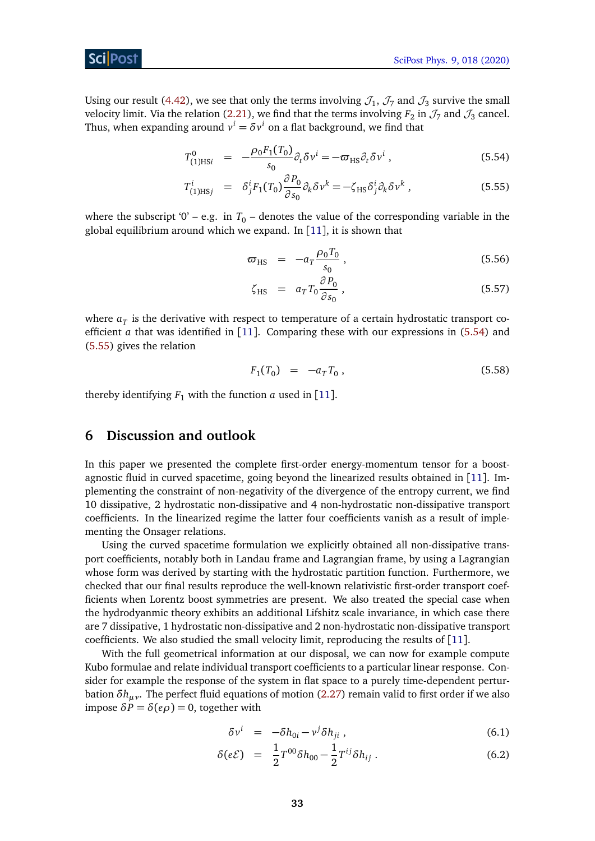#### Sci Post

Using our result [\(4.42\)](#page-17-1), we see that only the terms involving  $\mathcal{J}_1$ ,  $\mathcal{J}_7$  and  $\mathcal{J}_3$  survive the small velocity limit. Via the relation [\(2.21\)](#page-8-3), we find that the terms involving  $F_2$  in  $\mathcal{J}_7$  and  $\mathcal{J}_3$  cancel. Thus, when expanding around  $v^i = \delta v^i$  on a flat background, we find that

<span id="page-33-1"></span>
$$
T_{(1)\text{HS}i}^0 = -\frac{\rho_0 F_1(T_0)}{s_0} \partial_t \delta v^i = -\varpi_{\text{HS}} \partial_t \delta v^i , \qquad (5.54)
$$

$$
T_{(1)\text{HS}j}^i = \delta_j^i F_1(T_0) \frac{\partial P_0}{\partial s_0} \partial_k \delta v^k = -\zeta_{\text{HS}} \delta_j^i \partial_k \delta v^k , \qquad (5.55)
$$

where the subscript '0' – e.g. in  $T_0$  – denotes the value of the corresponding variable in the global equilibrium around which we expand. In [[11](#page-39-5)], it is shown that

$$
\varpi_{\rm HS} = -a_T \frac{\rho_0 T_0}{s_0} \,, \tag{5.56}
$$

$$
\zeta_{\rm HS} = a_T T_0 \frac{\partial P_0}{\partial s_0} \,, \tag{5.57}
$$

where  $a_T$  is the derivative with respect to temperature of a certain hydrostatic transport coefficient *a* that was identified in [[11](#page-39-5)]. Comparing these with our expressions in [\(5.54\)](#page-33-1) and [\(5.55\)](#page-33-1) gives the relation

$$
F_1(T_0) = -a_T T_0, \t\t(5.58)
$$

thereby identifying  $F_1$  with the function *a* used in [[11](#page-39-5)].

## <span id="page-33-0"></span>**6 Discussion and outlook**

In this paper we presented the complete first-order energy-momentum tensor for a boostagnostic fluid in curved spacetime, going beyond the linearized results obtained in [[11](#page-39-5)]. Implementing the constraint of non-negativity of the divergence of the entropy current, we find 10 dissipative, 2 hydrostatic non-dissipative and 4 non-hydrostatic non-dissipative transport coefficients. In the linearized regime the latter four coefficients vanish as a result of implementing the Onsager relations.

Using the curved spacetime formulation we explicitly obtained all non-dissipative transport coefficients, notably both in Landau frame and Lagrangian frame, by using a Lagrangian whose form was derived by starting with the hydrostatic partition function. Furthermore, we checked that our final results reproduce the well-known relativistic first-order transport coefficients when Lorentz boost symmetries are present. We also treated the special case when the hydrodyanmic theory exhibits an additional Lifshitz scale invariance, in which case there are 7 dissipative, 1 hydrostatic non-dissipative and 2 non-hydrostatic non-dissipative transport coefficients. We also studied the small velocity limit, reproducing the results of [[11](#page-39-5)].

With the full geometrical information at our disposal, we can now for example compute Kubo formulae and relate individual transport coefficients to a particular linear response. Consider for example the response of the system in flat space to a purely time-dependent perturbation *δhµν*. The perfect fluid equations of motion [\(2.27\)](#page-9-1) remain valid to first order if we also impose  $δP = δ(eρ) = 0$ , together with

$$
\delta v^i = -\delta h_{0i} - v^j \delta h_{ji} , \qquad (6.1)
$$

$$
\delta(e\mathcal{E}) = \frac{1}{2}T^{00}\delta h_{00} - \frac{1}{2}T^{ij}\delta h_{ij} . \tag{6.2}
$$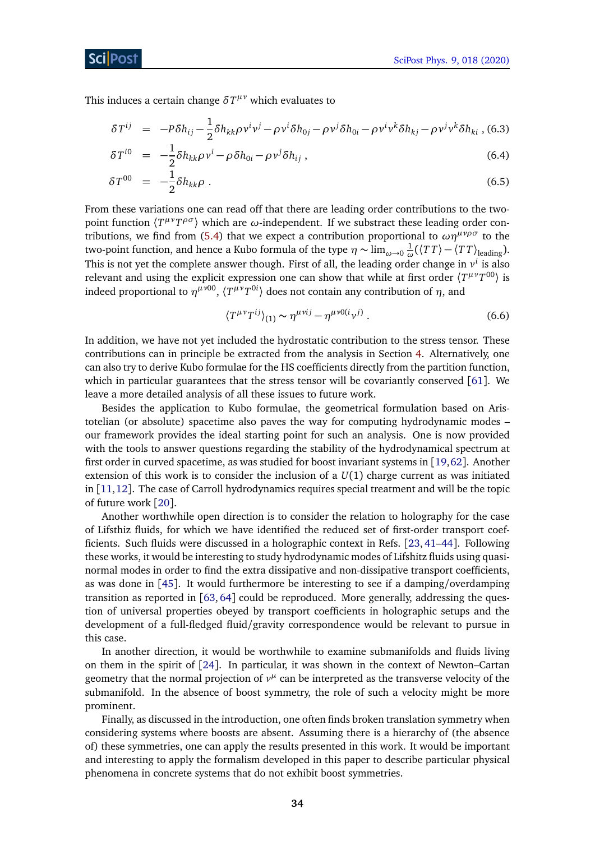**This induces a certain change**  $\delta T^{\mu\nu}$  **which evaluates to** 

$$
\delta T^{ij} = -P\delta h_{ij} - \frac{1}{2}\delta h_{kk}\rho v^i v^j - \rho v^i \delta h_{0j} - \rho v^j \delta h_{0i} - \rho v^i v^k \delta h_{kj} - \rho v^j v^k \delta h_{ki}, \quad (6.3)
$$

$$
\delta T^{i0} = -\frac{1}{2} \delta h_{kk} \rho v^i - \rho \delta h_{0i} - \rho v^j \delta h_{ij}, \qquad (6.4)
$$

$$
\delta T^{00} = -\frac{1}{2} \delta h_{kk} \rho \tag{6.5}
$$

From these variations one can read off that there are leading order contributions to the two*point function*  $\langle T^{\mu\nu}T^{\rho\sigma} \rangle$  which are *ω*-independent. If we substract these leading order con-tributions, we find from [\(5.4\)](#page-26-4) that we expect a contribution proportional to  $\omega\eta^{\mu\nu\rho\sigma}$  to the two-point function, and hence a Kubo formula of the type *η* ∼ lim*ω*→<sup>0</sup> 1  $\frac{1}{\omega}(\langle TT \rangle - \langle TT \rangle_{\text{leading}}).$ This is not yet the complete answer though. First of all, the leading order change in  $v^i$  is also relevant and using the explicit expression one can show that while at first order  $\langle T^{\mu\nu}T^{00}\rangle$  is indeed proportional to  $\eta^{\mu\nu 00}$ ,  $\langle T^{\mu\nu}T^{0i} \rangle$  does not contain any contribution of  $\eta$ , and

$$
\langle T^{\mu\nu} T^{ij} \rangle_{(1)} \sim \eta^{\mu\nu ij} - \eta^{\mu\nu 0(i} \nu^j) \,. \tag{6.6}
$$

In addition, we have not yet included the hydrostatic contribution to the stress tensor. These contributions can in principle be extracted from the analysis in Section [4.](#page-12-0) Alternatively, one can also try to derive Kubo formulae for the HS coefficients directly from the partition function, which in particular guarantees that the stress tensor will be covariantly conserved [[61](#page-42-5)]. We leave a more detailed analysis of all these issues to future work.

Besides the application to Kubo formulae, the geometrical formulation based on Aristotelian (or absolute) spacetime also paves the way for computing hydrodynamic modes – our framework provides the ideal starting point for such an analysis. One is now provided with the tools to answer questions regarding the stability of the hydrodynamical spectrum at first order in curved spacetime, as was studied for boost invariant systems in [[19,](#page-39-12)[62](#page-42-6)]. Another extension of this work is to consider the inclusion of a *U*(1) charge current as was initiated in [[11,](#page-39-5)[12](#page-39-6)]. The case of Carroll hydrodynamics requires special treatment and will be the topic of future work [[20](#page-39-13)].

Another worthwhile open direction is to consider the relation to holography for the case of Lifsthiz fluids, for which we have identified the reduced set of first-order transport coefficients. Such fluids were discussed in a holographic context in Refs. [[23,](#page-40-12) [41–](#page-41-1)[44](#page-41-12)]. Following these works, it would be interesting to study hydrodynamic modes of Lifshitz fluids using quasinormal modes in order to find the extra dissipative and non-dissipative transport coefficients, as was done in [[45](#page-41-2)]. It would furthermore be interesting to see if a damping/overdamping transition as reported in [[63,](#page-42-7) [64](#page-42-8)] could be reproduced. More generally, addressing the question of universal properties obeyed by transport coefficients in holographic setups and the development of a full-fledged fluid/gravity correspondence would be relevant to pursue in this case.

In another direction, it would be worthwhile to examine submanifolds and fluids living on them in the spirit of [[24](#page-40-14)]. In particular, it was shown in the context of Newton–Cartan geometry that the normal projection of  $v^{\mu}$  can be interpreted as the transverse velocity of the submanifold. In the absence of boost symmetry, the role of such a velocity might be more prominent.

Finally, as discussed in the introduction, one often finds broken translation symmetry when considering systems where boosts are absent. Assuming there is a hierarchy of (the absence of) these symmetries, one can apply the results presented in this work. It would be important and interesting to apply the formalism developed in this paper to describe particular physical phenomena in concrete systems that do not exhibit boost symmetries.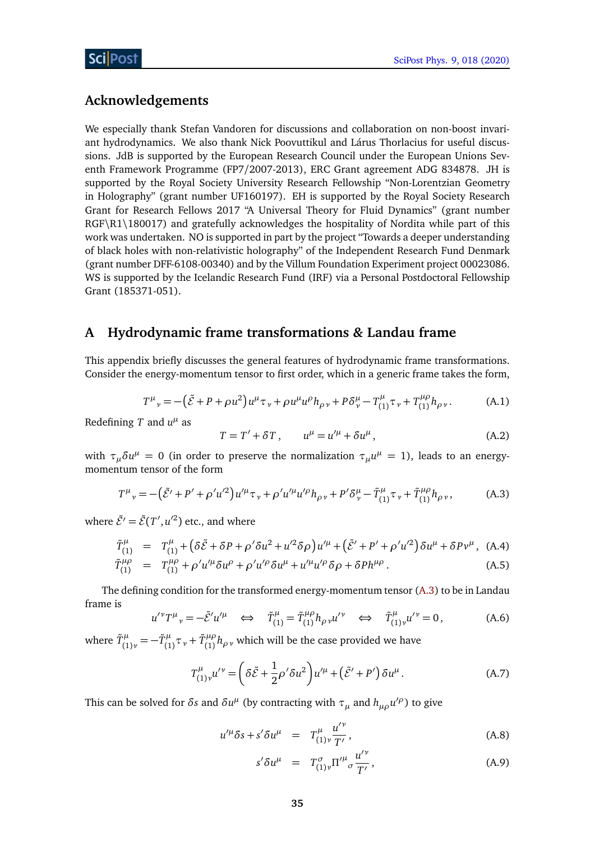## **Acknowledgements**

We especially thank Stefan Vandoren for discussions and collaboration on non-boost invariant hydrodynamics. We also thank Nick Poovuttikul and Lárus Thorlacius for useful discussions. JdB is supported by the European Research Council under the European Unions Seventh Framework Programme (FP7/2007-2013), ERC Grant agreement ADG 834878. JH is supported by the Royal Society University Research Fellowship "Non-Lorentzian Geometry in Holography" (grant number UF160197). EH is supported by the Royal Society Research Grant for Research Fellows 2017 "A Universal Theory for Fluid Dynamics" (grant number RGF\R1\180017) and gratefully acknowledges the hospitality of Nordita while part of this work was undertaken. NO is supported in part by the project "Towards a deeper understanding of black holes with non-relativistic holography" of the Independent Research Fund Denmark (grant number DFF-6108-00340) and by the Villum Foundation Experiment project 00023086. WS is supported by the Icelandic Research Fund (IRF) via a Personal Postdoctoral Fellowship Grant (185371-051).

## <span id="page-35-0"></span>**A Hydrodynamic frame transformations** *&* **Landau frame**

This appendix briefly discusses the general features of hydrodynamic frame transformations. Consider the energy-momentum tensor to first order, which in a generic frame takes the form,

$$
T^{\mu}{}_{\nu} = -(\tilde{\mathcal{E}} + P + \rho u^2)u^{\mu} \tau_{\nu} + \rho u^{\mu} u^{\rho} h_{\rho \nu} + P \delta^{\mu}_{\nu} - T^{\mu}_{(1)} \tau_{\nu} + T^{\mu \rho}_{(1)} h_{\rho \nu}.
$$
 (A.1)

Redefining  $T$  and  $u^{\mu}$  as

<span id="page-35-3"></span>
$$
T = T' + \delta T, \qquad u^{\mu} = u'^{\mu} + \delta u^{\mu}, \tag{A.2}
$$

with  $\tau_{\mu} \delta u^{\mu} = 0$  (in order to preserve the normalization  $\tau_{\mu} u^{\mu} = 1$ ), leads to an energymomentum tensor of the form

$$
T^{\mu}{}_{\nu} = -(\tilde{\mathcal{E}}' + P' + \rho' u'^2) u'^{\mu} \tau_{\nu} + \rho' u'^{\mu} u'^{\rho} h_{\rho \nu} + P' \delta^{\mu}_{\nu} - \tilde{T}^{\mu}_{(1)} \tau_{\nu} + \tilde{T}^{\mu \rho}_{(1)} h_{\rho \nu}, \tag{A.3}
$$

where  $\tilde{\mathcal{E}}' = \tilde{\mathcal{E}}(T', u'^2)$  etc., and where

$$
\tilde{T}_{(1)}^{\mu} = T_{(1)}^{\mu} + (\delta \tilde{\mathcal{E}} + \delta P + \rho' \delta u^2 + u'^2 \delta \rho) u'^{\mu} + (\tilde{\mathcal{E}}' + P' + \rho' u'^2) \delta u^{\mu} + \delta P v^{\mu}, \quad \text{(A.4)}
$$
\n
$$
\tilde{T}_{\mu\nu}^{\mu\rho} = T_{\mu\rho}^{\mu\rho} + \rho' u'^{\mu} \delta u^{\rho} + \rho' u'^{\rho} \delta u^{\mu} + u'^{\mu} u'^{\rho} \delta \rho + \delta P b^{\mu\rho}
$$
\n(A.5)

$$
\tilde{T}_{(1)}^{\mu\rho} = T_{(1)}^{\mu\rho} + \rho' u'^{\mu} \delta u^{\rho} + \rho' u'^{\rho} \delta u^{\mu} + u'^{\mu} u'^{\rho} \delta \rho + \delta P h^{\mu\rho} \,. \tag{A.5}
$$

The defining condition for the transformed energy-momentum tensor [\(A.3\)](#page-35-3) to be in Landau frame is

<span id="page-35-2"></span>
$$
u''T^{\mu}{}_{\nu} = -\tilde{\mathcal{E}}' u'^{\mu} \quad \Longleftrightarrow \quad \tilde{T}^{\mu}_{(1)} = \tilde{T}^{\mu \rho}_{(1)} h_{\rho \nu} u'^{\nu} \quad \Longleftrightarrow \quad \tilde{T}^{\mu}_{(1)\nu} u'^{\nu} = 0, \tag{A.6}
$$

where  $\tilde{T}^{\mu}_{(1)}$  $J_{(1)\nu}^{\mu} = -\tilde{T}_{(1)}^{\mu}$  $\tilde{T}_{(1)}^{\mu} \tau_{\nu} + \tilde{T}_{(1)}^{\mu\rho}$  $\binom{\mu\nu}{(1)}h_{\rho\,\nu}$  which will be the case provided we have

$$
T^{\mu}_{(1)\nu}u^{\prime\nu} = \left(\delta\tilde{\mathcal{E}} + \frac{1}{2}\rho^{\prime}\delta u^2\right)u^{\prime\mu} + \left(\tilde{\mathcal{E}}^{\prime} + P^{\prime}\right)\delta u^{\mu}.
$$
 (A.7)

This can be solved for  $\delta s$  and  $\delta u^{\mu}$  (by contracting with  $\tau_{\mu}$  and  $h_{\mu\rho}u'^{\rho}$ ) to give

<span id="page-35-1"></span>
$$
u^{\prime \mu} \delta s + s^{\prime} \delta u^{\mu} = T^{\mu}_{(1)\nu} \frac{u^{\prime \nu}}{T^{\prime}}, \qquad (A.8)
$$

$$
s'\delta u^{\mu} = T^{\sigma}_{(1)\nu} \Pi'^{\mu}{}_{\sigma} \frac{u'^{\nu}}{T'}, \qquad (A.9)
$$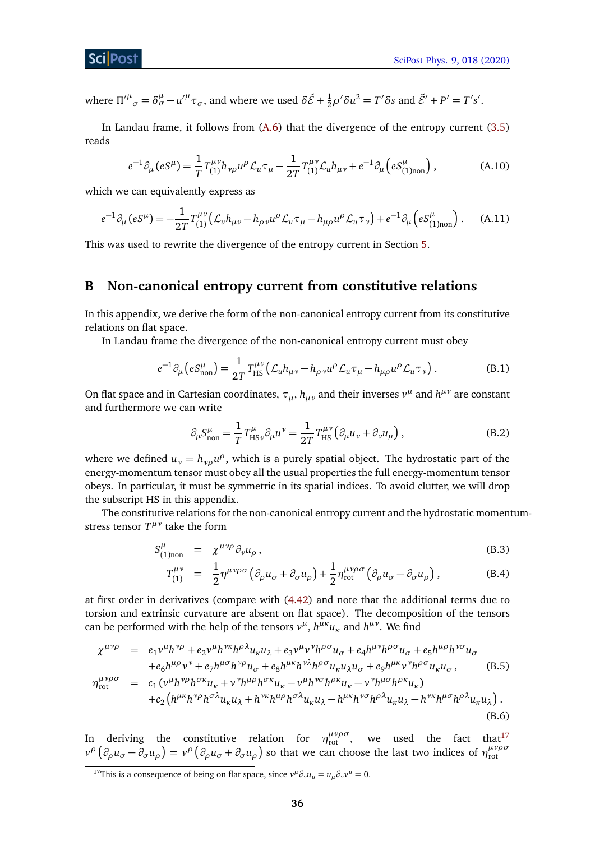where  $\Pi^{\prime \mu}_{\sigma} = \delta^{\mu}_{\sigma} - u^{\prime \mu} \tau_{\sigma}$ , and where we used  $\delta \tilde{\mathcal{E}} + \frac{1}{2} \rho^{\prime} \delta u^2 = T^{\prime} \delta s$  and  $\tilde{\mathcal{E}}' + P' = T^{\prime} s'$ .

In Landau frame, it follows from [\(A.6\)](#page-35-2) that the divergence of the entropy current [\(3.5\)](#page-11-2) reads

<span id="page-36-1"></span>
$$
e^{-1}\partial_{\mu}(eS^{\mu}) = \frac{1}{T}T_{(1)}^{\mu\nu}h_{\nu\rho}u^{\rho}\mathcal{L}_{u}\tau_{\mu} - \frac{1}{2T}T_{(1)}^{\mu\nu}\mathcal{L}_{u}h_{\mu\nu} + e^{-1}\partial_{\mu}(eS_{(1)non}^{\mu}), \qquad (A.10)
$$

which we can equivalently express as

$$
e^{-1}\partial_{\mu}(eS^{\mu}) = -\frac{1}{2T}T_{(1)}^{\mu\nu}(\mathcal{L}_{u}h_{\mu\nu} - h_{\rho\nu}u^{\rho}\mathcal{L}_{u}\tau_{\mu} - h_{\mu\rho}u^{\rho}\mathcal{L}_{u}\tau_{\nu}) + e^{-1}\partial_{\mu}(eS_{(1)non}^{\mu})\,. \tag{A.11}
$$

This was used to rewrite the divergence of the entropy current in Section [5.](#page-25-0)

## <span id="page-36-0"></span>**B Non-canonical entropy current from constitutive relations**

In this appendix, we derive the form of the non-canonical entropy current from its constitutive relations on flat space.

In Landau frame the divergence of the non-canonical entropy current must obey

$$
e^{-1}\partial_{\mu}\left(eS_{\text{non}}^{\mu}\right) = \frac{1}{2T}T_{\text{HS}}^{\mu\nu}\left(\mathcal{L}_{u}h_{\mu\nu} - h_{\rho\nu}u^{\rho}\mathcal{L}_{u}\tau_{\mu} - h_{\mu\rho}u^{\rho}\mathcal{L}_{u}\tau_{\nu}\right). \tag{B.1}
$$

On flat space and in Cartesian coordinates,  $\tau_{\mu}$ ,  $h_{\mu\nu}$  and their inverses  $v^{\mu}$  and  $h^{\mu\nu}$  are constant and furthermore we can write

<span id="page-36-3"></span>
$$
\partial_{\mu} S^{\mu}_{\text{non}} = \frac{1}{T} T^{\mu}_{\text{HS}\nu} \partial_{\mu} u^{\nu} = \frac{1}{2T} T^{\mu\nu}_{\text{HS}} \left( \partial_{\mu} u_{\nu} + \partial_{\nu} u_{\mu} \right), \tag{B.2}
$$

where we defined  $u_{\nu} = h_{\nu\rho}u^{\rho}$ , which is a purely spatial object. The hydrostatic part of the energy-momentum tensor must obey all the usual properties the full energy-momentum tensor obeys. In particular, it must be symmetric in its spatial indices. To avoid clutter, we will drop the subscript HS in this appendix.

The constitutive relations for the non-canonical entropy current and the hydrostatic momentumstress tensor  $T^{\mu\nu}$  take the form

<span id="page-36-5"></span>
$$
S^{\mu}_{(1)_{\text{non}}} = \chi^{\mu\nu\rho} \partial_{\nu} u_{\rho}, \qquad (B.3)
$$

$$
T_{(1)}^{\mu\nu} = \frac{1}{2} \eta^{\mu\nu\rho\sigma} \left( \partial_{\rho} u_{\sigma} + \partial_{\sigma} u_{\rho} \right) + \frac{1}{2} \eta^{\mu\nu\rho\sigma}_{\text{rot}} \left( \partial_{\rho} u_{\sigma} - \partial_{\sigma} u_{\rho} \right), \tag{B.4}
$$

at first order in derivatives (compare with [\(4.42\)](#page-17-1) and note that the additional terms due to torsion and extrinsic curvature are absent on flat space). The decomposition of the tensors can be performed with the help of the tensors  $v^{\mu}$ ,  $h^{\mu\nu}u_{\kappa}$  and  $h^{\mu\nu}$ . We find

<span id="page-36-4"></span>
$$
\chi^{\mu\nu\rho} = e_1 v^{\mu} h^{\nu\rho} + e_2 v^{\mu} h^{\nu\kappa} h^{\rho\lambda} u_{\kappa} u_{\lambda} + e_3 v^{\mu} v^{\nu} h^{\rho\sigma} u_{\sigma} + e_4 h^{\mu\nu} h^{\rho\sigma} u_{\sigma} + e_5 h^{\mu\rho} h^{\nu\sigma} u_{\sigma}
$$
\n
$$
+ e_6 h^{\mu\rho} v^{\nu} + e_7 h^{\mu\sigma} h^{\nu\rho} u_{\sigma} + e_8 h^{\mu\kappa} h^{\nu\lambda} h^{\rho\sigma} u_{\kappa} u_{\lambda} u_{\sigma} + e_9 h^{\mu\kappa} v^{\nu} h^{\rho\sigma} u_{\kappa} u_{\sigma}, \qquad (B.5)
$$
\n
$$
\eta_{\text{rot}}^{\mu\nu\rho\sigma} = c_1 (v^{\mu} h^{\nu\rho} h^{\sigma\kappa} u_{\kappa} + v^{\nu} h^{\mu\rho} h^{\sigma\kappa} u_{\kappa} - v^{\mu} h^{\nu\sigma} h^{\rho\kappa} u_{\kappa} - v^{\nu} h^{\mu\sigma} h^{\rho\kappa} u_{\kappa}) + c_2 (h^{\mu\kappa} h^{\nu\rho} h^{\sigma\lambda} u_{\kappa} u_{\lambda} + h^{\nu\kappa} h^{\mu\rho} h^{\sigma\lambda} u_{\kappa} u_{\lambda} - h^{\mu\kappa} h^{\nu\sigma} h^{\rho\lambda} u_{\kappa} u_{\lambda} - h^{\nu\kappa} h^{\mu\sigma} h^{\rho\lambda} u_{\kappa} u_{\lambda}). \qquad (B.6)
$$

In deriving the constitutive relation for  $\eta_{\text{rot}}^{\mu\nu\rho\sigma}$ , we used the fact that<sup>[17](#page-36-2)</sup>  $v^{\rho}(\partial_{\rho}u_{\sigma}-\partial_{\sigma}u_{\rho})=v^{\rho}(\partial_{\rho}u_{\sigma}+\partial_{\sigma}u_{\rho})$  so that we can choose the last two indices of  $\eta_{\rm rot}^{\mu\nu\rho\sigma}$ rot

<span id="page-36-2"></span><sup>&</sup>lt;sup>17</sup>This is a consequence of being on flat space, since  $v^{\mu}\partial_{\nu}u_{\mu} = u_{\mu}\partial_{\nu}v^{\mu} = 0$ .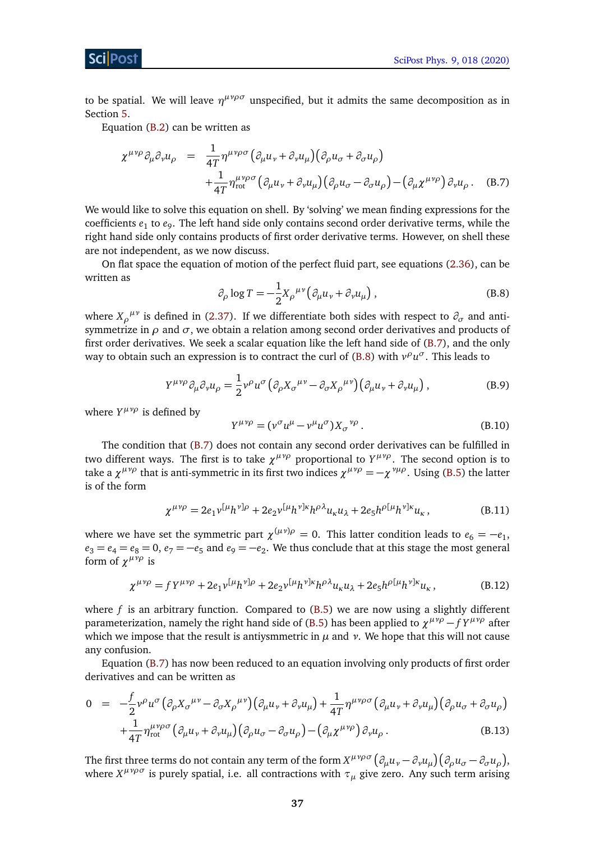to be spatial. We will leave  $η^μνρσ$  unspecified, but it admits the same decomposition as in Section [5.](#page-25-0)

Equation [\(B.2\)](#page-36-3) can be written as

<span id="page-37-0"></span>
$$
\chi^{\mu\nu\rho}\partial_{\mu}\partial_{\nu}u_{\rho} = \frac{1}{4T}\eta^{\mu\nu\rho\sigma}(\partial_{\mu}u_{\nu} + \partial_{\nu}u_{\mu})(\partial_{\rho}u_{\sigma} + \partial_{\sigma}u_{\rho}) \n+ \frac{1}{4T}\eta^{\mu\nu\rho\sigma}_{\text{rot}}(\partial_{\mu}u_{\nu} + \partial_{\nu}u_{\mu})(\partial_{\rho}u_{\sigma} - \partial_{\sigma}u_{\rho}) - (\partial_{\mu}\chi^{\mu\nu\rho})\partial_{\nu}u_{\rho}.
$$
\n(B.7)

We would like to solve this equation on shell. By 'solving' we mean finding expressions for the coefficients *e*<sup>1</sup> to *e*<sup>9</sup> . The left hand side only contains second order derivative terms, while the right hand side only contains products of first order derivative terms. However, on shell these are not independent, as we now discuss.

<span id="page-37-1"></span>On flat space the equation of motion of the perfect fluid part, see equations [\(2.36\)](#page-10-1), can be written as

$$
\partial_{\rho} \log T = -\frac{1}{2} X_{\rho}^{\mu\nu} \left( \partial_{\mu} u_{\nu} + \partial_{\nu} u_{\mu} \right), \tag{B.8}
$$

where  $X_{\rho}^{\mu\nu}$  is defined in [\(2.37\)](#page-10-3). If we differentiate both sides with respect to  $\partial_{\sigma}$  and antisymmetrize in  $\rho$  and  $\sigma$ , we obtain a relation among second order derivatives and products of first order derivatives. We seek a scalar equation like the left hand side of  $(B.7)$ , and the only way to obtain such an expression is to contract the curl of [\(B.8\)](#page-37-1) with  $v^{\rho}u^{\sigma}$ . This leads to

$$
Y^{\mu\nu\rho}\partial_{\mu}\partial_{\nu}u_{\rho} = \frac{1}{2}\nu^{\rho}u^{\sigma}\left(\partial_{\rho}X_{\sigma}{}^{\mu\nu} - \partial_{\sigma}X_{\rho}{}^{\mu\nu}\right)\left(\partial_{\mu}u_{\nu} + \partial_{\nu}u_{\mu}\right),\tag{B.9}
$$

where *Y<sup>μνρ</sup>* is defined by

<span id="page-37-3"></span>
$$
Y^{\mu\nu\rho} = (\nu^{\sigma} u^{\mu} - \nu^{\mu} u^{\sigma}) X_{\sigma}^{\ \nu\rho} . \tag{B.10}
$$

The condition that [\(B.7\)](#page-37-0) does not contain any second order derivatives can be fulfilled in two different ways. The first is to take  $\chi^{\mu\nu\rho}$  proportional to  $Y^{\mu\nu\rho}$ . The second option is to take a  $\chi^{\mu\nu\rho}$  that is anti-symmetric in its first two indices  $\chi^{\mu\nu\rho}=-\chi^{\nu\mu\rho}$ . Using [\(B.5\)](#page-36-4) the latter is of the form

$$
\chi^{\mu\nu\rho} = 2e_1 v^{[\mu} h^{\nu]\rho} + 2e_2 v^{[\mu} h^{\nu]\kappa} h^{\rho\lambda} u_{\kappa} u_{\lambda} + 2e_5 h^{\rho[\mu} h^{\nu]\kappa} u_{\kappa}, \tag{B.11}
$$

where we have set the symmetric part  $\chi^{(\mu\nu)\rho}=0$ . This latter condition leads to  $e_6=-e_1$ ,  $e_3 = e_4 = e_8 = 0$ ,  $e_7 = -e_5$  and  $e_9 = -e_2$ . We thus conclude that at this stage the most general form of  $\chi^{\mu\nu\rho}$  is

<span id="page-37-2"></span>
$$
\chi^{\mu\nu\rho} = f Y^{\mu\nu\rho} + 2e_1 v^{[\mu} h^{\nu]\rho} + 2e_2 v^{[\mu} h^{\nu]\kappa} h^{\rho\lambda} u_{\kappa} u_{\lambda} + 2e_5 h^{\rho[\mu} h^{\nu]\kappa} u_{\kappa},
$$
 (B.12)

where *f* is an arbitrary function. Compared to [\(B.5\)](#page-36-4) we are now using a slightly different parameterization, namely the right hand side of [\(B.5\)](#page-36-4) has been applied to *χ µνρ* − *f Y µνρ* after which we impose that the result is antiysmmetric in  $\mu$  and  $\nu$ . We hope that this will not cause any confusion.

Equation [\(B.7\)](#page-37-0) has now been reduced to an equation involving only products of first order derivatives and can be written as

$$
0 = -\frac{f}{2}v^{\rho}u^{\sigma}(\partial_{\rho}X_{\sigma}^{\mu\nu} - \partial_{\sigma}X_{\rho}^{\mu\nu})(\partial_{\mu}u_{\nu} + \partial_{\nu}u_{\mu}) + \frac{1}{4T}\eta^{\mu\nu\rho\sigma}(\partial_{\mu}u_{\nu} + \partial_{\nu}u_{\mu})(\partial_{\rho}u_{\sigma} + \partial_{\sigma}u_{\rho})
$$
  
+ 
$$
\frac{1}{4T}\eta^{\mu\nu\rho\sigma}_{\text{rot}}(\partial_{\mu}u_{\nu} + \partial_{\nu}u_{\mu})(\partial_{\rho}u_{\sigma} - \partial_{\sigma}u_{\rho}) - (\partial_{\mu}\chi^{\mu\nu\rho})\partial_{\nu}u_{\rho}.
$$
 (B.13)

The first three terms do not contain any term of the form  $X^{\mu\nu\rho\sigma}\big(\partial_\mu u_\nu-\partial_\nu u_\mu\big)\big(\partial_\rho u_\sigma-\partial_\sigma u_\rho\big),$ where *X µνρσ* is purely spatial, i.e. all contractions with *τ<sup>µ</sup>* give zero. Any such term arising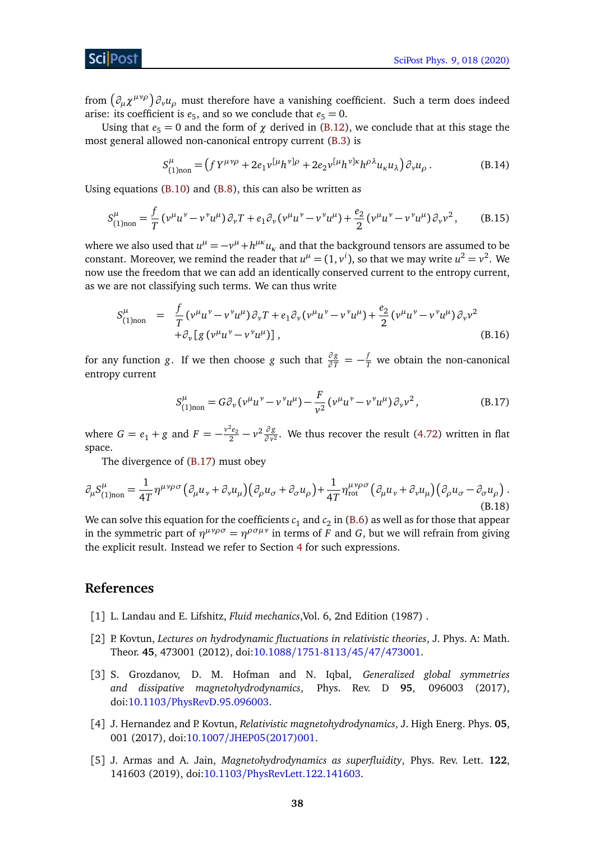from  $\left(\partial_\mu \chi^{\mu\nu\rho}\right)\partial_\nu u_\rho$  must therefore have a vanishing coefficient. Such a term does indeed arise: its coefficient is  $e_5$ , and so we conclude that  $e_5 = 0$ .

Using that  $e_5 = 0$  and the form of  $\chi$  derived in [\(B.12\)](#page-37-2), we conclude that at this stage the most general allowed non-canonical entropy current [\(B.3\)](#page-36-5) is

$$
S^{\mu}_{(1) non} = (f Y^{\mu \nu \rho} + 2e_1 \nu^{[\mu} h^{\nu] \rho} + 2e_2 \nu^{[\mu} h^{\nu] \kappa} h^{\rho \lambda} u_{\kappa} u_{\lambda}) \partial_{\nu} u_{\rho}.
$$
 (B.14)

Using equations  $(B.10)$  and  $(B.8)$ , this can also be written as

$$
S_{(1) non}^{\mu} = \frac{f}{T} \left( v^{\mu} u^{\nu} - v^{\nu} u^{\mu} \right) \partial_{\nu} T + e_1 \partial_{\nu} \left( v^{\mu} u^{\nu} - v^{\nu} u^{\mu} \right) + \frac{e_2}{2} \left( v^{\mu} u^{\nu} - v^{\nu} u^{\mu} \right) \partial_{\nu} v^{2}, \tag{B.15}
$$

where we also used that  $u^{\mu} = -v^{\mu} + h^{\mu\kappa}u_{\kappa}$  and that the background tensors are assumed to be constant. Moreover, we remind the reader that  $u^{\mu} = (1, v^{i})$ , so that we may write  $u^{2} = v^{2}$ . We now use the freedom that we can add an identically conserved current to the entropy current, as we are not classifying such terms. We can thus write

$$
S_{(1)non}^{\mu} = \frac{f}{T} (\nu^{\mu} u^{\nu} - \nu^{\nu} u^{\mu}) \partial_{\nu} T + e_1 \partial_{\nu} (\nu^{\mu} u^{\nu} - \nu^{\nu} u^{\mu}) + \frac{e_2}{2} (\nu^{\mu} u^{\nu} - \nu^{\nu} u^{\mu}) \partial_{\nu} v^2 + \partial_{\nu} [g (\nu^{\mu} u^{\nu} - \nu^{\nu} u^{\mu})],
$$
 (B.16)

for any function *g*. If we then choose *g* such that  $\frac{\partial g}{\partial T} = -\frac{f}{T}$  we obtain the non-canonical entropy current

<span id="page-38-4"></span><span id="page-38-0"></span>
$$
S_{(1) non}^{\mu} = G \partial_{\nu} (\nu^{\mu} u^{\nu} - \nu^{\nu} u^{\mu}) - \frac{F}{\nu^2} (\nu^{\mu} u^{\nu} - \nu^{\nu} u^{\mu}) \partial_{\nu} \nu^2, \tag{B.17}
$$

where  $G = e_1 + g$  and  $F = -\frac{v^2 e_2}{2} - v^2 \frac{\partial g}{\partial v^2}$  $\frac{\partial g}{\partial v^2}$ . We thus recover the result [\(4.72\)](#page-21-1) written in flat space.

The divergence of [\(B.17\)](#page-38-4) must obey

$$
\partial_{\mu} S_{(1) non}^{\mu} = \frac{1}{4T} \eta^{\mu\nu\rho\sigma} \left( \partial_{\mu} u_{\nu} + \partial_{\nu} u_{\mu} \right) \left( \partial_{\rho} u_{\sigma} + \partial_{\sigma} u_{\rho} \right) + \frac{1}{4T} \eta^{\mu\nu\rho\sigma}_{\text{rot}} \left( \partial_{\mu} u_{\nu} + \partial_{\nu} u_{\mu} \right) \left( \partial_{\rho} u_{\sigma} - \partial_{\sigma} u_{\rho} \right). \tag{B.18}
$$

We can solve this equation for the coefficients  $\mathfrak{c}_1$  and  $\mathfrak{c}_2$  in [\(B.6\)](#page-36-4) as well as for those that appear in the symmetric part of  $\eta^{\mu\nu\rho\sigma} = \eta^{\rho\sigma\mu\nu}$  in terms of *F* and *G*, but we will refrain from giving the explicit result. Instead we refer to Section [4](#page-12-0) for such expressions.

## **References**

- <span id="page-38-1"></span>[1] L. Landau and E. Lifshitz, *Fluid mechanics*,Vol. 6, 2nd Edition (1987) .
- <span id="page-38-2"></span>[2] P. Kovtun, *Lectures on hydrodynamic fluctuations in relativistic theories*, J. Phys. A: Math. Theor. **45**, 473001 (2012), doi:10.1088/[1751-8113](http://dx.doi.org/10.1088/1751-8113/45/47/473001)/45/47/473001.
- <span id="page-38-3"></span>[3] S. Grozdanov, D. M. Hofman and N. Iqbal, *Generalized global symmetries and dissipative magnetohydrodynamics*, Phys. Rev. D **95**, 096003 (2017), doi:10.1103/[PhysRevD.95.096003.](http://dx.doi.org/10.1103/PhysRevD.95.096003)
- [4] J. Hernandez and P. Kovtun, *Relativistic magnetohydrodynamics*, J. High Energ. Phys. **05**, 001 (2017), doi:10.1007/[JHEP05\(2017\)001.](http://dx.doi.org/10.1007/JHEP05(2017)001)
- [5] J. Armas and A. Jain, *Magnetohydrodynamics as superfluidity*, Phys. Rev. Lett. **122**, 141603 (2019), doi:10.1103/[PhysRevLett.122.141603.](http://dx.doi.org/10.1103/PhysRevLett.122.141603)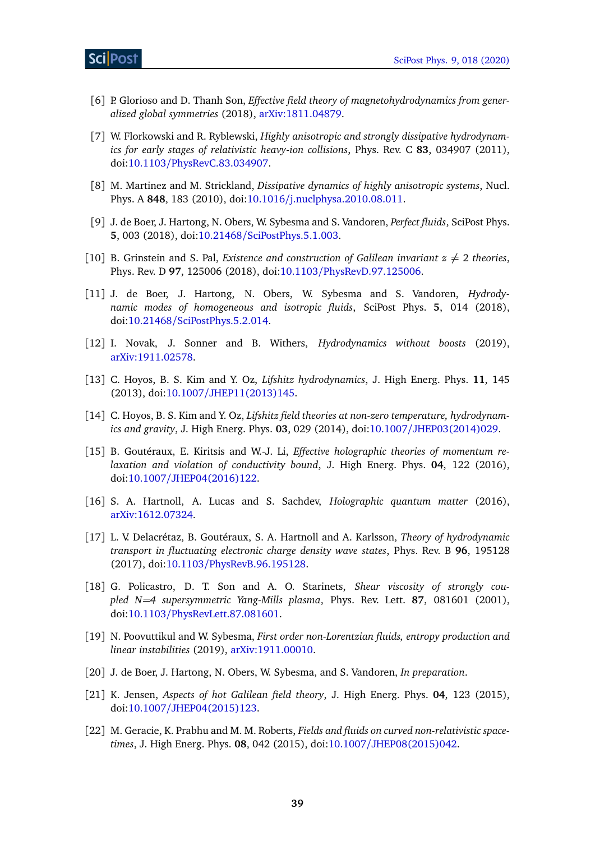- <span id="page-39-0"></span>[6] P. Glorioso and D. Thanh Son, *Effective field theory of magnetohydrodynamics from generalized global symmetries* (2018), [arXiv:1811.04879.](https://arxiv.org/abs/1811.04879)
- <span id="page-39-1"></span>[7] W. Florkowski and R. Ryblewski, *Highly anisotropic and strongly dissipative hydrodynamics for early stages of relativistic heavy-ion collisions*, Phys. Rev. C **83**, 034907 (2011), doi:10.1103/[PhysRevC.83.034907.](http://dx.doi.org/10.1103/PhysRevC.83.034907)
- <span id="page-39-2"></span>[8] M. Martinez and M. Strickland, *Dissipative dynamics of highly anisotropic systems*, Nucl. Phys. A **848**, 183 (2010), doi:10.1016/[j.nuclphysa.2010.08.011.](http://dx.doi.org/10.1016/j.nuclphysa.2010.08.011)
- <span id="page-39-3"></span>[9] J. de Boer, J. Hartong, N. Obers, W. Sybesma and S. Vandoren, *Perfect fluids*, SciPost Phys. **5**, 003 (2018), doi:10.21468/[SciPostPhys.5.1.003.](http://dx.doi.org/10.21468/SciPostPhys.5.1.003)
- <span id="page-39-4"></span>[10] B. Grinstein and S. Pal, *Existence and construction of Galilean invariant*  $z \neq 2$  *theories*, Phys. Rev. D **97**, 125006 (2018), doi:10.1103/[PhysRevD.97.125006.](http://dx.doi.org/10.1103/PhysRevD.97.125006)
- <span id="page-39-5"></span>[11] J. de Boer, J. Hartong, N. Obers, W. Sybesma and S. Vandoren, *Hydrodynamic modes of homogeneous and isotropic fluids*, SciPost Phys. **5**, 014 (2018), doi:10.21468/[SciPostPhys.5.2.014.](http://dx.doi.org/10.21468/SciPostPhys.5.2.014)
- <span id="page-39-6"></span>[12] I. Novak, J. Sonner and B. Withers, *Hydrodynamics without boosts* (2019), [arXiv:1911.02578.](https://arxiv.org/abs/1911.02578)
- <span id="page-39-7"></span>[13] C. Hoyos, B. S. Kim and Y. Oz, *Lifshitz hydrodynamics*, J. High Energ. Phys. **11**, 145 (2013), doi:10.1007/[JHEP11\(2013\)145.](http://dx.doi.org/10.1007/JHEP11(2013)145)
- <span id="page-39-8"></span>[14] C. Hoyos, B. S. Kim and Y. Oz, *Lifshitz field theories at non-zero temperature, hydrodynamics and gravity*, J. High Energ. Phys. **03**, 029 (2014), doi:10.1007/[JHEP03\(2014\)029.](http://dx.doi.org/10.1007/JHEP03(2014)029)
- <span id="page-39-9"></span>[15] B. Goutéraux, E. Kiritsis and W.-J. Li, *Effective holographic theories of momentum relaxation and violation of conductivity bound*, J. High Energ. Phys. **04**, 122 (2016), doi:10.1007/[JHEP04\(2016\)122.](http://dx.doi.org/10.1007/JHEP04(2016)122)
- [16] S. A. Hartnoll, A. Lucas and S. Sachdev, *Holographic quantum matter* (2016), [arXiv:1612.07324.](https://arxiv.org/abs/1612.07324)
- <span id="page-39-10"></span>[17] L. V. Delacrétaz, B. Goutéraux, S. A. Hartnoll and A. Karlsson, *Theory of hydrodynamic transport in fluctuating electronic charge density wave states*, Phys. Rev. B **96**, 195128 (2017), doi:10.1103/[PhysRevB.96.195128.](http://dx.doi.org/10.1103/PhysRevB.96.195128)
- <span id="page-39-11"></span>[18] G. Policastro, D. T. Son and A. O. Starinets, *Shear viscosity of strongly coupled N=4 supersymmetric Yang-Mills plasma*, Phys. Rev. Lett. **87**, 081601 (2001), doi:10.1103/[PhysRevLett.87.081601.](http://dx.doi.org/10.1103/PhysRevLett.87.081601)
- <span id="page-39-12"></span>[19] N. Poovuttikul and W. Sybesma, *First order non-Lorentzian fluids, entropy production and linear instabilities* (2019), [arXiv:1911.00010.](https://arxiv.org/abs/1911.00010)
- <span id="page-39-13"></span>[20] J. de Boer, J. Hartong, N. Obers, W. Sybesma, and S. Vandoren, *In preparation*.
- <span id="page-39-14"></span>[21] K. Jensen, *Aspects of hot Galilean field theory*, J. High Energ. Phys. **04**, 123 (2015), doi:10.1007/[JHEP04\(2015\)123.](http://dx.doi.org/10.1007/JHEP04(2015)123)
- [22] M. Geracie, K. Prabhu and M. M. Roberts, *Fields and fluids on curved non-relativistic spacetimes*, J. High Energ. Phys. **08**, 042 (2015), doi:10.1007/[JHEP08\(2015\)042.](http://dx.doi.org/10.1007/JHEP08(2015)042)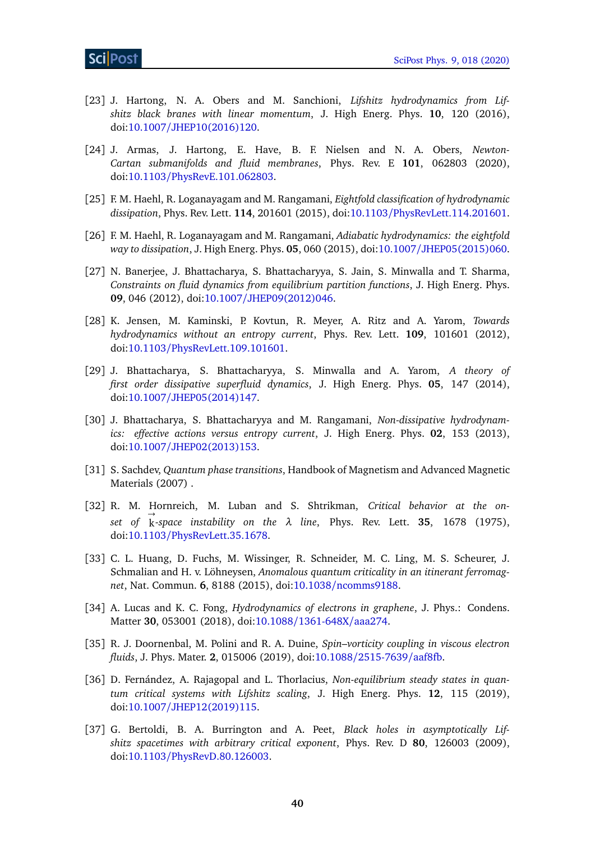- <span id="page-40-12"></span>[23] J. Hartong, N. A. Obers and M. Sanchioni, *Lifshitz hydrodynamics from Lifshitz black branes with linear momentum*, J. High Energ. Phys. **10**, 120 (2016), doi:10.1007/[JHEP10\(2016\)120.](http://dx.doi.org/10.1007/JHEP10(2016)120)
- <span id="page-40-14"></span>[24] J. Armas, J. Hartong, E. Have, B. F. Nielsen and N. A. Obers, *Newton-Cartan submanifolds and fluid membranes*, Phys. Rev. E **101**, 062803 (2020), doi:10.1103/[PhysRevE.101.062803.](http://dx.doi.org/10.1103/PhysRevE.101.062803)
- <span id="page-40-0"></span>[25] F. M. Haehl, R. Loganayagam and M. Rangamani, *Eightfold classification of hydrodynamic dissipation*, Phys. Rev. Lett. **114**, 201601 (2015), doi:10.1103/[PhysRevLett.114.201601.](http://dx.doi.org/10.1103/PhysRevLett.114.201601)
- <span id="page-40-1"></span>[26] F. M. Haehl, R. Loganayagam and M. Rangamani, *Adiabatic hydrodynamics: the eightfold way to dissipation*, J. High Energ. Phys. **05**, 060 (2015), doi:10.1007/[JHEP05\(2015\)060.](http://dx.doi.org/10.1007/JHEP05(2015)060)
- <span id="page-40-2"></span>[27] N. Banerjee, J. Bhattacharya, S. Bhattacharyya, S. Jain, S. Minwalla and T. Sharma, *Constraints on fluid dynamics from equilibrium partition functions*, J. High Energ. Phys. **09**, 046 (2012), doi:10.1007/[JHEP09\(2012\)046.](http://dx.doi.org/10.1007/JHEP09(2012)046)
- <span id="page-40-3"></span>[28] K. Jensen, M. Kaminski, P. Kovtun, R. Meyer, A. Ritz and A. Yarom, *Towards hydrodynamics without an entropy current*, Phys. Rev. Lett. **109**, 101601 (2012), doi:10.1103/[PhysRevLett.109.101601.](http://dx.doi.org/10.1103/PhysRevLett.109.101601)
- <span id="page-40-4"></span>[29] J. Bhattacharya, S. Bhattacharyya, S. Minwalla and A. Yarom, *A theory of first order dissipative superfluid dynamics*, J. High Energ. Phys. **05**, 147 (2014), doi:10.1007/[JHEP05\(2014\)147.](http://dx.doi.org/10.1007/JHEP05(2014)147)
- <span id="page-40-5"></span>[30] J. Bhattacharya, S. Bhattacharyya and M. Rangamani, *Non-dissipative hydrodynamics: effective actions versus entropy current*, J. High Energ. Phys. **02**, 153 (2013), doi:10.1007/[JHEP02\(2013\)153.](http://dx.doi.org/10.1007/JHEP02(2013)153)
- <span id="page-40-6"></span>[31] S. Sachdev, *Quantum phase transitions*, Handbook of Magnetism and Advanced Magnetic Materials (2007) .
- <span id="page-40-7"></span>[32] R. M. Hornreich, M. Luban and S. Shtrikman, *Critical behavior at the on-*→ *set of* k*-space instability on the λ line*, Phys. Rev. Lett. **35**, 1678 (1975), doi:10.1103/[PhysRevLett.35.1678.](http://dx.doi.org/10.1103/PhysRevLett.35.1678)
- <span id="page-40-8"></span>[33] C. L. Huang, D. Fuchs, M. Wissinger, R. Schneider, M. C. Ling, M. S. Scheurer, J. Schmalian and H. v. Löhneysen, *Anomalous quantum criticality in an itinerant ferromagnet*, Nat. Commun. **6**, 8188 (2015), doi:10.1038/[ncomms9188.](http://dx.doi.org/10.1038/ncomms9188)
- <span id="page-40-9"></span>[34] A. Lucas and K. C. Fong, *Hydrodynamics of electrons in graphene*, J. Phys.: Condens. Matter **30**, 053001 (2018), doi:10.1088/[1361-648X](http://dx.doi.org/10.1088/1361-648X/aaa274)/aaa274.
- <span id="page-40-10"></span>[35] R. J. Doornenbal, M. Polini and R. A. Duine, *Spin–vorticity coupling in viscous electron fluids*, J. Phys. Mater. **2**, 015006 (2019), doi:10.1088/[2515-7639](http://dx.doi.org/10.1088/2515-7639/aaf8fb)/aaf8fb.
- <span id="page-40-11"></span>[36] D. Fernández, A. Rajagopal and L. Thorlacius, *Non-equilibrium steady states in quantum critical systems with Lifshitz scaling*, J. High Energ. Phys. **12**, 115 (2019), doi:10.1007/[JHEP12\(2019\)115.](http://dx.doi.org/10.1007/JHEP12(2019)115)
- <span id="page-40-13"></span>[37] G. Bertoldi, B. A. Burrington and A. Peet, *Black holes in asymptotically Lifshitz spacetimes with arbitrary critical exponent*, Phys. Rev. D **80**, 126003 (2009), doi:10.1103/[PhysRevD.80.126003.](http://dx.doi.org/10.1103/PhysRevD.80.126003)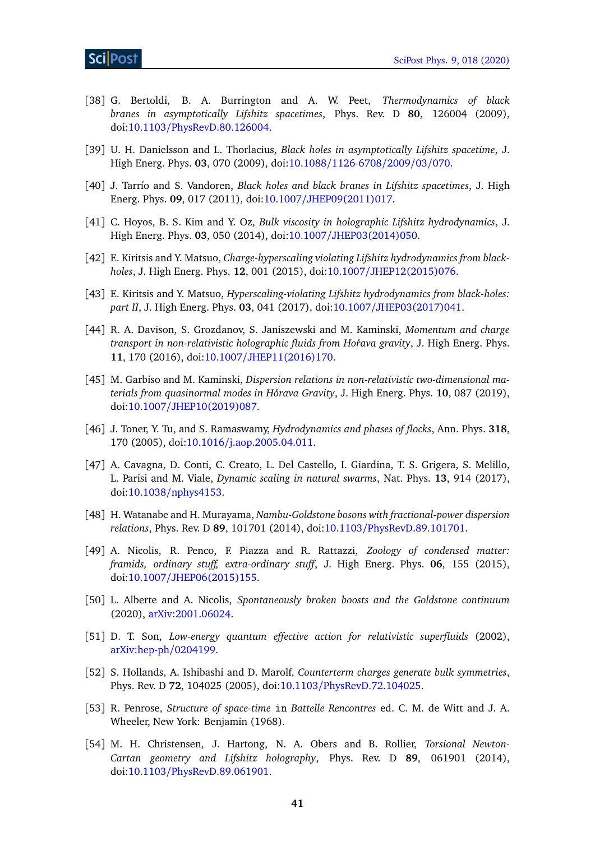- [38] G. Bertoldi, B. A. Burrington and A. W. Peet, *Thermodynamics of black branes in asymptotically Lifshitz spacetimes*, Phys. Rev. D **80**, 126004 (2009), doi:10.1103/[PhysRevD.80.126004.](http://dx.doi.org/10.1103/PhysRevD.80.126004)
- [39] U. H. Danielsson and L. Thorlacius, *Black holes in asymptotically Lifshitz spacetime*, J. High Energ. Phys. **03**, 070 (2009), doi:10.1088/[1126-6708](http://dx.doi.org/10.1088/1126-6708/2009/03/070)/2009/03/070.
- <span id="page-41-0"></span>[40] J. Tarrío and S. Vandoren, *Black holes and black branes in Lifshitz spacetimes*, J. High Energ. Phys. **09**, 017 (2011), doi:10.1007/[JHEP09\(2011\)017.](http://dx.doi.org/10.1007/JHEP09(2011)017)
- <span id="page-41-1"></span>[41] C. Hoyos, B. S. Kim and Y. Oz, *Bulk viscosity in holographic Lifshitz hydrodynamics*, J. High Energ. Phys. **03**, 050 (2014), doi:10.1007/[JHEP03\(2014\)050.](http://dx.doi.org/10.1007/JHEP03(2014)050)
- [42] E. Kiritsis and Y. Matsuo, *Charge-hyperscaling violating Lifshitz hydrodynamics from blackholes*, J. High Energ. Phys. **12**, 001 (2015), doi:10.1007/[JHEP12\(2015\)076.](http://dx.doi.org/10.1007/JHEP12(2015)076)
- [43] E. Kiritsis and Y. Matsuo, *Hyperscaling-violating Lifshitz hydrodynamics from black-holes: part II*, J. High Energ. Phys. **03**, 041 (2017), doi:10.1007/[JHEP03\(2017\)041.](http://dx.doi.org/10.1007/JHEP03(2017)041)
- <span id="page-41-12"></span>[44] R. A. Davison, S. Grozdanov, S. Janiszewski and M. Kaminski, *Momentum and charge transport in non-relativistic holographic fluids from Hoˇrava gravity*, J. High Energ. Phys. **11**, 170 (2016), doi:10.1007/[JHEP11\(2016\)170.](http://dx.doi.org/10.1007/JHEP11(2016)170)
- <span id="page-41-2"></span>[45] M. Garbiso and M. Kaminski, *Dispersion relations in non-relativistic two-dimensional materials from quasinormal modes in Horava Gravity ˇ* , J. High Energ. Phys. **10**, 087 (2019), doi:10.1007/[JHEP10\(2019\)087.](http://dx.doi.org/10.1007/JHEP10(2019)087)
- <span id="page-41-3"></span>[46] J. Toner, Y. Tu, and S. Ramaswamy, *Hydrodynamics and phases of flocks*, Ann. Phys. **318**, 170 (2005), doi:10.1016/[j.aop.2005.04.011.](http://dx.doi.org/10.1016/j.aop.2005.04.011)
- <span id="page-41-4"></span>[47] A. Cavagna, D. Conti, C. Creato, L. Del Castello, I. Giardina, T. S. Grigera, S. Melillo, L. Parisi and M. Viale, *Dynamic scaling in natural swarms*, Nat. Phys. **13**, 914 (2017), doi:10.1038/[nphys4153.](http://dx.doi.org/10.1038/nphys4153)
- <span id="page-41-5"></span>[48] H. Watanabe and H. Murayama, *Nambu-Goldstone bosons with fractional-power dispersion relations*, Phys. Rev. D **89**, 101701 (2014), doi:10.1103/[PhysRevD.89.101701.](http://dx.doi.org/10.1103/PhysRevD.89.101701)
- <span id="page-41-6"></span>[49] A. Nicolis, R. Penco, F. Piazza and R. Rattazzi, *Zoology of condensed matter: framids, ordinary stuff, extra-ordinary stuff*, J. High Energ. Phys. **06**, 155 (2015), doi:10.1007/[JHEP06\(2015\)155.](http://dx.doi.org/10.1007/JHEP06(2015)155)
- <span id="page-41-7"></span>[50] L. Alberte and A. Nicolis, *Spontaneously broken boosts and the Goldstone continuum* (2020), [arXiv:2001.06024.](https://arxiv.org/abs/2001.06024)
- <span id="page-41-8"></span>[51] D. T. Son, *Low-energy quantum effective action for relativistic superfluids* (2002), [arXiv:hep-ph](https://arxiv.org/abs/hep-ph/0204199)/0204199.
- <span id="page-41-9"></span>[52] S. Hollands, A. Ishibashi and D. Marolf, *Counterterm charges generate bulk symmetries*, Phys. Rev. D **72**, 104025 (2005), doi:10.1103/[PhysRevD.72.104025.](http://dx.doi.org/10.1103/PhysRevD.72.104025)
- <span id="page-41-10"></span>[53] R. Penrose, *Structure of space-time* in *Battelle Rencontres* ed. C. M. de Witt and J. A. Wheeler, New York: Benjamin (1968).
- <span id="page-41-11"></span>[54] M. H. Christensen, J. Hartong, N. A. Obers and B. Rollier, *Torsional Newton-Cartan geometry and Lifshitz holography*, Phys. Rev. D **89**, 061901 (2014), doi:10.1103/[PhysRevD.89.061901.](http://dx.doi.org/10.1103/PhysRevD.89.061901)